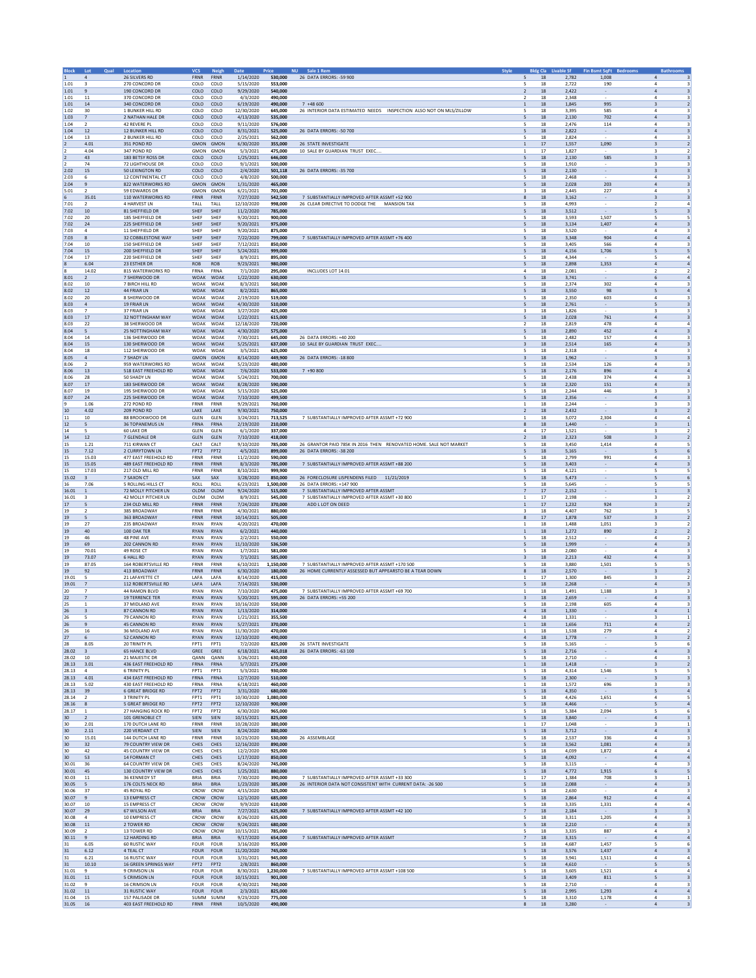| <b>Block</b>          | Lot<br><b>Qual</b>            | Location                                         | <b>VCS</b>                 | <b>Neigh</b>               | <b>Date</b>              | <b>NU</b><br>Price   | Sale 1 Rem<br><b>Style</b>                                         | <b>Bldg Cla</b>                              | ivable Sf      | <b>Fin Bsmt SqFt</b>     | <b>Bathrooms</b>                                                                       |
|-----------------------|-------------------------------|--------------------------------------------------|----------------------------|----------------------------|--------------------------|----------------------|--------------------------------------------------------------------|----------------------------------------------|----------------|--------------------------|----------------------------------------------------------------------------------------|
| 1.01                  | 4                             | 26 SILVERS RD<br>270 CONCORD DR                  | <b>FRNR</b><br>COLO        | FRNR<br>COLO               | 1/14/2020<br>5/15/2020   | 530,000<br>553.000   | 26 DATA ERRORS: - 59 900                                           | 5<br>18<br>18<br>5                           | 2,782<br>2.722 | 1,008<br>190             | $\overline{a}$<br>3<br>4<br>3                                                          |
| 1.01                  | $\overline{9}$                | 190 CONCORD DR                                   | COLO                       | COLO                       | 9/29/2020                | 540,000              |                                                                    | $18\,$<br>$\overline{2}$                     | 2,422          | $\sim$                   | $\sqrt{4}$<br>$\overline{\mathbf{3}}$                                                  |
| 1.01                  | 11                            | 370 CONCORD DR                                   | COLO                       | COLO                       | 4/3/2020                 | 490,000              | $7 + 48600$                                                        | 2<br>18                                      | 2.348          |                          | $\overline{4}$<br>$\overline{\mathbf{3}}$                                              |
| 1.01<br>1.02          | 14<br>30                      | 340 CONCORD DR<br>1 BUNKER HILL RD               | COLO<br>COLO               | COLO<br>COLO               | 6/19/2020<br>12/30/2020  | 490,000<br>645,000   | 26 INTERIOR DATA ESTIMATED NEEDS INSPECTION ALSO NOT ON MLS/ZILLOW | 18<br>1<br>5<br>18                           | 1,845<br>3,395 | 995<br>585               | $\overline{\mathbf{3}}$<br>$\overline{2}$<br>$\overline{4}$<br>3                       |
| 1.03                  | $\overline{7}$                | 2 NATHAN HALE DR                                 | COLO                       | COLO                       | 4/13/2020                | 535.000              |                                                                    | 18<br>5                                      | 2.130          | 702                      | $\overline{4}$<br>$\overline{\mathbf{3}}$                                              |
| 1.04                  | $\overline{2}$                | 42 REVERE PL                                     | COLO                       | COLO                       | 9/11/2020                | 576,000              |                                                                    | 5<br>18                                      | 2,476          | 114                      | 4<br>3                                                                                 |
| 1.04<br>1.04          | 12<br>13                      | 12 BUNKER HILL RD<br>2 BUNKER HILL RD            | COLO<br>COLO               | COLO<br>COLO               | 8/31/2021<br>2/25/2021   | 525,000<br>562,000   | 26 DATA ERRORS: - 50 700                                           | 5<br>18<br>5<br>18                           | 2,822<br>2,824 |                          | $\mathbf{A}$<br>$\overline{\mathbf{3}}$<br>$\overline{4}$<br>3                         |
| $\overline{2}$        | 4.01                          | 351 POND RD                                      | <b>GMON</b>                | GMON                       | 6/30/2020                | 355,000              | 26 STATE INVESTIGATE                                               | $1\,$<br>17                                  | 1,557          | 1,090                    | $\overline{\mathbf{3}}$<br>$\overline{2}$                                              |
| 12                    | 4.04<br>43                    | 347 POND RD<br>183 BETSY ROSS DF                 | <b>GMON</b><br>COLO        | GMON<br>COLO               | 5/3/2021<br>1/25/2021    | 475.000<br>646,000   | 10 SALE BY GUARDIAN TRUST EXEC.                                    | 17<br>$\mathbf{1}$<br>5<br>18                | 1.827<br>2,130 | 585                      | 3<br>2<br>3<br>$\overline{\mathbf{3}}$                                                 |
| $\overline{2}$<br>12  | 74                            | <b>72 LIGHTHOUSE DR</b>                          | COLO                       | COLO                       | 9/1/2021                 | 500,000              |                                                                    | 5<br>18                                      | 1,910          |                          | $\overline{\mathbf{3}}$<br>3                                                           |
| 2.02                  | $15\,$                        | 50 LEXINGTON RD                                  | COLO                       | COLO                       | 2/4/2020                 | 501,118              | 26 DATA ERRORS: - 35 700                                           | 5<br>18                                      | 2,130          | $\sim$                   | $\overline{\mathbf{3}}$<br>3                                                           |
| 2.03                  | 6                             | 12 CONTINENTAL CT                                | COLO                       | COLO                       | 4/8/2020                 | 500,000              |                                                                    | 5<br>18                                      | 2,468          |                          | $\overline{4}$<br>3                                                                    |
| 2.04<br>5.01          | 9<br>$\overline{2}$           | 822 WATERWORKS RD<br>59 EDWARDS DR               | <b>GMON</b><br>GMON        | GMON<br>GMON               | 1/31/2020<br>6/21/2021   | 465.000<br>701,000   |                                                                    | 18<br>5<br>3<br>18                           | 2.028<br>2,445 | 203<br>227               | $\overline{a}$<br>3<br>4<br>3                                                          |
| 6                     | 35.01                         | 110 WATERWORKS RD                                | <b>FRNR</b>                | <b>FRNR</b>                | 7/27/2020                | 542,500              | 7 SUBSTANTIALLY IMPROVED AFTER ASSMT +52 900                       | 8<br>18                                      | 3,162          |                          | $\overline{\mathbf{3}}$<br>3                                                           |
| 7.01                  | $\overline{2}$                | 4 HARVEST LN                                     | TALL                       | TALL                       | 12/10/2020               | 998,000              | 26 CLEAR DIRECTIVE TO DODGE THE<br><b>MANSION TAX</b>              | 5<br>18                                      | 4,993          |                          | $\overline{4}$<br>$\overline{2}$                                                       |
| 7.02<br>7.02          | 10<br>20                      | 81 SHEFFIELD DR<br>185 SHEFFIELD DR              | SHEF<br>SHEF               | SHEF<br>SHEF               | 11/2/2020<br>9/20/2021   | 785,000<br>900.000   |                                                                    | 5<br>$18\,$<br>18<br>5                       | 3,512<br>3.593 | 1.507                    | 5<br>$\overline{\mathbf{3}}$<br>5<br>5                                                 |
| 7.02                  | 24                            | 225 SHEFFIELD DR                                 | SHEF                       | SHEF                       | 9/20/2021                | 975,000              |                                                                    | 5<br>18                                      | 3,134          | 1,407                    | $\sqrt{4}$<br>$\overline{\mathbf{3}}$                                                  |
| 7.03                  | $\mathbf{4}$                  | 11 SHEFFIELD DR                                  | SHEF                       | SHEF                       | 9/20/2021                | 875,000              |                                                                    | 5<br>18                                      | 3,520          |                          | $\mathbf{4}$<br>$\overline{\mathbf{3}}$                                                |
| 7.03<br>7.04          | 8<br>10                       | 32 COBBLESTONE WAY<br>150 SHEFFIELD DR           | SHEF<br>SHEF               | SHEF<br>SHEF               | 7/22/2020<br>7/12/2021   | 799,000<br>850,000   | 7 SUBSTANTIALLY IMPROVED AFTER ASSMT +76 400                       | 5<br>18<br>5<br>18                           | 3,348<br>3,405 | 904<br>566               | $\overline{4}$<br>$\overline{4}$<br>$\overline{4}$<br>$\overline{\mathbf{3}}$          |
| 7.04                  | 15                            | 200 SHEFFIELD DR                                 | SHEF                       | SHEF                       | 5/24/2021                | 999.000              |                                                                    | 18<br>5                                      | 4.156          | 1,706                    | 5<br>5                                                                                 |
| 7.04                  | 17                            | 220 SHEFFIELD DR                                 | SHEF                       | SHEF                       | 8/9/2021                 | 895,000              |                                                                    | 5<br>18                                      | 4,344          |                          | 5<br>$\overline{4}$                                                                    |
| $\boldsymbol{8}$<br>8 | 6.04<br>14.02                 | 23 ESTHER DR<br>815 WATERWORKS RD                | <b>ROB</b><br>FRNA         | <b>ROB</b><br>FRNA         | 9/23/2021<br>7/1/2020    | 980,000<br>295,000   | INCLUDES LOT 14.01                                                 | 5<br>18<br>$\overline{4}$<br>18              | 2,898<br>2,081 | 1,353                    | $\mathbf{A}$<br>$\mathbf{A}$<br>$\overline{2}$<br>$\overline{2}$                       |
| 8.01                  | $\overline{2}$                | 7 SHERWOOD DR                                    | <b>WOAK</b>                | WOAK                       | 1/22/2020                | 630,000              |                                                                    | 5<br>$18\,$                                  | 3,741          | $\sim$                   | 6<br>$\overline{4}$                                                                    |
| 8.02                  | 10                            | 7 BIRCH HILL RD                                  | <b>WOAK</b>                | WOAK                       | 8/3/2021                 | 560,000              |                                                                    | 18<br>5                                      | 2.374          | 302                      | 4<br>3                                                                                 |
| 8.02                  | $12$                          | 44 FRIAR LN                                      | <b>WOAK</b>                | WOAK                       | 8/2/2021                 | 865,000              |                                                                    | 5<br>18                                      | 3,550          | 98                       | 5<br>$\sqrt{4}$<br>$\mathbf{4}$                                                        |
| 8.02<br>8.03          | 20<br>$\overline{a}$          | 8 SHERWOOD DR<br>19 FRIAR LN                     | <b>WOAK</b><br>WOAK        | WOAK<br>WOAK               | 2/19/2020<br>4/30/2020   | 519,000<br>510,000   |                                                                    | 5<br>18<br>5<br>18                           | 2,350<br>2,761 | 603                      | $\overline{\mathbf{3}}$<br>$\overline{5}$<br>$\overline{\mathbf{3}}$                   |
| 8.03                  | $\overline{7}$                | 37 FRIAR LN                                      | WOAK                       | WOAK                       | 3/27/2020                | 425,000              |                                                                    | 3<br>18                                      | 1,826          |                          | 3<br>3                                                                                 |
| 8.03                  | 17                            | <b>32 NOTTINGHAM WAY</b>                         | <b>WOAK</b>                | <b>WOAK</b>                | 1/22/2021                | 615,000              |                                                                    | 18<br>5                                      | 2.028          | 761                      | $\overline{a}$<br>3                                                                    |
| 8.03<br>8.04          | 22<br>5                       | 38 SHERWOOD DR<br>25 NOTTINGHAM WAY              | <b>WOAK</b><br><b>WOAK</b> | WOAK<br><b>WOAK</b>        | 12/18/2020<br>4/30/2020  | 720,000<br>575,000   |                                                                    | $\overline{2}$<br>18<br>5<br>18              | 2,819<br>2,890 | 478<br>452               | $\overline{4}$<br>$\overline{4}$<br>$\mathbf{A}$<br>$\overline{\mathbf{3}}$            |
| 8.04                  | $14\,$                        | 136 SHERWOOD DR                                  | WOAK                       | WOAK                       | 7/30/2021                | 645,000              | 26 DATA ERRORS: +40 200                                            | 5<br>18                                      | 2,482          | 157                      | $\overline{4}$<br>$\overline{\mathbf{3}}$                                              |
| 8.04                  | 15                            | 130 SHERWOOD DR                                  | WOAK                       | WOAK                       | 5/25/2021                | 637,000              | 10 SALE BY GUARDIAN TRUST EXEC.                                    | $\overline{\mathbf{3}}$<br>18                | 2,514          | 165                      | $\sqrt{4}$<br>$\overline{\mathbf{3}}$                                                  |
| 8.04<br>8.05          | 18<br>$\sqrt{4}$              | 112 SHERWOOD DR<br>7 SHADY LN                    | WOAK<br>GMON               | WOAK<br>GMON               | 3/5/2021<br>8/14/2020    | 625.000<br>449,900   | 26 DATA ERRORS: - 18 800                                           | 18<br>5<br>3<br>18                           | 2.318<br>1,962 |                          | 4<br>3<br>3<br>$\overline{\mathbf{3}}$                                                 |
| 8.06                  | $\overline{2}$                | 959 WATERWORKS RD                                | WOAK                       | WOAK                       | 5/23/2020                | 480.000              |                                                                    | 5<br>18                                      | 2,534          | 126                      | $\mathbf{4}$<br>3                                                                      |
| 8.06                  | $13\,$                        | 518 EAST FREEHOLD RD                             | WOAK WOAK                  |                            | 7/6/2020                 | 533,000              | $7 + 90800$                                                        | 5<br>18                                      | 2,176          | 896                      | $\overline{4}$<br>$\overline{4}$                                                       |
| 8.06<br>8.07          | 28<br>17                      | 50 SHADY LN<br>183 SHERWOOD DR                   | WOAK<br><b>WOAK</b>        | WOAK<br><b>WOAK</b>        | 5/24/2021<br>8/28/2020   | 700,000              |                                                                    | 5<br>18<br>18                                | 2,438<br>2.320 | 374<br>151               | $\ddot{a}$<br>3                                                                        |
| 8.07                  | 19                            | 195 SHERWOOD DR                                  | WOAK                       | WOAK                       | 5/15/2020                | 590,000<br>525,000   |                                                                    | 5<br>5<br>18                                 | 2,244          | 446                      | $\overline{a}$<br>$\overline{\mathbf{3}}$<br>3<br>3                                    |
| 8.07                  | 24                            | 225 SHERWOOD DR                                  | <b>WOAK</b>                | <b>WOAK</b>                | 7/10/2020                | 499,500              |                                                                    | 5<br>18                                      | 2,356          |                          | $\mathbf{A}$<br>$\overline{\mathbf{3}}$                                                |
| 9                     | 1.06                          | 272 POND RD                                      | FRNR                       | FRNR                       | 9/29/2021                | 760,000              |                                                                    | $\mathbf{1}$<br>18                           | 2,244          |                          | $\overline{\mathbf{3}}$<br>$\overline{\mathbf{3}}$                                     |
| 10<br>11              | 4.02<br>10                    | 209 POND RD<br>88 BROOKWOOD DR                   | LAKE<br>GLEN               | LAKE<br>GLEN               | 9/30/2021<br>3/24/2021   | 750,000<br>713.525   | 7 SUBSTANTIALLY IMPROVED AFTER ASSMT +72 900                       | $\overline{2}$<br>18<br>18<br>$\mathbf{1}$   | 2,432<br>3.072 | 2.304                    | $\overline{\mathbf{3}}$<br>$\overline{2}$<br>$\overline{a}$<br>$\overline{a}$          |
| $12$                  | 5                             | <b>36 TOPANEMUS LN</b>                           | FRNA                       | FRNA                       | 2/19/2020                | 210,000              |                                                                    | $18\,$<br>8                                  | 1,440          | $\sim$                   | 3<br>$\,$ 1 $\,$                                                                       |
| 14                    | $\sim$                        | <b>60 LAKE DR</b>                                | GLEN                       | GLEN                       | 6/1/2020                 | 337,000              |                                                                    | $\Delta$<br>17                               | 1,521          |                          | $\mathbf{R}$<br>$\overline{2}$                                                         |
| 14<br>15              | $12\,$<br>1.21                | 7 GLENDALE DR<br>711 KIRWAN CT                   | <b>GLEN</b><br>CALT        | GLEN<br>CALT               | 7/10/2020<br>9/10/2020   | 418,000<br>785,000   | 26 GRANTOR PAID 785K IN 2016 THEN RENOVATED HOME. SALE NOT MARKET  | $\overline{2}$<br>18<br>5<br>18              | 2,323<br>3,450 | 508<br>1,414             | $\overline{\mathbf{3}}$<br>$\overline{2}$<br>$\ddot{a}$<br>5                           |
| 15                    | 7.12                          | <b>2 CURRYTOWN LN</b>                            | FPT <sub>2</sub>           | FPT <sub>2</sub>           | 4/5/2021                 | 899,000              | 26 DATA ERRORS: -38 200                                            | 18<br>5                                      | 5.165          |                          | 6<br>5                                                                                 |
| 15                    | 15.03                         | 477 EAST FREEHOLD RD                             | FRNR                       | FRNR                       | 11/2/2020                | 590,000              |                                                                    | 5<br>18                                      | 2,799          | 991                      | $\overline{4}$<br>3                                                                    |
| 15<br>15              | 15.05<br>17.03                | 489 EAST FREEHOLD RD<br>217 OLD MILL RD          | <b>FRNR</b><br>FRNR        | <b>FRNR</b><br>FRNR        | 8/3/2020<br>8/10/2021    | 785,000<br>999,900   | 7 SUBSTANTIALLY IMPROVED AFTER ASSMT +88 200                       | 5<br>18<br>5<br>18                           | 3,403<br>4,121 |                          | $\mathbf{A}$<br>$\overline{\mathbf{3}}$<br>5<br>5                                      |
| 15.02                 | $\overline{\mathbf{3}}$       | 7 SAXON CT                                       | SAX                        | SAX                        | 3/28/2020                | 850,000              | 26 FORECLOSURE LISPENDENS FILED 11/21/2019                         | 5<br>18                                      | 5,473          | $\sim$                   | 5<br>6                                                                                 |
| 16                    | 7.06                          | 5 ROLLING HILLS CT                               | ROLL                       | ROLL                       | 6/23/2021                | 1.500.000            | 26 DATA ERRORS: +147 900                                           | 18<br>5                                      | 5.645          |                          | 5<br>5                                                                                 |
| 16.01                 | $\,1\,$                       | 72 MOLLY PITCHER LN                              | <b>OLDM</b>                | OLDM                       | 9/24/2020                | 515,000              | 7 SUBSTANTIALLY IMPROVED AFTER ASSMT                               | $17\,$<br>$\overline{7}$                     | 2,152          |                          | $\,$ 1 $\,$<br>$\overline{\mathbf{3}}$                                                 |
| 16.01<br>17           | $\mathbf{R}$<br>5             | 42 MOLLY PITCHER LN<br>234 OLD MILL RD           | OLDM<br><b>FRNR</b>        | OLDM<br><b>FRNR</b>        | 8/9/2021<br>7/24/2020    | 545,000<br>370,000   | 7 SUBSTANTIALLY IMPROVED AFTER ASSMT +30 800<br>ADD L LOT ON DEED  | $\mathbf{1}$<br>17<br>$17\,$<br>$\mathbf{1}$ | 2,198<br>1,232 | 924                      | $\overline{\mathbf{3}}$<br>$\overline{2}$<br>$\overline{2}$<br>$\overline{\mathbf{3}}$ |
| 19                    | $\overline{2}$                | 385 BROADWAY                                     | FRNR                       | FRNR                       | 4/30/2021                | 880,000              |                                                                    | 3<br>18                                      | 4,407          | 762                      | 3<br>5                                                                                 |
| 19                    | 5                             | 363 BROADWAY                                     | <b>FRNR</b>                | <b>FRNR</b>                | 10/14/2021               | 505.000              |                                                                    | 17<br>8                                      | 1.878          | 537                      | $\overline{2}$<br>3                                                                    |
| 19                    | 27<br>40                      | 235 BROADWAY<br>100 OAK TER                      | <b>RYAN</b><br><b>RYAN</b> | RYAN<br><b>RYAN</b>        | 4/20/2021                | 470,000<br>440,000   |                                                                    | $18\,$<br>1<br>18<br>$\mathbf{1}$            | 1,488          | 1,051<br>890             | $\overline{2}$<br>3<br>$\overline{2}$<br>$\overline{2}$                                |
| 19<br>19              | 46                            | <b>48 PINE AVE</b>                               | RYAN                       | RYAN                       | 6/2/2021<br>2/2/2021     | 550,000              |                                                                    | 5<br>18                                      | 1,272<br>2,512 |                          | $\overline{4}$<br>$\overline{2}$                                                       |
| 19                    | 69                            | 202 CANNON RD                                    | <b>RYAN</b>                | <b>RYAN</b>                | 11/10/2020               | 536,500              |                                                                    | 5<br>18                                      | 1,999          | $\sim$                   | $\sqrt{4}$<br>$\overline{\mathbf{3}}$                                                  |
| 19                    | 70.01                         | 49 ROSE CT                                       | <b>RYAN</b>                | <b>RYAN</b>                | 1/7/2021                 | 581.000              |                                                                    | 18<br>5                                      | 2.080          |                          | 4<br>3                                                                                 |
| 19<br>19              | 73.07<br>87.05                | <b>6 HALL RD</b><br><b>164 ROBERTSVILLE RD</b>   | RYAN<br><b>FRNR</b>        | <b>RYAN</b><br>FRNR        | 7/1/2021<br>6/10/2021    | 585,000<br>1,150,000 | 7 SUBSTANTIALLY IMPROVED AFTER ASSMT +170 500                      | $18\,$<br>3<br>5<br>18                       | 2,213<br>3,880 | 432<br>1,501             | $\ensuremath{\mathsf{3}}$<br>$\overline{4}$<br>5<br>5                                  |
| 19                    | 92                            | 413 BROADWAY                                     | FRNR                       | FRNR                       | 6/30/2020                | 180,000              | 26 HOME CURRENTLY ASSESSED BUT APPEARSTO BE A TEAR DOWN            | 8<br>18                                      | 2,570          |                          | $\overline{2}$<br>$\overline{\mathbf{3}}$                                              |
| 19.01                 | 5                             | 21 LAFAYETTE CT                                  | LAFA                       | LAFA                       | 8/14/2020                | 415,000              |                                                                    | $\mathbf{1}$<br>17                           | 1,300          | 845                      | 3<br>$\overline{2}$                                                                    |
| 19.01<br>20           | $\overline{7}$                | <b>112 ROBERTSVILLE RD</b><br>44 RAMON BLVD      | LAFA<br><b>RYAN</b>        | LAFA<br><b>RYAN</b>        | 7/14/2021<br>7/10/2020   | 530,000<br>475,000   | 7 SUBSTANTIALLY IMPROVED AFTER ASSMT +69 700                       | 18<br>5<br>$18\,$<br>1                       | 2.268<br>1,491 | 1,188                    | $\overline{4}$<br>$\overline{\mathbf{3}}$<br>3<br>3                                    |
| 22                    | 7                             | <b>19 TERRENCE TER</b>                           | <b>RYAN</b>                | <b>RYAN</b>                | 5/20/2021                | 595,000              | 26 DATA ERRORS: +55 200                                            | 3<br>18                                      | 2,659          |                          | $\overline{\mathbf{3}}$<br>$\overline{a}$                                              |
| 25                    | 1                             | 37 MIDLAND AVE                                   | RYAN                       | RYAN                       | 10/16/2020               | 550,000              |                                                                    | 5<br>18                                      | 2,198          | 605                      | $\overline{4}$<br>3                                                                    |
| 26<br>26              | $\overline{\mathbf{3}}$<br>-5 | 87 CANNON RD<br>79 CANNON RD                     | <b>RYAN</b><br><b>RYAN</b> | <b>RYAN</b><br><b>RYAN</b> | 1/13/2020<br>1/21/2021   | 314,000<br>355.500   |                                                                    | $\overline{4}$<br>18<br>18<br>4              | 1,330<br>1,331 |                          | $\sqrt{4}$<br>$\,$ 1<br>3<br>1                                                         |
| 26                    | 9                             | 45 CANNON RD                                     | RYAN                       | <b>RYAN</b>                | 5/27/2021                | 370,000              |                                                                    | 18<br>1                                      | 1,656          | 711                      | $\overline{2}$<br>4                                                                    |
| 26                    | 16                            | 36 MIDLAND AVE                                   | <b>RYAN</b>                | <b>RYAN</b>                | 11/30/2020               | 470,000              |                                                                    | $\mathbf{1}$<br>18                           | 1,538          | 279                      | $\mathbf{4}$<br>$\overline{2}$                                                         |
| 27<br>28              | 6<br>8.05                     | 52 CANNON RD<br>20 TRINITY PL                    | RYAN<br>FPT1               | <b>RYAN</b><br>FPT1        | 12/10/2020<br>7/2/2020   | 490,000<br>825,000   | 26 STATE INVESTIGATE                                               | $\overline{a}$<br>18<br>5<br>18              | 1,778<br>5,165 | $\overline{\phantom{a}}$ | $\overline{\mathbf{3}}$<br>$\overline{2}$<br>5<br>6                                    |
| 28.02                 | $\overline{\mathbf{3}}$       | <b>65 HANCE BLVD</b>                             | GREE                       | GREE                       | 6/18/2021                | 465.018              | 26 DATA ERRORS: - 63 100                                           | 18<br>5                                      | 2.716          |                          | $\overline{4}$<br>$\overline{\mathbf{3}}$                                              |
| 28.02                 | $10\,$                        | 21 MAJESTIC DR                                   | QANN                       | QANN                       | 3/26/2021                | 630,000              |                                                                    | $18\,$<br>5                                  | 2,710          |                          | $\overline{4}$<br>3                                                                    |
| 28.13<br>28.13        | 3.01<br>$\overline{4}$        | 436 EAST FREEHOLD RD<br><b>6 TRINITY PL</b>      | FRNA<br>FPT1               | FRNA<br>FPT1               | 5/7/2021<br>5/3/2021     | 275,000<br>930,000   |                                                                    | $1\,$<br>18<br>5<br>18                       | 1,418<br>4,314 | 1,546                    | 3<br>$\overline{2}$<br>$\overline{\phantom{a}}$<br>5                                   |
| 28.13                 | 4.01                          | 434 EAST FREEHOLD RD                             | FRNA                       | FRNA                       | 12/7/2020                | 510,000              |                                                                    | 5<br>18                                      | 2,300          |                          | $\overline{\mathbf{3}}$<br>$\overline{\mathbf{3}}$                                     |
| 28.13                 | 5.02                          | 430 EAST FREEHOLD RD<br><b>6 GREAT BRIDGE RD</b> | FRNA                       | FRNA                       | 6/18/2021                | 460,000              |                                                                    | 18<br>$\mathbf{1}$                           | 1.572          | 696                      | 3<br>3<br>$\overline{4}$                                                               |
| 28.13<br>28.14        | 39<br>$\overline{z}$          | <b>3 TRINITY PL</b>                              | FPT2<br>FPT1               | FPT2<br>FPT1               | 3/31/2020<br>10/30/2020  | 680,000<br>1,080,000 |                                                                    | $18\,$<br>5<br>5<br>18                       | 4,350<br>4,426 | $\sim$<br>1,651          | 5<br>$\overline{4}$<br>5                                                               |
| 28.16                 | 8                             | <b>5 GREAT BRIDGE RD</b>                         | FPT <sub>2</sub>           | FPT <sub>2</sub>           | 12/10/2020               | 900.000              |                                                                    | 5<br>18                                      | 4.466          |                          | 5<br>$\overline{4}$                                                                    |
| 28.17                 | $\overline{1}$                | 27 HANGING ROCK RD                               | FPT <sub>2</sub>           | FPT2                       | 6/30/2020                | 965,000              |                                                                    | 5<br>18<br>18                                | 5,384<br>3,840 | 2,094                    | 5<br>6                                                                                 |
| 30<br>30              | 2<br>2.01                     | 101 GRENOBLE CT<br>170 DUTCH LANE RD             | SIEN<br>FRNR               | SIEN<br>FRNR               | 10/15/2021<br>10/28/2020 | 825,000<br>380,000   |                                                                    | 5<br>$17\,$<br>1                             | 1,048          | $\sim$                   | $\overline{4}$<br>$\overline{\mathbf{3}}$<br>3<br>1                                    |
| 30                    | 2.11                          | 220 VERDANT CT                                   | SIEN                       | SIEN                       | 8/24/2020                | 880,000              |                                                                    | 5<br>18                                      | 3,712          |                          | $\sqrt{4}$<br>$\overline{\mathbf{3}}$                                                  |
| 30                    | 15.01                         | 144 DUTCH LANE RD                                | <b>FRNR</b>                | <b>FRNR</b>                | 10/23/2020               | 530,000              | 26 ASSEMBLAGE                                                      | 5<br>18                                      | 2.537          | 336                      | $\mathbf{4}$<br>$\overline{\mathbf{3}}$                                                |
| 30<br>30              | 32<br>42                      | 79 COUNTRY VIEW DR<br>45 COUNTRY VIEW DR         | CHES<br>CHES               | CHES<br>CHES               | 12/16/2020<br>12/2/2020  | 890,000<br>925.000   |                                                                    | 5<br>18<br>18<br>5                           | 3,562<br>4.039 | 1,081<br>1.872           | $\sqrt{4}$<br>$\overline{\mathbf{3}}$<br>$\overline{a}$<br>$\overline{a}$              |
| 30                    | 53                            | 14 FORMAN CT                                     | CHES                       | CHES                       | 1/17/2020                | 850,000              |                                                                    | $18\,$<br>5                                  | 4,092          | $\sim$                   | $\overline{4}$<br>$\overline{4}$                                                       |
| 30.01                 | 36                            | <b>64 COUNTRY VIEW DR</b>                        | CHES                       | CHES                       | 8/24/2020                | 745,000              |                                                                    | 5<br>18                                      | 3,115          |                          | $\mathbf{4}$<br>$\overline{\mathbf{3}}$                                                |
| 30.01<br>30.03        | 45<br>11                      | 130 COUNTRY VIEW DR<br><b>36 KENNEDY ST</b>      | CHES<br><b>BRIA</b>        | CHES<br>BRIA               | 1/25/2021<br>7/30/2020   | 880,000<br>390,000   | 7 SUBSTANTIALLY IMPROVED AFTER ASSMT +33 300                       | 5<br>18<br>$\mathbf{1}$<br>17                | 4.772<br>1,384 | 1.915<br>708             | 6<br>-5<br>3<br>$1\,$                                                                  |
| 30.05                 | -5                            | 176 COLTS NECK RD                                | <b>BRIA</b>                | <b>BRIA</b>                | 1/23/2020                | 385,000              | 26 INTERIOR DATA NOT CONSISTENT WITH CURRENT DATA: - 26 500        | 18<br>5                                      | 2.088          |                          | $\overline{4}$<br>$\overline{\mathbf{3}}$                                              |
| 30.06                 | 37                            | 45 ROYAL RD                                      | CROW                       | CROW                       | 4/15/2020                | 525,000              |                                                                    | $18\,$<br>5                                  | 2,630          |                          | $\overline{4}$<br>3                                                                    |
| 30.07                 | 9                             | 13 EMPRESS CT                                    | CROW                       | CROW<br>CROW               | 12/1/2020                | 685,000              |                                                                    | 5<br>$18\,$                                  | 2,864          | 912                      | $\sqrt{4}$<br>$\overline{4}$<br>$\Delta$<br>$\mathfrak{a}$                             |
| 30.07<br>30.07        | 10<br>29                      | <b>15 EMPRESS CT</b><br>67 WILSON AVE            | CROW<br><b>BRIA</b>        | <b>BRIA</b>                | 9/9/2020<br>7/27/2021    | 610.000<br>625,000   | 7 SUBSTANTIALLY IMPROVED AFTER ASSMT +42 100                       | 5<br>18<br>$\overline{7}$<br>18              | 3.335<br>2,184 | 1,331                    | $\overline{\mathbf{3}}$<br>$\overline{\mathbf{3}}$                                     |
| 30.08                 | $\sim$                        | 10 EMPRESS CT                                    | CROW                       | CROW                       | 8/26/2020                | 635,000              |                                                                    | 18<br>5                                      | 3.311          | 1.205                    | $\overline{a}$<br>3                                                                    |
| 30.08                 | $11\,$                        | 2 TOWER RD                                       | CROW                       | CROW                       | 9/24/2021                | 680,000              |                                                                    | $18\,$<br>5                                  | 2,210          | $\sim$                   | $\overline{4}$<br>$\overline{\mathbf{3}}$<br>$\mathbf{4}$                              |
| 30.09<br>30.11        | $\overline{2}$<br>9           | 13 TOWER RD<br>12 HARDING RD                     | CROW<br><b>BRIA</b>        | CROW<br><b>BRIA</b>        | 10/15/2021<br>9/17/2020  | 785,000<br>654.000   | 7 SUBSTANTIALLY IMPROVED AFTER ASSMT                               | 5<br>18<br>$\overline{7}$<br>18              | 3,335<br>3.315 | 887                      | $\overline{\mathbf{3}}$<br>$\overline{4}$<br>$\overline{4}$                            |
| 31                    | 6.05                          | <b>60 RUSTIC WAY</b>                             | <b>FOUR</b>                | <b>FOUR</b>                | 3/16/2020                | 955,000              |                                                                    | 5<br>18                                      | 4,687          | 1,457                    | 5<br>6                                                                                 |
| 31                    | 6.12                          | 4 TEAL CT                                        | <b>FOUR</b>                | <b>FOUR</b>                | 11/20/2020               | 745,000              |                                                                    | 18<br>5                                      | 3.576          | 1.437                    | $\overline{4}$<br>$\overline{\mathbf{3}}$                                              |
| 31<br>31              | 6.21<br>10.10                 | 16 RUSTIC WAY<br>16 GREEN SPRINGS WAY            | <b>FOUR</b><br>FPT2        | FOUR<br>FPT2               | 3/31/2021<br>2/8/2021    | 945,000<br>860,000   |                                                                    | $18\,$<br>5<br>5<br>18                       | 3,941<br>4,610 | 1,511                    | $\overline{4}$<br>$\overline{4}$<br>5<br>5                                             |
| 31.01                 | -9                            | 9 CRIMSON LN                                     | <b>FOUR</b>                | <b>FOUR</b>                | 8/30/2021                | 1.230.000            | 7 SUBSTANTIALLY IMPROVED AFTER ASSMT +108 500                      | 5<br>18                                      | 3.605          | 1.521                    | $\mathbf{4}$<br>$\mathfrak{a}$                                                         |
| 31.01                 | 11                            | <b>5 CRIMSON LN</b>                              | <b>FOUR</b>                | <b>FOUR</b>                | 10/15/2021               | 901,000              |                                                                    | 5<br>18                                      | 3,409          | 811                      | 5<br>$\overline{\mathbf{3}}$                                                           |
| 31.02<br>31.02        | 9<br>$11\,$                   | 16 CRIMSON LN<br>31 RUSTIC WAY                   | <b>FOUR</b><br>FOUR        | <b>FOUR</b><br>FOUR        | 4/30/2021<br>2/3/2021    | 740,000<br>825,000   |                                                                    | 18<br>5<br>$18\,$<br>5                       | 2.710<br>2,995 | 1,293                    | 4<br>3<br>$\overline{4}$<br>$\sqrt{4}$                                                 |
| 31.04                 | 15                            | 157 PALISADE DR                                  | SUMM                       | SUMM                       | 9/23/2020                | 775,000              |                                                                    | 5<br>18                                      | 3,310          | 1,178                    | $\mathbf{4}$<br>3                                                                      |
| 31.05                 | 16                            | 403 EAST FREEHOLD RD                             | FRNR                       | FRNR                       | 10/5/2020                | 490,000              |                                                                    | 8<br>18                                      | 3,280          |                          | $\overline{\mathbf{3}}$<br>$\overline{4}$                                              |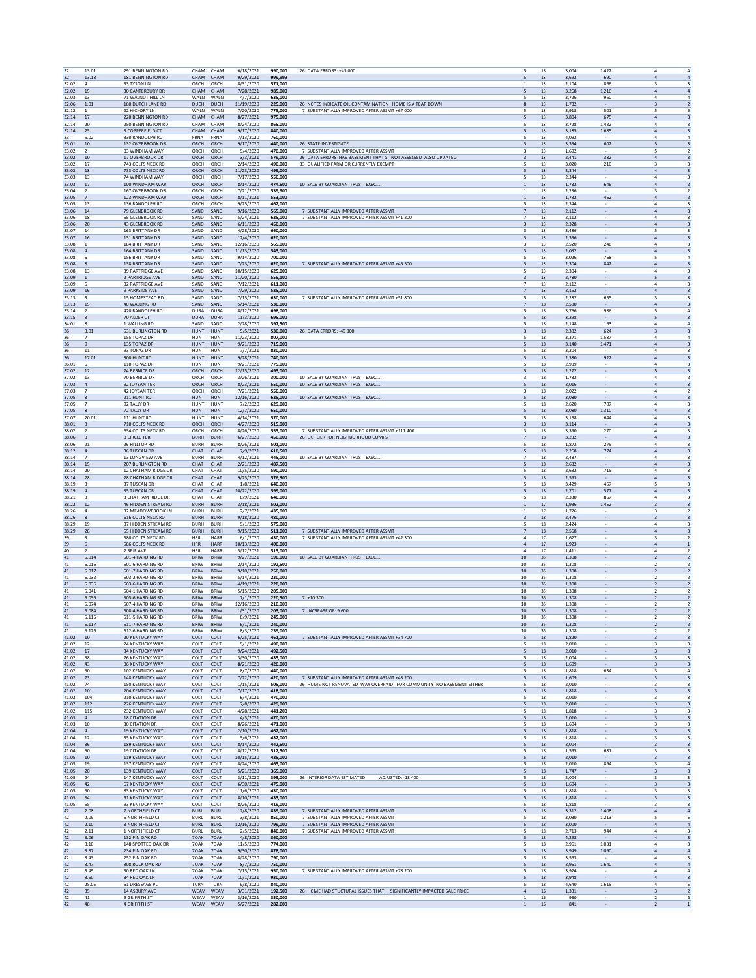| 32             | 13.01                                     | 291 BENNINGTON RD                                | CHAM                       | CHAM                       | 6/18/2021               | 990,000            | 26 DATA ERRORS: +43 000                                                                                           | 18           | 3,004          | 1,422<br>$\overline{a}$                                                                |                                                    |
|----------------|-------------------------------------------|--------------------------------------------------|----------------------------|----------------------------|-------------------------|--------------------|-------------------------------------------------------------------------------------------------------------------|--------------|----------------|----------------------------------------------------------------------------------------|----------------------------------------------------|
| 32             | 13.13                                     | 181 BENNINGTON RD                                | CHAM                       | CHAM                       | 9/29/2021               | 999,999            | 5                                                                                                                 | 18           | 3,692          | 690<br>$\overline{a}$                                                                  | $\overline{a}$                                     |
| 32.02<br>32.02 | $\mathbf{4}$<br>15                        | 33 TYSON LN<br><b>30 CANTERBURY DR</b>           | ORCH<br>CHAM               | ORCH<br>CHAM               | 8/31/2020<br>7/28/2021  | 571,000<br>985,000 | $\mathbf{1}$<br>5                                                                                                 | 18<br>18     | 2,104<br>3.268 | 866<br>3<br>1.216<br>$\overline{a}$                                                    | $\overline{a}$                                     |
| 32.03          | 13                                        | 71 WALNUT HILL LN                                | WALN                       | WALN                       | 4/7/2020                | 635,000            | 5                                                                                                                 | 18           | 3,726          | 960<br>$\overline{4}$                                                                  | $\overline{a}$                                     |
| 32.06<br>32.12 | 1.01<br>1                                 | 180 DUTCH LANE RD<br>22 HICKORY LN               | <b>DUCH</b><br>WALN        | <b>DUCH</b><br>WALN        | 11/19/2020<br>7/20/2020 | 225,000<br>775,000 | 26 NOTES INDICATE OIL CONTAMINATION HOME IS A TEAR DOWN<br>8<br>7 SUBSTANTIALLY IMPROVED AFTER ASSMT +67 000<br>5 | 18<br>18     | 1,782<br>3,918 | 3<br>501<br>5                                                                          | $\overline{2}$<br>5                                |
| 32.14          | 17                                        | 220 BENNINGTON RD                                | CHAM                       | CHAM                       | 8/27/2021               | 975,000            | 5                                                                                                                 | 18           | 3,804          | 675<br>$\overline{a}$                                                                  | $\overline{\mathbf{3}}$                            |
| 32.14          | 20                                        | <b>250 BENNINGTON RD</b>                         | CHAM                       | CHAM                       | 8/24/2020               | 865,000            | -5                                                                                                                | 18           | 3.728          | 1.432<br>4                                                                             | 3                                                  |
| 32.14<br>33    | 25<br>5.02                                | <b>3 COPPERFIELD CT</b><br>330 RANDOLPH RD       | CHAM<br>FRNA               | CHAM<br>FRNA               | 9/17/2020<br>7/13/2020  | 840,000<br>760,000 | 5                                                                                                                 | $18\,$<br>18 | 3,185<br>4,092 | 1,685<br>$\overline{4}$<br>4                                                           | $\overline{\mathbf{3}}$<br>$\overline{a}$          |
| 33.01          | 10                                        | 132 OVERBROOK DR                                 | ORCH                       | ORCH                       | 9/17/2020               | 440,000            | 26 STATE INVESTIGATE<br>5                                                                                         | 18           | 3,334          | 602<br>5                                                                               | $\overline{\mathbf{3}}$                            |
| 33.02<br>33.02 | $\overline{2}$<br>10                      | 83 WINDHAM WAY<br>17 OVERBROOK DR                | ORCH<br>ORCH               | ORCH<br>ORCH               | 9/4/2020<br>3/3/2021    | 470,000<br>579,000 | 7 SUBSTANTIALLY IMPROVED AFTER ASSMT<br>3<br>26 DATA ERRORS HAS BASEMENT THAT S NOT ASSESSED ALSO UPDATED<br>3    | 18<br>18     | 1,692<br>2.441 | 5<br>382<br>$\overline{a}$                                                             | $\overline{2}$<br>$\overline{\mathbf{3}}$          |
| 33.02          | 17                                        | 743 COLTS NECK RD                                | ORCH                       | ORCH                       | 2/14/2020               | 490,000            | 33 QUALIFIED FARM OR CURRENTLY EXEMPT<br>5                                                                        | $18\,$       | 3,020          | 210<br>3                                                                               | 3                                                  |
| 33.02          | 18                                        | 733 COLTS NECK RD                                | ORCH                       | ORCH                       | 11/23/2020              | 499,000            |                                                                                                                   | 18           | 2,344          | $\mathbf{A}$                                                                           | 3                                                  |
| 33.03<br>33.03 | 13<br>17                                  | 74 WINDHAM WAY<br>100 WINDHAM WAY                | ORCH<br>ORCH               | ORCH<br>ORCH               | 7/17/2020<br>8/14/2020  | 550,000<br>474,500 | 5<br>10 SALE BY GUARDIAN TRUST EXEC.<br>$\mathbf{1}$                                                              | 18<br>18     | 2,344<br>1,732 | $\overline{4}$<br>646<br>$\overline{a}$                                                | 3<br>$\overline{2}$                                |
| 33.04          | 2                                         | 167 OVERBROOK DR                                 | ORCH                       | ORCH                       | 7/21/2020               | 539,900            | -1                                                                                                                | 18           | 2.236          | 3                                                                                      | $\overline{2}$                                     |
| 33.05          | $\overline{7}$                            | 123 WINDHAM WAY                                  | ORCH                       | ORCH                       | 8/11/2021               | 553,000            | $\mathbf{1}$                                                                                                      | $18\,$       | 1,732          | 462<br>$\overline{a}$                                                                  | $\overline{2}$                                     |
| 33.05<br>33.06 | 13<br>$14\,$                              | 136 RANDOLPH RD<br>79 GLENBROOK RD               | ORCH<br>SAND               | ORCH<br>SAND               | 9/25/2020<br>9/16/2020  | 462,000<br>565,000 | 5<br>7 SUBSTANTIALLY IMPROVED AFTER ASSMT<br>$\overline{7}$                                                       | 18<br>18     | 2.344<br>2,112 | 4<br>$\overline{a}$<br>$\overline{\phantom{a}}$                                        | $\overline{\mathbf{3}}$                            |
| 33.06          | 18                                        | <b>55 GLENBROOK RD</b>                           | SAND                       | SAND                       | 5/24/2021               | 625,000            | 7 SUBSTANTIALLY IMPROVED AFTER ASSMT +41 200<br>$\overline{7}$                                                    | 18           | 2,112          | ÷,<br>$\overline{a}$                                                                   | 3                                                  |
| 33.06          | 20                                        | <b>43 GLENBROOK RD</b>                           | SAND                       | SAND                       | 6/11/2020               | 450,000            | $\overline{\mathbf{3}}$                                                                                           | 18           | 2.328          | $\overline{a}$<br>$\overline{\phantom{a}}$                                             | $\overline{\mathbf{3}}$                            |
| 33.07<br>33.07 | 14<br>16                                  | 163 BRITTANY DR<br>151 BRITTANY DR               | SAND<br>SAND               | SAND<br>SAND               | 4/28/2020<br>12/4/2020  | 660,000<br>620,000 | 3<br>5                                                                                                            | 18<br>18     | 3,486<br>2,336 | $\overline{a}$                                                                         | 3<br>$\overline{\mathbf{3}}$                       |
| 33.08          | -1                                        | 184 BRITTANY DR                                  | SAND                       | SAND                       | 12/16/2020              | 565,000            | $\overline{\mathbf{3}}$                                                                                           | 18           | 2,520          | 248<br>$\ddot{4}$                                                                      | $\overline{\mathbf{3}}$                            |
| 33.08<br>33.08 | $\sqrt{4}$                                | 164 BRITTANY DR                                  | SAND                       | SAND                       | 11/13/2020<br>9/14/2020 | 545,000            | $\overline{\mathbf{3}}$                                                                                           | 18           | 2,032          | $\overline{a}$<br>768                                                                  | $\overline{\mathbf{3}}$                            |
| 33.08          | -5<br>8                                   | <b>156 BRITTANY DR</b><br><b>138 BRITTANY DR</b> | SAND<br>SAND               | SAND<br>SAND               | 7/23/2020               | 700,000<br>620,000 | -5<br>7 SUBSTANTIALLY IMPROVED AFTER ASSMT +45 500<br>$\mathsf S$                                                 | 18<br>$18\,$ | 3.026<br>2,304 | 5<br>842<br>$\overline{a}$                                                             | 4<br>$\overline{\mathbf{3}}$                       |
| 33.08          | 13                                        | <b>39 PARTRIDGE AVE</b>                          | SAND                       | SAND                       | 10/15/2020              | 625,000            | 5                                                                                                                 | 18           | 2.304          | 4                                                                                      |                                                    |
| 33.09          | $\overline{1}$                            | 2 PARTRIDGE AVE                                  | SAND                       | SAND                       | 11/20/2020              | 555,100            | $\overline{\mathbf{3}}$                                                                                           | 18           | 2,780          | 5<br>$\sim$                                                                            | $\overline{\mathbf{3}}$                            |
| 33.09<br>33.09 | 6<br>16                                   | <b>32 PARTRIDGE AVE</b><br><b>9 PARKSIDE AVE</b> | SAND<br>SAND               | SAND<br>SAND               | 7/12/2021<br>7/29/2020  | 611,000<br>525,000 | $\overline{7}$<br>$\overline{7}$                                                                                  | 18<br>18     | 2,112<br>2.152 | $\overline{\phantom{a}}$<br>$\overline{a}$<br>$\overline{a}$<br>$\sim$                 | 3<br>$\overline{\mathbf{3}}$                       |
| 33.13          |                                           | 15 HOMESTEAD RD                                  | SAND                       | SAND                       | 7/15/2021               | 630,000            | 7 SUBSTANTIALLY IMPROVED AFTER ASSMT +51 800                                                                      | 18           | 2,282          | 655<br>3                                                                               | 3                                                  |
| 33.13          | 15                                        | 40 WALLING RD                                    | SAND                       | SAND                       | 5/14/2021               | 530,000            | $\overline{7}$<br>5                                                                                               | 18           | 2,580          | $\overline{a}$                                                                         | $\overline{\mathbf{3}}$                            |
| 33.14<br>33.15 | $\overline{2}$<br>$\overline{\mathbf{3}}$ | 420 RANDOLPH RD<br>70 ALDER CT                   | DURA<br><b>DURA</b>        | <b>DURA</b><br><b>DURA</b> | 8/12/2021<br>11/3/2020  | 698,000<br>695,000 | 5                                                                                                                 | 18<br>18     | 3.766<br>3,298 | 986<br>5<br>5                                                                          | $\overline{4}$<br>$\overline{\mathbf{3}}$          |
| 34.01          | -8                                        | 1 WALLING RD                                     | SAND                       | SAND                       | 2/28/2020               | 397.500            | -5                                                                                                                | 18           | 2.148          | 163<br>4                                                                               | 4                                                  |
| 36<br>36       | 3.01<br>$\overline{7}$                    | 531 BURLINGTON RD<br>155 TOPAZ DR                | HUNT<br><b>HUNT</b>        | <b>HUNT</b><br>HUNT        | 5/5/2021<br>11/23/2020  | 530,000<br>807,000 | 26 DATA ERRORS: - 49 800<br>$\overline{\mathbf{3}}$<br>5                                                          | $18\,$<br>18 | 2,382<br>3,371 | 624<br>$\overline{\mathbf{3}}$<br>1.537<br>$\mathbf{A}$                                | $\overline{\mathbf{3}}$<br>$\mathfrak{a}$          |
| 36             | 9                                         | 135 TOPAZ DR                                     | <b>HUNT</b>                | <b>HUNT</b>                | 9/21/2020               | 715,000            | 5                                                                                                                 | 18           | 3.140          | 1,471<br>$\mathbf{A}$                                                                  | $\overline{\mathbf{3}}$                            |
| 36             | 11                                        | 93 TOPAZ DR                                      | HUNT                       | <b>HUNT</b>                | 7/7/2021                | 830,000            | 5                                                                                                                 | 18           | 3,204          | $\overline{4}$                                                                         | 3                                                  |
| 36             | 17.01                                     | 300 HUNT RD                                      | <b>HUNT</b>                | <b>HUNT</b>                | 9/28/2021               | 740,000            | 5                                                                                                                 | 18           | 2.380          | 922<br>$\overline{a}$                                                                  | $\overline{\mathbf{3}}$                            |
| 36.01<br>37.02 | 6<br>12                                   | 110 TOPAZ DR<br>74 BERNICE DR                    | HUNT<br>ORCH               | HUNT<br>ORCH               | 9/21/2021<br>12/15/2020 | 775,000<br>495,000 | 5<br>5                                                                                                            | 18<br>18     | 2,989<br>2,272 | 4<br>5                                                                                 | 3<br>$\overline{\mathbf{3}}$                       |
| 37.02          | 13                                        | 70 BERNICE DR                                    | ORCH                       | ORCH                       | 3/26/2021               | 300,000            | 10 SALE BY GUARDIAN TRUST EXEC.<br>$\overline{\mathbf{3}}$                                                        | 18           | 1.732          | $\mathbf{A}$                                                                           | $\overline{2}$                                     |
| 37.03<br>37.03 | $\sqrt{4}$<br>$\overline{7}$              | 92 JOYSAN TER<br>42 IOYSAN TER                   | ORCH<br>ORCH               | ORCH<br>ORCH               | 8/23/2021<br>7/21/2021  | 550,000<br>550,000 | 10 SALE BY GUARDIAN TRUST EXEC.<br>5<br>3                                                                         | 18<br>18     | 2,016<br>2.022 | $\overline{\phantom{a}}$<br>$\overline{a}$<br>4                                        | $\overline{\mathbf{3}}$<br>$\overline{2}$          |
| 37.05          | $\overline{\mathbf{3}}$                   | 211 HUNT RD                                      | HUNT                       | <b>HUNT</b>                | 12/16/2020              | 625,000            | 10 SALE BY GUARDIAN TRUST EXEC<br>5                                                                               | $18\,$       | 3,080          | $\overline{4}$                                                                         | $\overline{\mathbf{3}}$                            |
| 37.05          | $\overline{7}$                            | 92 TALLY DR                                      | <b>HUNT</b>                | HUNT                       | 7/2/2020                | 629,000            | 5                                                                                                                 | 18           | 2,620          | 707<br>4                                                                               | 3                                                  |
| 37.05<br>37.07 | 8<br>20.01                                | 72 TALLY DR<br>111 HUNT RD                       | <b>HUNT</b><br>HUNT        | <b>HUNT</b><br><b>HUNT</b> | 12/7/2020<br>4/14/2021  | 650,000<br>570,000 | 5<br>5                                                                                                            | 18<br>18     | 3.080<br>3,168 | 1.310<br>$\Delta$<br>644<br>$\overline{4}$                                             | $\overline{\mathbf{3}}$<br>3                       |
| 38.01          | $\overline{\mathbf{3}}$                   | 710 COLTS NECK RD                                | ORCH                       | ORCH                       | 4/27/2020               | 515,000            | 3                                                                                                                 | 18           | 3.114          | $\overline{a}$                                                                         | $\overline{\mathbf{3}}$                            |
| 38.02          |                                           | 654 COLTS NECK RD                                | ORCH                       | ORCH                       | 8/26/2020               | 555,000            | 7 SUBSTANTIALLY IMPROVED AFTER ASSMT +111 400<br>3                                                                | $18\,$       | 3,390          | 270<br>$\overline{4}$                                                                  | 3                                                  |
| 38.06<br>38.06 | 8<br>21                                   | <b>8 CIRCLE TER</b><br>26 HILLTOP RD             | <b>BURH</b><br><b>BURH</b> | <b>BURH</b><br><b>BURH</b> | 6/27/2020<br>8/26/2021  | 450,000<br>501.000 | 26 OUTLIER FOR NEIGHBORHOOD COMPS<br>$\overline{7}$<br>5                                                          | 18<br>18     | 3,232<br>1.872 | $\overline{4}$<br>275<br>4                                                             | $\overline{\mathbf{3}}$<br>$\overline{\mathbf{3}}$ |
| 38.12          | $\sqrt{4}$                                | <b>36 TUSCAN DR</b>                              | CHAT                       | CHAT                       | 7/9/2021                | 618,500            | 5                                                                                                                 | 18           | 2,268          | 774<br>$\overline{a}$                                                                  | $\overline{\mathbf{3}}$                            |
| 38.14          | $\overline{7}$                            | <b>13 LONGVIEW AVE</b>                           | <b>BURH</b>                | <b>BURH</b>                | 4/12/2021               | 445,000            | 10 SALE BY GUARDIAN TRUST EXEC<br>$\overline{7}$                                                                  | 18           | 2.487          | 4<br>$\overline{\phantom{a}}$                                                          | 3                                                  |
| 38.14<br>38.14 | 15<br>20                                  | <b>207 BURLINGTON RD</b><br>12 CHATHAM RIDGE DR  | CHAT<br>CHAT               | CHAT<br>CHAT               | 2/21/2020<br>10/5/2020  | 487,500<br>590,000 | 5<br>5                                                                                                            | $18\,$<br>18 | 2,632<br>2,632 | $\overline{4}$<br>715<br>4                                                             | $\overline{\mathbf{3}}$<br>3                       |
| 38.14          | 28                                        | 28 CHATHAM RIDGE DR                              | CHAT                       | CHAT                       | 9/25/2020               | 576,300            | 5                                                                                                                 | 18           | 2.593          | $\Delta$                                                                               | $\overline{\mathbf{3}}$                            |
| 38.19<br>38.19 | 3                                         | 37 TUSCAN DR                                     | CHAT<br>CHAT               | CHAT<br>CHAT               | 1/8/2021<br>10/22/2020  | 640,000            | 5                                                                                                                 | 18<br>18     | 3,429<br>2.701 | 457<br>5<br>577                                                                        | 3<br>$\overline{\mathbf{3}}$                       |
| 38.21          | $\overline{4}$                            | 35 TUSCAN DR<br>3 CHATHAM RIDGE DR               | CHAT                       | CHAT                       | 8/9/2021                | 599,000<br>640,000 | 5<br>5                                                                                                            | $18\,$       | 2,330          | $\overline{a}$<br>867<br>$\overline{4}$                                                | 3                                                  |
| 38.22          | 12                                        | 46 HIDDEN STREAM RD                              | <b>BURH</b>                | <b>BURH</b>                | 3/18/2021               | 502,000            | $\overline{1}$                                                                                                    | $17\,$       | 1,936          | 1,452<br>$\overline{\mathbf{3}}$                                                       | 3                                                  |
| 38.26<br>38.26 | $\mathbf{A}$<br>8                         | 32 MEADOWBROOK LN<br><b>616 COLTS NECK RD</b>    | <b>BURH</b><br><b>BURH</b> | <b>BURH</b><br><b>BURH</b> | 2/7/2021<br>9/18/2020   | 435,000<br>480,000 | $\overline{1}$<br>$\overline{\mathbf{3}}$                                                                         | 17<br>18     | 1.726<br>2,476 | в<br>$\overline{\phantom{a}}$<br>$\overline{\mathbf{3}}$                               | $\overline{2}$<br>$\overline{\mathbf{3}}$          |
| 38.29          | 19                                        | 37 HIDDEN STREAM RD                              | <b>BURH</b>                | <b>BURH</b>                | 9/1/2020                | 575,000            | 5                                                                                                                 | 18           | 2,424          | $\overline{\phantom{a}}$<br>$\mathbf{A}$                                               | 3                                                  |
| 38.29          | 28                                        | 55 HIDDEN STREAM RD                              | <b>BURH</b>                | <b>BURH</b>                | 9/15/2020               | 511,000            | 7 SUBSTANTIALLY IMPROVED AFTER ASSMT<br>$\overline{7}$                                                            | 18           | 2,568          | 4<br>$\overline{\phantom{a}}$                                                          | $\overline{\mathbf{3}}$                            |
| 39<br>39       | $\mathbf{R}$<br>6                         | 580 COLTS NECK RD<br>586 COLTS NECK RD           | <b>HRR</b><br><b>HRR</b>   | HARR<br><b>HARR</b>        | 6/1/2020<br>10/13/2020  | 430,000<br>400,000 | 7 SUBSTANTIALLY IMPROVED AFTER ASSMT +42 300<br>$\mathbf{4}$<br>$\overline{4}$                                    | 17<br>17     | 1,627<br>1.923 | в<br>$\sim$<br>$\mathbf{A}$                                                            | $\overline{2}$<br>$\mathbf{1}$                     |
| 40             | $\overline{2}$                            | 2 REJE AVE                                       | <b>HRR</b>                 | HARR                       | 5/12/2021               | 515,000            | $\overline{4}$                                                                                                    | 17           | 1,411          | $\overline{\phantom{a}}$<br>$\overline{a}$                                             | $\overline{2}$                                     |
| 41             | 5.014                                     | 501-4 HARDING RD                                 | <b>BRIW</b>                | <b>BRIW</b><br><b>BRIW</b> | 9/27/2021               | 198,000            | 10 SALE BY GUARDIAN TRUST EXEC.<br>10                                                                             | 35           | 1,308          | $\sim$<br>$\overline{2}$                                                               | $\overline{2}$                                     |
| 41<br>41       | 5.016<br>5.017                            | 501-6 HARDING RD<br>501-7 HARDING RD             | <b>BRIW</b><br><b>BRIW</b> | <b>BRIW</b>                | 2/14/2020<br>9/10/2021  | 192,500<br>250,000 | 10<br>$10\,$                                                                                                      | 35<br>35     | 1,308<br>1,308 | $\overline{2}$                                                                         | $\overline{2}$<br>$\overline{2}$                   |
| 41             | 5.032                                     | 503-2 HARDING RD                                 | <b>BRIW</b>                | <b>BRIW</b>                | 5/14/2021               | 230,000            | 10                                                                                                                | 35           | 1.308          | $\overline{\phantom{a}}$                                                               | $\overline{2}$                                     |
| 41<br>41       | 5.036                                     | 503-6 HARDING RD<br>504-1 HARDING RD             | <b>BRIW</b><br><b>BRIW</b> | <b>BRIW</b><br><b>BRIW</b> | 4/19/2021               | 228,000            | 10<br>10                                                                                                          | 35           | 1,308          | $\overline{2}$<br>$\sim$                                                               | $\overline{2}$                                     |
| 41             | 5.041<br>5.056                            | 505-6 HARDING RD                                 | <b>BRIW</b>                | <b>BRIW</b>                | 5/15/2020<br>7/1/2020   | 205,000<br>220,500 | $10\,$<br>$7 + 10300$                                                                                             | 35<br>35     | 1,308<br>1,308 | $\overline{2}$<br>$\overline{\mathbf{2}}$                                              | $\overline{2}$<br>$\overline{2}$                   |
| 41             | 5.074                                     | 507-4 HARDING RD                                 | <b>BRIW</b>                | <b>BRIW</b>                | 12/16/2020              | 210,000            | 10                                                                                                                | 35           | 1.308          | $\overline{z}$                                                                         | $\overline{2}$                                     |
| 41<br>41       | 5.084<br>5.115                            | 508-4 HARDING RD<br>511-5 HARDING RD             | <b>BRIW</b><br><b>BRIW</b> | <b>BRIW</b><br><b>BRIW</b> | 1/31/2020<br>8/9/202    | 205,000<br>245,000 | 7 INCREASE OF: 9 600<br>10<br>10                                                                                  | 35<br>35     | 1.308<br>1,308 | $\sim$<br>$\overline{2}$                                                               | $\overline{2}$                                     |
| 41             | 5.117                                     | 511-7 HARDING RD                                 | <b>BRIW</b>                | <b>BRIW</b>                | 6/1/2021                | 240,000            | 10                                                                                                                | 35           | 1,308          | $\overline{2}$                                                                         | $\overline{2}$                                     |
| 41             | 5.126                                     | 512-6 HARDING RD                                 | BRIW                       | <b>BRIW</b>                | 8/3/2020                | 239,000            | 10                                                                                                                | 35           | 1,308          | $\overline{2}$                                                                         | $\overline{2}$                                     |
| 41.02<br>41.02 | 10<br>12                                  | 20 KENTUCKY WAY<br><b>24 KENTUCKY WAY</b>        | COLT<br>COLT               | COLT<br>COLT               | 6/25/2021<br>9/1/2021   | 461,000<br>490,000 | 7 SUBSTANTIALLY IMPROVED AFTER ASSMT +34 700<br>5<br>5                                                            | 18<br>18     | 1,820<br>2.010 | $\overline{\mathbf{3}}$<br>3                                                           | $\overline{\mathbf{3}}$<br>3                       |
| 41.02          | 17                                        | <b>34 KENTUCKY WAY</b>                           | COLT                       | COLT                       | 9/24/2021               | 492,500            | 5                                                                                                                 | 18           | 2,010          | $\overline{\mathbf{3}}$<br>$\sim$                                                      | $\overline{\mathbf{3}}$                            |
| 41.02          | 38                                        | 76 KENTUCKY WAY<br><b>86 KENTUCKY WAY</b>        | COLT                       | COLT                       | 3/30/2020               | 435,000            | 5                                                                                                                 | 18           | 2,004          | $\overline{\phantom{a}}$<br>3                                                          | 3                                                  |
| 41.02<br>41.02 | 43<br>50                                  | 102 KENTUCKY WAY                                 | COLT<br>COLT               | COLT<br>COLT               | 8/21/2020<br>8/7/2020   | 420,000<br>440,000 | 5<br>5                                                                                                            | $18\,$<br>18 | 1,609<br>1,818 | $\overline{\mathbf{3}}$<br>634<br>$\overline{3}$                                       | $\overline{\mathbf{3}}$<br>$\overline{4}$          |
| 41.02          | 73                                        | <b>148 KENTUCKY WAY</b>                          | COLT                       | COLT                       | 7/22/2020               | 420,000            | 7 SUBSTANTIALLY IMPROVED AFTER ASSMT +43 200<br>5                                                                 | 18           | 1.609          | $\overline{\mathbf{3}}$                                                                | $\overline{\mathbf{3}}$                            |
| 41.02          | 74                                        | <b>150 KENTUCKY WAY</b>                          | COLT                       | COLT                       | 1/15/2021               | 505,000            | 26 HOME NOT RENOVATED WAY OVERPAID FOR COMMUNITY NO BASEMENT EITHER<br>5                                          | 18           | 2,010          | $\sim$<br>3                                                                            | 3                                                  |
| 41.02<br>41.02 | 101<br>104                                | 204 KENTUCKY WAY<br><b>210 KENTUCKY WAY</b>      | COLT<br>COLT               | COLT<br>COLT               | 7/17/2020<br>6/4/2021   | 418,000<br>470,000 | 5<br>5                                                                                                            | 18<br>18     | 1,818<br>2,010 | $\overline{\mathbf{3}}$<br>$\sim$<br>3                                                 | 3<br>3                                             |
| 41.02          | 112                                       | 226 KENTUCKY WAY                                 | COLT                       | COLT                       | 7/8/2020                | 429,000            | 5                                                                                                                 | 18           | 2,010          | $\overline{\mathbf{3}}$                                                                | $\overline{\mathbf{3}}$                            |
| 41.02<br>41.03 | 115<br>$\sqrt{4}$                         | 232 KENTUCKY WAY<br><b>18 CITATION DR</b>        | COLT<br>COLT               | COLT<br>COLT               | 4/28/2021<br>4/5/2021   | 441.200<br>470,000 | 5<br>5                                                                                                            | 18<br>18     | 1.818<br>2,010 | 3<br>$\overline{\mathbf{3}}$<br>$\sim$                                                 | 3<br>$\overline{\mathbf{3}}$                       |
| 41.03          | 10                                        | <b>30 CITATION DR</b>                            | COLT                       | COLT                       | 8/26/2021               | 471,000            | 5                                                                                                                 | 18           | 1,604          | ×<br>3                                                                                 | 3                                                  |
| 41.04          | $\overline{a}$                            | 19 KENTUCKY WAY                                  | COLT                       | COLT                       | 2/10/2021               | 462,000            | $\mathsf S$                                                                                                       | $18\,$       | 1,818          | $\sqrt{3}$                                                                             | $\overline{\mathbf{3}}$                            |
| 41.04<br>41.04 | 12<br>36                                  | 35 KENTUCKY WAY<br><b>189 KENTUCKY WAY</b>       | COLT<br>COLT               | COLT<br>COLT               | 5/6/2021<br>8/14/2020   | 432,000<br>442.500 | 5<br>5                                                                                                            | 18<br>18     | 1,818<br>2.004 | 3<br>3                                                                                 | 3<br>$\overline{\mathbf{3}}$                       |
| 41.04          | 50                                        | <b>19 CITATION DR</b>                            | COLT                       | COLT                       | 8/12/2021               | 512,500            | 5                                                                                                                 | 18           | 1,595          | 681<br>3                                                                               | 3                                                  |
| 41.05          | 10                                        | <b>119 KENTUCKY WAY</b>                          | COLT                       | COLT                       | 10/15/2020              | 425,000            | 5                                                                                                                 | 18           | 2,010          | $\overline{\mathbf{3}}$                                                                | 3                                                  |
| 41.05<br>41.05 | 19<br>20                                  | 137 KENTUCKY WAY<br>139 KENTUCKY WAY             | COLT<br>COLT               | COLT<br>COLT               | 8/24/2020<br>5/21/2020  | 465,000<br>365,000 | 5<br>5                                                                                                            | 18<br>18     | 2,010<br>1,747 | 894<br>3<br>3<br>$\overline{\phantom{a}}$                                              | $\overline{a}$<br>$\overline{\mathbf{3}}$          |
| 41.05          | 24                                        | <b>147 KENTUCKY WAY</b>                          | COLT                       | COLT                       | 3/11/2020               | 395,000            | ADJUSTED: - 18 400<br>26 INTERIOR DATA ESTIMATED<br>-5                                                            | 18           | 2.004          | 3                                                                                      | 3                                                  |
| 41.05          | 42                                        | 67 KENTUCKY WAY                                  | COLT                       | COLT                       | 6/30/2021               | 475,000            | 5                                                                                                                 | 18           | 1,604          | $\sim$<br>$\overline{\mathbf{3}}$                                                      | $\overline{\mathbf{3}}$                            |
| 41.05<br>41.05 | 50<br>54                                  | 83 KENTUCKY WAY<br>91 KENTUCKY WAY               | COLT<br>COLT               | COLT<br>COLT               | 11/6/2020<br>8/10/2021  | 430,000<br>435,000 | 5<br>5                                                                                                            | 18<br>$18\,$ | 1,818<br>1,818 | $\overline{\phantom{a}}$<br>3<br>$\ensuremath{\mathsf{3}}$<br>$\overline{\phantom{a}}$ | 3<br>$\overline{\mathbf{3}}$                       |
| 41.05          | 55                                        | 93 KENTUCKY WAY                                  | COLT                       | COLT                       | 8/26/2020               | 419,000            | 5                                                                                                                 | 18           | 1,818          | 3                                                                                      | 3                                                  |
| 42<br>42       | 2.08<br>2.09                              | 7 NORTHFIELD CT<br>5 NORTHFIELD CT               | <b>BURL</b><br><b>BURL</b> | <b>BURL</b><br>BURL        | 12/8/2020<br>3/8/2021   | 839,000<br>850,000 | 7 SUBSTANTIALLY IMPROVED AFTER ASSMT<br>5<br>7 SUBSTANTIALLY IMPROVED AFTER ASSMT<br>5                            | 18<br>18     | 3.312<br>3,030 | 1,408<br>$\overline{a}$<br>1,213<br>5                                                  | $\overline{a}$<br>5                                |
| 42             | 2.10                                      | 3 NORTHFIELD CT                                  | <b>BURL</b>                | <b>BURL</b>                | 12/16/2020              | 799,000            | 7 SUBSTANTIALLY IMPROVED AFTER ASSMT<br>5                                                                         | 18           | 3,000          | $\overline{a}$                                                                         | $\overline{a}$                                     |
| 42             | 2.11                                      | 1 NORTHFIELD CT                                  | <b>BURL</b>                | <b>BURL</b>                | 2/5/2021                | 840,000            | 7 SUBSTANTIALLY IMPROVED AFTER ASSMT<br>5                                                                         | 18           | 2,713          | 944<br>$\overline{a}$                                                                  | 3                                                  |
| 42<br>42       | 3.06<br>3.10                              | 132 PIN OAK RD<br>148 SPOTTED OAK DR             | 70AK<br>70AK               | 70AK<br>70AK               | 4/8/2020<br>11/5/2020   | 860,000<br>774,000 | 5<br>-5                                                                                                           | 18<br>18     | 4,298<br>2.961 | $\overline{a}$<br>1.031<br>$\overline{4}$                                              | $\overline{\mathbf{3}}$<br>3                       |
| 42             | 3.37                                      | 234 PIN OAK RD                                   | 70AK                       | 70AK                       | 9/30/2020               | 878,000            | 5                                                                                                                 | 18           | 3,949          | 1,090<br>$\overline{a}$                                                                | $\overline{a}$                                     |
| 42<br>42       | 3.43<br>3.47                              | 252 PIN OAK RD<br>308 ROCK OAK RD                | 70AK<br>70AK               | 70AK<br>70AK               | 8/28/2020<br>8/7/2020   | 790,000<br>750,000 | 5<br>5                                                                                                            | 18<br>18     | 3,563<br>2,961 | $\mathbf{A}$<br>1,640<br>$\overline{a}$                                                | 3<br>$\overline{a}$                                |
| 42             | 3.49                                      | 30 RED OAK LN                                    | 70AK                       | 70AK                       | 7/15/2021               | 950,000            | 7 SUBSTANTIALLY IMPROVED AFTER ASSMT +78 200<br>5                                                                 | 18           | 3,924          | 4                                                                                      | $\overline{a}$                                     |
| 42             | 3.50                                      | 34 RED OAK LN                                    | 70AK                       | 70AK                       | 10/1/2021               | 930,000            | 5                                                                                                                 | 18           | 3.948          | $\overline{a}$                                                                         | $\overline{\mathbf{3}}$                            |
| 42<br>42       | 25.05                                     | 51 DRESSAGE PL<br>14 ASBURY AVE                  | TURN<br>WEAV               | TURN<br>WEAV               | 9/8/2020                | 840,000<br>192,500 | 5<br>$\overline{4}$                                                                                               | 18           | 4,640          | 1,615<br>$\ddot{4}$                                                                    | 5<br>$\overline{2}$                                |
| 42             | 35<br>$41\,$                              | 9 GRIFFITH ST                                    | WEAV                       | WEAV                       | 3/31/2021<br>3/16/2021  | 350,000            | 26 HOME HAD STUCTURAL ISSUES THAT SIGNIFICANTLY IMPACTED SALE PRICE<br>1                                          | 16<br>$16\,$ | 1,331<br>930   | 3<br>$\overline{2}$                                                                    | $\overline{2}$                                     |
| 42             | 48                                        | 4 GRIFFITH ST                                    | WEAV                       | WEAV                       | 5/27/2021               | 282,000            |                                                                                                                   | 16           | 841            | $\overline{2}$                                                                         |                                                    |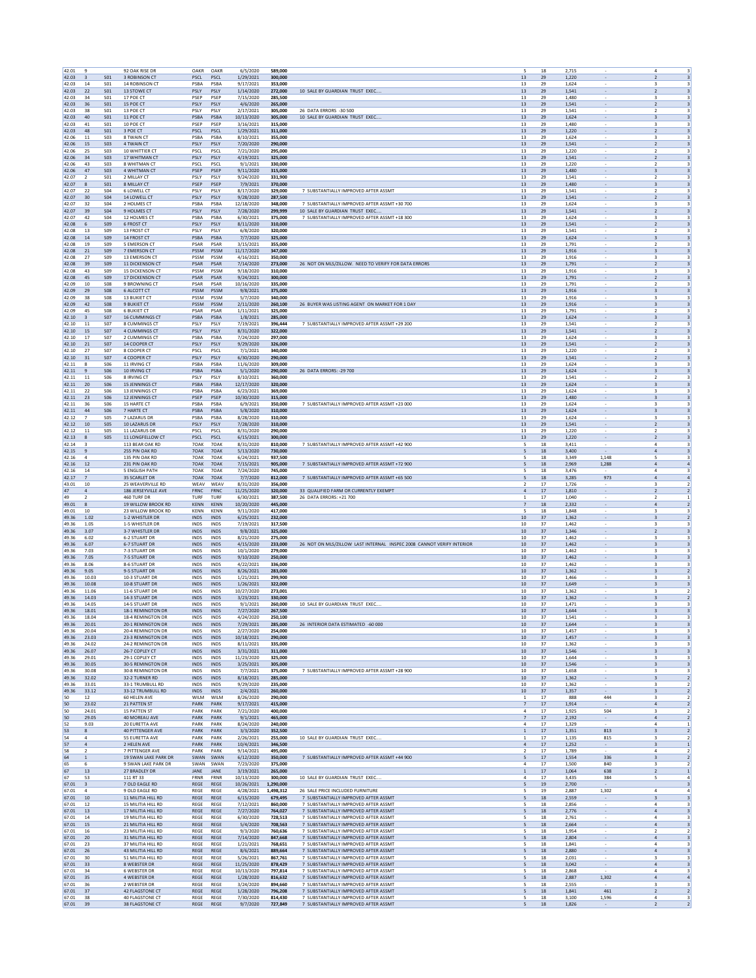| 42.01             | 9                                      |                                    | 92 OAK RISE DR                            | OAKR                       | OAKR                       | 6/5/2020                 | 589,000              |                                                                              | 5<br>18                         |          | 2,715          |                                                      | 4                                                                                                        |
|-------------------|----------------------------------------|------------------------------------|-------------------------------------------|----------------------------|----------------------------|--------------------------|----------------------|------------------------------------------------------------------------------|---------------------------------|----------|----------------|------------------------------------------------------|----------------------------------------------------------------------------------------------------------|
| 42.03             | $\overline{\mathbf{3}}$                | S <sub>01</sub>                    | 3 ROBINSON CT                             | PSCL                       | PSCL                       | 1/29/2021                | 300,000              |                                                                              | 13<br>29                        |          | 1.220          |                                                      | $\overline{\mathbf{3}}$<br>$\overline{2}$                                                                |
| 42.03<br>42.03    | 14<br>22                               | S01<br><b>S01</b>                  | 14 ROBINSON CT<br>13 STOWE CT             | PSBA<br>PSLY               | PSBA<br>PSLY               | 9/17/2021<br>1/14/2020   | 353,000<br>272,000   | 10 SALE BY GUARDIAN TRUST EXEC                                               | 29<br>13<br>13<br>29            |          | 1,624<br>1,541 | $\overline{\phantom{a}}$                             | 3<br>$\overline{\mathbf{3}}$<br>$\overline{\mathbf{3}}$<br>$\overline{2}$                                |
| 42.03             | 34                                     | S01                                | 17 POE CT                                 | PSEP                       | PSEP                       | 7/15/2020                | 285,500              |                                                                              | 13                              | 29       | 1,480          |                                                      | 3<br>3                                                                                                   |
| 42.03             | 36                                     | <b>S01</b>                         | 15 POE CT                                 | PSLY                       | PSLY                       | 4/6/2020                 | 265,000              |                                                                              | $13\,$<br>29                    |          | 1,541          |                                                      | $\overline{2}$<br>$\overline{\mathbf{3}}$                                                                |
| 42.03<br>42.03    | 38<br>40                               | S <sub>01</sub><br>S <sub>01</sub> | 13 POE CT<br>11 POE CT                    | PSLY<br>PSBA               | PSLY<br>PSBA               | 2/17/2021<br>10/13/2020  | 305,000<br>305,000   | 26 DATA ERRORS -30 500<br>10 SALE BY GUARDIAN TRUST EXEC                     | 13<br>29<br>13<br>29            |          | 1.541<br>1,624 | $\sim$                                               | $\overline{2}$<br>$\overline{\mathbf{3}}$<br>$\overline{\mathbf{3}}$<br>$\overline{\mathbf{3}}$          |
| 42.03             | 41                                     | S01                                | 10 POE CT                                 | PSEP                       | PSEP                       | 3/16/2021                | 315,000              |                                                                              | 13<br>29                        |          | 1,480          | $\overline{\phantom{a}}$                             | 3<br>3                                                                                                   |
| 42.03             | 48                                     | S <sub>01</sub>                    | 3 POE CT<br>8 TWAIN CT                    | PSCL                       | PSCL                       | 1/29/2021                | 311.000              |                                                                              | 13<br>29                        |          | 1.220          | $\overline{\phantom{a}}$                             | $\overline{\mathbf{3}}$<br>$\overline{2}$                                                                |
| 42.06<br>42.06    | 11<br>15                               | <b>SO3</b><br><b>S03</b>           | 4 TWAIN CT                                | PSBA<br>PSLY               | PSBA<br>PSLY               | 8/10/2021<br>7/20/2020   | 355,000<br>290,000   |                                                                              | $13\,$<br>29<br>13<br>29        |          | 1,624<br>1.541 |                                                      | 3<br>$\overline{\mathbf{3}}$<br>$\overline{2}$                                                           |
| 42.06             | 25                                     | S03                                | 10 WHITTIER CT                            | PSCL                       | PSCL                       | 7/21/2020                | 295.000              |                                                                              | $13\,$<br>29                    |          | 1,220          |                                                      | $\overline{\mathbf{3}}$                                                                                  |
| 42.06<br>42.06    | 34                                     | <b>SO3</b>                         | 17 WHITMAN CT                             | PSLY                       | PSLY<br>PSCL               | 4/19/2021<br>9/1/2021    | 325,000              |                                                                              | 13<br>29                        |          | 1,541          | $\overline{\phantom{a}}$                             | $\overline{2}$<br>$\overline{\mathbf{3}}$                                                                |
| 42.06             | 43<br>$47\,$                           | S03<br><b>SO3</b>                  | 8 WHITMAN CT<br>4 WHITMAN CT              | PSCL<br>PSEP               | PSEP                       | 9/11/2020                | 330,000<br>315,000   |                                                                              | 13<br>29<br>13<br>29            |          | 1.220<br>1,480 |                                                      | 3<br>$\overline{2}$<br>3<br>$\overline{\mathbf{3}}$                                                      |
| 42.07             | 2                                      | S <sub>01</sub>                    | 2 MILLAY CT                               | PSLY                       | PSLY                       | 9/24/2020                | 331,900              |                                                                              | 13<br>29                        |          | 1.541          |                                                      | $\overline{\mathbf{3}}$<br>$\overline{2}$                                                                |
| 42.07             | 8                                      | S <sub>01</sub>                    | 8 MILLAY CT                               | PSEP                       | PSEP                       | 7/9/2021                 | 370,000              |                                                                              | 13<br>29                        |          | 1,480          | $\sim$                                               | $\overline{\mathbf{3}}$<br>$\overline{\mathbf{3}}$                                                       |
| 42.07<br>42.07    | 22<br>30                               | S04<br><b>S04</b>                  | 6 LOWELL CT<br>14 LOWELL CT               | PSLY<br>PSLY               | PSLY<br>PSLY               | 8/17/2020<br>9/28/2020   | 329,000<br>287.500   | 7 SUBSTANTIALLY IMPROVED AFTER ASSMT                                         | 13<br>29<br>13<br>29            |          | 1,541<br>1.541 | $\overline{\phantom{a}}$<br>$\overline{\phantom{a}}$ | 3<br>$\overline{2}$<br>$\overline{\mathbf{3}}$<br>$\overline{2}$                                         |
| 42.07             | 32                                     | <b>S04</b>                         | 2 HOLMES CT                               | PSBA                       | PSBA                       | 12/18/2020               | 348,000              | 7 SUBSTANTIALLY IMPROVED AFTER ASSMT +30 700                                 | $13\,$<br>29                    |          | 1,624          |                                                      | 3<br>3                                                                                                   |
| 42.07             | 39                                     | S <sub>04</sub>                    | 9 HOLMES CT                               | PSLY                       | PSLY                       | 7/28/2020                | 299,999              | 10 SALE BY GUARDIAN TRUST EXEC                                               | 13<br>29                        |          | 1.541          |                                                      | $\overline{\mathbf{3}}$<br>$\overline{2}$                                                                |
| 42.07             | 42<br>6                                | S04<br>S <sub>09</sub>             | 12 HOLMES CT                              | PSBA<br>PSLY               | PSBA<br>PSLY               | 6/30/2021                | 375,000<br>310,000   | 7 SUBSTANTIALLY IMPROVED AFTER ASSMT +18 300                                 | $13\,$<br>29<br>13<br>29        |          | 1,624          | $\overline{\phantom{a}}$                             | 3<br>$\overline{\mathbf{3}}$<br>$\overline{\mathbf{3}}$<br>$\overline{2}$                                |
| 42.08<br>42.08    | 13                                     | S <sub>09</sub>                    | <b>6 FROST CT</b><br>13 FROST CT          | PSLY                       | PSLY                       | 8/11/2020<br>6/8/2020    | 320,000              |                                                                              | 13<br>29                        |          | 1,541<br>1.541 |                                                      | $\overline{2}$<br>3                                                                                      |
| 42.08             | $14\,$                                 | <b>S09</b>                         | 14 FROST CT                               | PSBA                       | PSBA                       | 7/7/2020                 | 325,000              |                                                                              | $13\,$<br>29                    |          | 1,624          |                                                      | $\overline{\mathbf{3}}$<br>3                                                                             |
| 42.08             | 19                                     | <b>S09</b>                         | 5 EMERSON CT                              | PSAR                       | PSAR                       | 3/15/2021                | 355,000              |                                                                              | 13<br>29                        |          | 1.791          |                                                      | $\overline{\mathbf{3}}$<br>$\overline{2}$                                                                |
| 42.08<br>42.08    | $21\,$<br>27                           | S <sub>09</sub><br>S <sub>09</sub> | 7 EMERSON CT<br>13 EMERSON CT             | PSSM<br>PSSM               | PSSM<br>PSSM               | 11/17/2020<br>4/16/2021  | 347,000<br>350,000   |                                                                              | 13<br>29<br>13<br>29            |          | 1,916<br>1,916 | $\sim$<br>$\overline{\phantom{a}}$                   | $\overline{\mathbf{3}}$<br>$\overline{\mathbf{3}}$<br>3<br>3                                             |
| 42.08             | 39                                     | S <sub>09</sub>                    | <b>11 DICKENSON CT</b>                    | PSAR                       | PSAR                       | 7/14/2020                | 273,000              | 26 NOT ON MLS/ZILLOW. NEED TO VERIFY FOR DATA ERRORS                         | 13<br>29                        |          | 1.791          | $\overline{\phantom{a}}$                             | $\overline{\mathbf{3}}$<br>$\overline{2}$                                                                |
| 42.08             | 43                                     | <b>S09</b>                         | <b>15 DICKENSON CT</b>                    | PSSM                       | PSSM                       | 9/18/2020                | 310,000              |                                                                              | $13\,$<br>29                    |          | 1,916          |                                                      | 3<br>3                                                                                                   |
| 42.08<br>42.09    | 45<br>$10\,$                           | S <sub>09</sub><br><b>S08</b>      | <b>17 DICKENSON CT</b><br>9 BROWNING CT   | PSAR<br>PSAR               | PSAR<br>PSAR               | 9/24/2021<br>10/16/2020  | 300,000<br>335.000   |                                                                              | 13<br>29<br>$13\,$<br>29        |          | 1.791<br>1,791 |                                                      | $\overline{\mathbf{3}}$<br>$\overline{2}$<br>$\overline{\mathbf{3}}$                                     |
| 42.09             | 29                                     | <b>S08</b>                         | <b>6 ALCOTT CT</b>                        | PSSM                       | PSSM                       | 9/8/2021                 | 375,000              |                                                                              | 13<br>29                        |          | 1,916          | $\overline{\phantom{a}}$                             | $\overline{\mathbf{3}}$<br>$\overline{\mathbf{3}}$                                                       |
| 42.09             | 38                                     | <b>S08</b>                         | 13 BUKIET CT                              | PSSM                       | PSSM                       | 5/7/2020                 | 340,000              |                                                                              | 13<br>29                        |          | 1.916          |                                                      | 3<br>3                                                                                                   |
| 42.09             | 42<br>45                               | <b>S08</b><br><b>S08</b>           | <b>9 BUKIET CT</b><br><b>6 BUKIET CT</b>  | PSSM<br>PSAR               | PSSM<br>PSAR               | 2/11/2020                | 260,100              | 26 BUYER WAS LISTING AGENT ON MARKET FOR 1 DAY                               | $13\,$<br>29                    |          | 1,916          |                                                      | $\overline{\mathbf{3}}$<br>3<br>$\overline{z}$                                                           |
| 42.09<br>42.10    | 3                                      | <b>S07</b>                         | 16 CUMMINGS CT                            | PSBA                       | PSBA                       | 1/11/2021<br>1/8/2021    | 325,000<br>285,000   |                                                                              | 13<br>29<br>13<br>29            |          | 1,791<br>1,624 | $\sim$                                               | 3<br>3<br>$\overline{\mathbf{3}}$                                                                        |
| 42.10             | 11                                     | S07                                | 8 CUMMINGS CT                             | PSLY                       | PSLY                       | 7/19/2021                | 396,444              | 7 SUBSTANTIALLY IMPROVED AFTER ASSMT +29 200                                 | 13<br>29                        |          | 1,541          | $\overline{\phantom{a}}$                             | 3<br>$\overline{2}$                                                                                      |
| 42.10             | 15                                     | <b>S07</b>                         | 4 CUMMINGS CT                             | PSLY                       | PSLY                       | 8/31/2020                | 322.000              |                                                                              | 13<br>29                        |          | 1.541          | $\overline{\phantom{a}}$                             | $\overline{\mathbf{3}}$<br>$\overline{2}$                                                                |
| 42.10<br>42.10    | $17\,$<br>21                           | <b>S07</b><br><b>S07</b>           | 2 CUMMINGS CT<br>14 COOPER CT             | PSB/<br>PSLY               | PSBA<br>PSLY               | 7/24/2020<br>9/29/2020   | 297,000<br>326,000   |                                                                              | $13\,$<br>29<br>13<br>29        |          | 1,624<br>1,541 |                                                      | 3<br>3<br>$\overline{\mathbf{3}}$<br>$\overline{2}$                                                      |
| 42.10             | 27                                     | S07                                | 8 COOPER CT                               | PSCL                       | PSCL                       | 7/1/2021                 | 340,000              |                                                                              | 13<br>29                        |          | 1,220          |                                                      | $\overline{\mathbf{3}}$                                                                                  |
| 42.10             | 31                                     | <b>S07</b>                         | 4 COOPER CT                               | PSLY                       | PSLY                       | 6/30/2020                | 290,000              |                                                                              | 13<br>29                        |          | 1,541          | $\overline{\phantom{a}}$                             | $\overline{2}$<br>$\overline{\mathbf{3}}$                                                                |
| 42.11             | -8                                     | S06                                | 11 IRVING CT<br>10 IRVING CT              | PSBA                       | PSBA                       | 11/6/2020                | 309,000              |                                                                              | 13<br>29                        |          | 1.624          |                                                      | 3<br>3                                                                                                   |
| 42.11<br>42.11    | 9<br>11                                | <b>S06</b><br>S06                  | 8 IRVING CT                               | PSBA<br>PSLY               | PSBA<br>PSLY               | 5/1/2020<br>8/10/2021    | 290,000<br>360,000   | 26 DATA ERRORS: - 29 700                                                     | $13\,$<br>29<br>13<br>29        |          | 1,624<br>1.541 |                                                      | $\overline{\mathbf{3}}$<br>3<br>$\overline{z}$<br>3                                                      |
| 42.11             | 20                                     | S <sub>06</sub>                    | <b>15 JENNINGS CT</b>                     | PSBA                       | PSBA                       | 12/17/2020               | 320,000              |                                                                              | $13\,$<br>29                    |          | 1,624          | $\overline{\phantom{a}}$                             | $\overline{\mathbf{3}}$<br>$\overline{\mathbf{3}}$                                                       |
| 42.11             | 22                                     | <b>S06</b>                         | 13 JENNINGS CT                            | PSBA                       | PSBA                       | 6/23/2021                | 369,000              |                                                                              | 13<br>29                        |          | 1,624          | $\overline{\phantom{a}}$                             | 3<br>3                                                                                                   |
| 42.11<br>42.11    | 23<br>36                               | S06<br><b>S06</b>                  | 12 JENNINGS CT<br>15 HARTE CT             | PSEP<br>PSB/               | PSEP<br>PSBA               | 10/30/2020<br>6/9/2021   | 315,000<br>350,000   | 7 SUBSTANTIALLY IMPROVED AFTER ASSMT +23 000                                 | 13<br>29<br>$13\,$<br>29        |          | 1.480<br>1,624 | $\overline{\phantom{a}}$                             | $\overline{\mathbf{3}}$<br>$\overline{\mathbf{3}}$<br>3<br>3                                             |
| 42.11             | 44                                     | S06                                | 7 HARTE CT                                | PSBA                       | PSBA                       | 5/8/2020                 | 310,000              |                                                                              | 13<br>29                        |          | 1,624          |                                                      | $\overline{\mathbf{3}}$<br>3                                                                             |
| 42.12             | $\overline{7}$                         | <b>SO5</b>                         | 7 LAZARUS DR                              | PSBA                       | PSBA                       | 8/28/2020                | 310,000              |                                                                              | $13\,$<br>29                    |          | 1,624          |                                                      | $\overline{\mathbf{3}}$<br>$\overline{\mathbf{3}}$                                                       |
| 42.12             | 10                                     | <b>SO5</b>                         | 10 LAZARUS DR                             | PSLY                       | PSLY                       | 7/28/2020                | 310,000              |                                                                              | 13<br>29                        |          | 1,541          | $\overline{\phantom{a}}$                             | $\overline{2}$<br>$\overline{\mathbf{3}}$                                                                |
| 42.12<br>42.13    | 11<br>8                                | <b>SO5</b><br><b>SO5</b>           | 11 LAZARUS DR<br>11 LONGFELLOW CT         | PSCL<br>PSCL               | PSCL<br>PSCL               | 8/31/2020<br>6/15/2021   | 290.000<br>300,000   |                                                                              | 13<br>29<br>$13\,$<br>29        |          | 1.220<br>1,220 |                                                      | $\overline{2}$<br>3<br>$\overline{\mathbf{3}}$<br>$\overline{2}$                                         |
| 42.14             | $\overline{\mathbf{3}}$                |                                    | 113 BEAR OAK RD                           | 70AK                       | 70AK                       | 8/31/2020                | 810,000              | 7 SUBSTANTIALLY IMPROVED AFTER ASSMT +42 900                                 | 5<br>18                         |          | 3.411          |                                                      | $\overline{a}$<br>3                                                                                      |
| 42.15             | 9                                      |                                    | 255 PIN OAK RD                            | 70AK                       | 70AK                       | 5/13/2020                | 730,000              |                                                                              | 18<br>5                         |          | 3,400          |                                                      | $\overline{4}$<br>$\overline{\mathbf{3}}$                                                                |
| 42.16<br>42.16    | $\overline{4}$<br>12                   |                                    | 135 PIN OAK RD                            | 70AK<br>70AK               | 70AK<br>70AK               | 6/24/2021<br>7/15/2021   | 937,500<br>905.000   | 7 SUBSTANTIALLY IMPROVED AFTER ASSMT +72 900                                 | 18<br>5<br>18                   |          | 3,349<br>2.969 | 1,148<br>1.288                                       | 3<br>5<br>$\overline{a}$                                                                                 |
| 42.16             | 14                                     |                                    | 231 PIN OAK RD<br><b>5 ENGLISH PATH</b>   | 70AK                       | 70AK                       | 7/24/2020                | 745,000              |                                                                              | 5<br>5<br>18                    |          | 3,476          |                                                      | $\overline{a}$<br>4<br>3                                                                                 |
| 42.17             | 7                                      |                                    | 35 SCARLET DR                             | 70AK                       | 70AK                       | 7/7/2020                 | 812,000              | 7 SUBSTANTIALLY IMPROVED AFTER ASSMT +65 500                                 | 18<br>5                         |          | 3,285          | 973                                                  | $\mathbf{A}$<br>$\overline{a}$                                                                           |
| 43.01             | $10\,$                                 |                                    | 25 WEAVERVILLE RD                         | WEAV                       | WEAV                       | 8/31/2020                | 356,000              |                                                                              | $\overline{2}$<br>17            |          | 1,726          |                                                      | $\overline{2}$<br>$\overline{\mathbf{3}}$                                                                |
| 47<br>49          | $\sqrt{4}$<br>$\overline{\phantom{a}}$ |                                    | 186 JERSEYVILLE AVE<br>460 TURF DR        | <b>FRNC</b><br>TURF        | FRNC<br>TURF               | 11/25/2020<br>6/30/2021  | 320,000<br>387.500   | 33 QUALIFIED FARM OR CURRENTLY EXEMPT<br>26 DATA ERRORS: +21 700             | $\sqrt{4}$<br>17<br>17<br>1     |          | 1,810<br>1.040 | $\overline{\phantom{a}}$                             | $\overline{2}$<br>$\overline{2}$<br>$\overline{2}$<br>1                                                  |
| 49.01             | 8                                      |                                    | 19 WILLOW BROOK RD                        | <b>KENN</b>                | <b>KENN</b>                | 10/20/2020               | 445,000              |                                                                              | $\overline{7}$<br>18            |          | 2,332          |                                                      | $\overline{a}$<br>$\overline{2}$                                                                         |
| 49.01             | 10                                     |                                    | 23 WILLOW BROOK RD                        | <b>KENN</b>                | <b>KFNN</b>                | 9/11/2020                | 417.000              |                                                                              | 5<br>18                         |          | 1.848          |                                                      | $\overline{\mathbf{3}}$<br>3                                                                             |
| 49.36             | 1.02                                   |                                    | 1-2 WHISTLER DR                           | <b>INDS</b>                | <b>INDS</b>                | 6/25/2021                | 232,000              |                                                                              | $10\,$<br>37                    |          | 1,362          | $\sim$                                               | $\overline{\mathbf{3}}$<br>$\overline{2}$                                                                |
| 49.36<br>49.36    | 1.05<br>3.07                           |                                    | 1-5 WHISTLER DF<br>3-7 WHISTLER DR        | INDS<br><b>INDS</b>        | INDS<br><b>INDS</b>        | 7/19/2021<br>9/8/2021    | 317,500<br>325,000   |                                                                              | 10<br>37<br>10<br>37            |          | 1,462<br>1.346 | $\overline{\phantom{a}}$<br>$\overline{\phantom{a}}$ | 3<br>3<br>$\overline{\mathbf{3}}$<br>$\overline{2}$                                                      |
| 49.36             | 6.02                                   |                                    | <b>6-2 STUART DR</b>                      | INDS                       | INDS                       | 8/21/2020                | 275,000              |                                                                              | 10<br>37                        |          | 1,462          |                                                      | 3<br>3                                                                                                   |
| 49.36             | 6.07                                   |                                    | <b>6-7 STUART DR</b>                      | <b>INDS</b>                | <b>INDS</b>                | 4/15/2020                | 233,000              | 26 NOT ON MLS/ZILLOW LAST INTERNAL INSPEC 2008 CANNOT VERIFY INTERIOR        | 10<br>37                        |          | 1,462          |                                                      | $\overline{\mathbf{3}}$<br>3                                                                             |
| 49.36<br>49.36    | 7.03<br>7.05                           |                                    | 7-3 STUART DR<br>7-5 STUART DR            | INDS<br><b>INDS</b>        | INDS<br><b>INDS</b>        | 10/1/2020<br>9/10/2020   | 279,000<br>250,000   |                                                                              | 37<br>10<br>10<br>37            |          | 1,462<br>1,462 | $\sim$                                               | $\overline{\mathbf{3}}$<br>$\overline{\mathbf{3}}$<br>$\overline{\mathbf{3}}$<br>$\overline{\mathbf{3}}$ |
| 49.36             | 8.06                                   |                                    | 8-6 STUART DR                             | <b>INDS</b>                | <b>INDS</b>                | 4/22/2021                | 336,000              |                                                                              | 10<br>-37                       |          | 1.462          |                                                      | 3<br>-3                                                                                                  |
| 49.36             | 9.05                                   |                                    | 9-5 STUART DR                             | <b>INDS</b>                | <b>INDS</b>                | 8/26/2021                | 283,000              |                                                                              | $10\,$<br>37                    |          | 1,362          |                                                      | $\overline{\mathbf{3}}$<br>$\overline{2}$                                                                |
| 49.36<br>49.36    | 10.03<br>10.08                         |                                    | 10-3 STUART DR<br>10-8 STUART DR          | INDS<br><b>INDS</b>        | INDS<br><b>INDS</b>        | 1/21/2021<br>1/26/2021   | 299,900<br>322,000   |                                                                              | 10<br>37<br>10<br>37            |          | 1.466<br>1,649 | $\sim$                                               | $\overline{3}$<br>3<br>$\overline{\mathbf{3}}$<br>$\overline{\mathbf{3}}$                                |
| 49.36             | 11.06                                  |                                    | 11-6 STUART DR                            | INDS                       | INDS                       | 10/27/2020               | 273,001              |                                                                              | 10<br>37                        |          | 1,362          |                                                      | 3<br>$\overline{2}$                                                                                      |
| 49.36             | 14.03                                  |                                    | 14-3 STUART DR                            | <b>INDS</b>                | <b>INDS</b>                | 3/23/2021                | 330,000              |                                                                              | 10<br>37                        |          | 1.362          | $\overline{\phantom{a}}$                             | $\overline{2}$<br>$\overline{\mathbf{3}}$                                                                |
| 49.36             | 14.05                                  |                                    | 14-5 STUART DR                            | INDS                       | INDS                       | 9/1/2021                 | 260,000              | 10 SALE BY GUARDIAN TRUST EXEC                                               | 10<br>37                        |          | 1,471          |                                                      | 3<br>3                                                                                                   |
| 49.36<br>49.36    | 18.01<br>18.04                         |                                    | 18-1 REMINGTON DR<br>18-4 REMINGTON DR    | <b>INDS</b><br><b>INDS</b> | <b>INDS</b><br><b>INDS</b> | 7/27/2020<br>4/24/2020   | 267,500<br>250.100   |                                                                              | 10<br>37<br>10<br>37            |          | 1,644<br>1.541 |                                                      | 3                                                                                                        |
| 49.36             | 20.01                                  |                                    | 20-1 REMINGTON DR                         | <b>INDS</b>                | <b>INDS</b>                | 7/29/2021                | 285,000              | 26 INTERIOR DATA ESTIMATED -60 000                                           | 10<br>37                        |          | 1,644          |                                                      | $\overline{\mathbf{3}}$<br>$\overline{\mathbf{3}}$                                                       |
| 49.36             | 20.04                                  |                                    | 20-4 REMINGTON DR                         | <b>INDS</b>                | <b>INDS</b>                | 2/27/2020                | 254,000              |                                                                              | 10<br>-37                       |          | 1.457          |                                                      | 3<br>3                                                                                                   |
| 49.36<br>49.36    | 23.03<br>24.02                         |                                    | 23-3 REMINGTON DR<br>24-2 REMINGTON DR    | <b>INDS</b><br>INDS        | <b>INDS</b><br><b>INDS</b> | 10/18/2021<br>8/11/2021  | 290,000<br>335,000   |                                                                              | $10\,$<br>37<br>10<br>37        |          | 1,457<br>1,362 |                                                      | $\overline{\mathbf{3}}$<br>$\overline{\mathbf{3}}$<br>$\overline{\mathbf{3}}$<br>3                       |
| 49.36             | 26.07                                  |                                    | 26-7 COPLEY CT                            | <b>INDS</b>                | <b>INDS</b>                | 3/31/2021                | 311,000              |                                                                              | 10<br>37                        |          | 1,546          | $\sim$                                               | $\overline{\mathbf{3}}$<br>$\overline{\mathbf{3}}$                                                       |
| 49.36             | 29.01                                  |                                    | 29-1 COPLEY CT                            | INDS                       | INDS                       | 11/23/2020               | 325,000              |                                                                              | 10<br>37                        |          | 1,644          |                                                      | 3<br>3                                                                                                   |
| 49.36<br>49.36    | 30.05<br>30.08                         |                                    | 30-5 REMINGTON DR<br>30-8 REMINGTON DR    | <b>INDS</b><br>INDS        | <b>INDS</b><br>INDS        | 3/25/2021<br>7/7/2021    | 305,000<br>375,000   | 7 SUBSTANTIALLY IMPROVED AFTER ASSMT +28 900                                 | 10<br>37<br>10<br>37            |          | 1.546<br>1,658 | $\overline{\phantom{a}}$                             | $\overline{\mathbf{3}}$<br>$\overline{\mathbf{3}}$<br>3<br>3                                             |
| 49.36             | 32.02                                  |                                    | 32-2 TURNER RD                            | <b>INDS</b>                | <b>INDS</b>                | 8/18/2021                | 285,000              |                                                                              | 10<br>37                        |          | 1,362          |                                                      | $\overline{2}$<br>3                                                                                      |
| 49.36             | 33.01                                  |                                    | 33-1 TRUMBULL RD                          | INDS                       | INDS                       | 9/29/2020                | 235,000              |                                                                              | 10<br>37                        |          | 1,362          |                                                      | $\overline{\mathbf{3}}$<br>$\overline{2}$                                                                |
| 49.36<br>50       | 33.12<br>12                            |                                    | 33-12 TRUMBULL RD<br>60 HELEN AVE         | <b>INDS</b><br>WILM        | <b>INDS</b><br>WILM        | 2/4/2021<br>8/26/2020    | 260,000<br>290,000   |                                                                              | 10<br>37<br>1<br>17             |          | 1,357<br>888   | 444                                                  | $\overline{\mathbf{3}}$<br>$\overline{2}$<br>3<br>$\overline{2}$                                         |
| 50                | 23.02                                  |                                    | 21 PATTEN ST                              | PARK                       | PARK                       | 9/17/2021                | 415,000              |                                                                              | $\overline{7}$                  | $17\,$   | 1,914          | $\sim$                                               | $\sqrt{4}$<br>$\overline{2}$                                                                             |
| 50                | 24.01                                  |                                    | <b>15 PATTEN ST</b>                       | PARK                       | PARK                       | 7/21/2020                | 400,000              |                                                                              | $\mathbf{4}$<br>17              |          | 1,925          | 504                                                  | $\overline{\mathbf{3}}$<br>$\overline{2}$                                                                |
| 50                | 29.05                                  |                                    | 40 MOREAU AVE                             | PARK                       | PARK                       | 9/1/2021                 | 465,000              |                                                                              | 17<br>$\overline{7}$            |          | 2,192          | $\sim$                                               | $\overline{a}$<br>$\overline{2}$                                                                         |
| 52<br>53          | 9.03<br>8                              |                                    | 20 EURETTA AVE<br><b>40 PITTENGER AVE</b> | PARK<br>PARK               | PARK<br>PARK               | 8/24/2020<br>3/3/2020    | 240,000<br>352,500   |                                                                              | 4<br>17<br>17<br>$\mathbf{1}$   |          | 1,329<br>1.351 | 813                                                  | $\overline{a}$<br>$\mathbf{1}$<br>$\overline{2}$<br>$\overline{\mathbf{3}}$                              |
| 54                | $\overline{a}$                         |                                    | 55 EURETTA AVE                            | PARK                       | PARK                       | 2/26/2021                | 255,000              | 10 SALE BY GUARDIAN TRUST EXEC                                               | 1                               | 17       | 1,135          | 815                                                  | 3<br>$\overline{2}$                                                                                      |
| 57                | $\overline{4}$                         |                                    | 2 HELEN AVE                               | PARK                       | PARK                       | 10/4/2021                | 346,500              |                                                                              | $\Delta$<br>17                  |          | 1,252          |                                                      | 3<br>$\mathbf{1}$                                                                                        |
| 58<br>64          | $\overline{2}$<br>$\mathbf{1}$         |                                    | 7 PITTENGER AVE<br>19 SWAN LAKE PARK DR   | PARK<br>SWAN               | PARK<br>SWAN               | 9/14/2021<br>6/12/2020   | 495,000<br>350,000   | 7 SUBSTANTIALLY IMPROVED AFTER ASSMT +44 900                                 | $\overline{2}$<br>17<br>5<br>17 |          | 1,789<br>1,554 | 336                                                  | $\overline{4}$<br>$\overline{2}$<br>$\overline{\mathbf{3}}$<br>$\overline{2}$                            |
| 65                | 6                                      |                                    | 9 SWAN LAKE PARK DR                       | SWAN                       | SWAN                       | 7/23/2020                | 375,000              |                                                                              | 4<br>17                         |          | 1.500          | 840                                                  | 3<br>$\overline{2}$                                                                                      |
| 67                | $13\,$                                 |                                    | 27 BRADLEY DR                             | JANE                       | JANE                       | 3/19/2021                | 265,000              |                                                                              | $\mathbf{1}$                    | 17       | 1,064          | 638                                                  | $\overline{2}$<br>$\overline{1}$                                                                         |
| 67<br>67.01       | 53<br>$\overline{\mathbf{3}}$          |                                    | 111 RT 33<br>7 OLD EAGLE RD               | <b>FRNR</b><br>REGE        | FRNR<br>REGE               | 10/13/2020<br>10/26/2021 | 300,000<br>1,290,000 | 10 SALE BY GUARDIAN TRUST EXEC.                                              | $\mathbf{4}$<br>17<br>19<br>5   |          | 3,435<br>2,700 | 384                                                  | 5<br>$\overline{4}$<br>$\overline{\mathbf{3}}$                                                           |
| 67.01             | $\overline{a}$                         |                                    | 9 OLD EAGLE RD                            | REGE                       | REGE                       | 4/28/2021                | 1,498,312            | 26 SALE PRICE INCLUDED FURNITURE                                             | 5<br>19                         |          | 2,887          | 1,302                                                | $\overline{a}$<br>$\overline{a}$                                                                         |
| 67.01             | 10                                     |                                    | 11 MILITIA HILL RD                        | REGE                       | <b>REGE</b>                | 6/15/2020                | 679.495              | 7 SUBSTANTIALLY IMPROVED AFTER ASSMT                                         | 18<br>5                         |          | 2.559          |                                                      | $\overline{\mathbf{3}}$<br>$\overline{\mathbf{3}}$                                                       |
| 67.01             | $12\,$                                 |                                    | 15 MILITIA HILL RD                        | REGE                       | REGE                       | 7/12/2021                | 860,000              | 7 SUBSTANTIALLY IMPROVED AFTER ASSMT                                         |                                 | 18       | 2,856          |                                                      | $\overline{a}$<br>3                                                                                      |
| 67.01<br>67.01    | 13<br>14                               |                                    | 17 MILITIA HILL RD<br>19 MILITIA HILL RD  | REGE<br>REGE               | REGE<br>REGE               | 7/27/2020<br>6/30/2020   | 764,027<br>728,513   | 7 SUBSTANTIALLY IMPROVED AFTER ASSMT<br>7 SUBSTANTIALLY IMPROVED AFTER ASSMT | 5<br>5<br>18                    | 18       | 2,776<br>2,761 |                                                      | $\overline{\mathbf{3}}$<br>$\overline{a}$<br>$\overline{a}$<br>3                                         |
| 67.01             | 15                                     |                                    | 21 MILITIA HILL RD                        | REGE                       | REGE                       | 5/4/2020                 | 708,563              | 7 SUBSTANTIALLY IMPROVED AFTER ASSMT                                         | 5<br>18                         |          | 2,664          | $\sim$                                               | $\overline{a}$<br>$\overline{\mathbf{3}}$                                                                |
| 67.01             | 16                                     |                                    | 23 MILITIA HILL RD                        | REGE                       | REGE                       | 9/3/2020                 | 760,636              | 7 SUBSTANTIALLY IMPROVED AFTER ASSMT                                         | 5<br>18                         |          | 1.954          |                                                      | $\overline{2}$<br>$\overline{2}$                                                                         |
| 67.01<br>67.01    | 20<br>23                               |                                    | 31 MILITIA HILL RD<br>37 MILITIA HILL RD  | $\mathsf{REGE}$<br>REGE    | $\mathsf{REGE}$<br>REGE    | 7/14/2020<br>1/21/2021   | 847,668<br>768,651   | 7 SUBSTANTIALLY IMPROVED AFTER ASSMT<br>7 SUBSTANTIALLY IMPROVED AFTER ASSMT | 5<br>5<br>18                    | 18       | 2,804<br>1.841 | $\overline{\phantom{a}}$                             | $\sqrt{4}$<br>$\overline{\mathbf{3}}$<br>$\overline{a}$<br>$\overline{\mathbf{3}}$                       |
| 67.01             | 26                                     |                                    | 43 MILITIA HILL RD                        | REGE                       | REGE                       | 8/6/2021                 | 889,664              | 7 SUBSTANTIALLY IMPROVED AFTER ASSMT                                         | 18<br>5                         |          | 2,880          | $\sim$                                               | $\overline{a}$<br>$\overline{\mathbf{3}}$                                                                |
| 67.01             | 30                                     |                                    | 51 MILITIA HILL RD                        | REGE                       | REGE                       | 5/26/2021                | 867,761              | 7 SUBSTANTIALLY IMPROVED AFTER ASSMT                                         | 5<br>18                         |          | 2,031          | $\cdot$                                              | 3<br>3                                                                                                   |
| 67.01             | 33                                     |                                    | 8 WEBSTER DR                              | REGE                       | <b>REGE</b>                | 11/25/2020               | 878.429              | 7 SUBSTANTIALLY IMPROVED AFTER ASSMT                                         | 18<br>5                         |          | 3.042          | $\overline{\phantom{a}}$                             | $\overline{\mathbf{3}}$<br>$\overline{4}$<br>$\overline{a}$                                              |
| 67.01<br>67.01    | 34<br>35                               |                                    | 6 WEBSTER DR<br>4 WEBSTER DR              | REGE<br>REGE               | REGE<br>REGE               | 10/13/2020<br>1/28/2020  | 797,814<br>816,632   | 7 SUBSTANTIALLY IMPROVED AFTER ASSMT<br>7 SUBSTANTIALLY IMPROVED AFTER ASSMT | 5                               | 18<br>18 | 2,868<br>2,887 | 1,302                                                | 3<br>$\overline{a}$<br>$\ddot{a}$                                                                        |
| 67.01             | 36                                     |                                    | 2 WEBSTER DR                              | <b>REGE</b>                | REGE                       | 3/24/2020                | 894,660              | 7 SUBSTANTIALLY IMPROVED AFTER ASSMT                                         | 5<br>18                         |          | 2.555          |                                                      | з                                                                                                        |
|                   |                                        |                                    | <b>42 FLAGSTONE CT</b>                    | REGE<br>REGE               | REGE<br>REGE               | 1/28/2020<br>7/30/2020   | 796,208              | 7 SUBSTANTIALLY IMPROVED AFTER ASSMT                                         | 5<br>18                         |          | 1,841          | 461<br>1.596                                         | $\overline{2}$<br>$\overline{2}$                                                                         |
| 67.01 37<br>67.01 | 38                                     |                                    | <b>40 FLAGSTONE CT</b>                    |                            |                            |                          | 814,430              | 7 SUBSTANTIALLY IMPROVED AFTER ASSMT                                         | 18<br>5                         |          | 3.100          |                                                      | $\overline{4}$<br>3                                                                                      |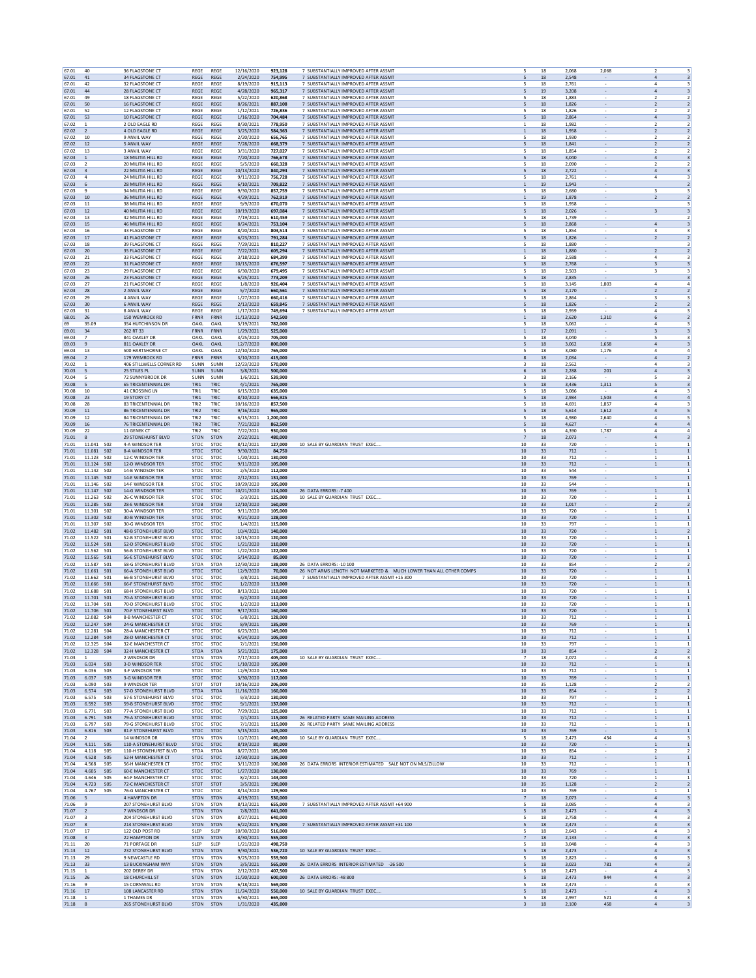| 67.01          | 40                                           | <b>36 FLAGSTONE CT</b>                                     | REGE                       | REGE                       | 12/16/2020               | 923.128            | 7 SUBSTANTIALLY IMPROVED AFTER ASSMT                                         | 18<br>5                           | 2,068<br>2.068                             | $\overline{\phantom{a}}$                |                                                    |
|----------------|----------------------------------------------|------------------------------------------------------------|----------------------------|----------------------------|--------------------------|--------------------|------------------------------------------------------------------------------|-----------------------------------|--------------------------------------------|-----------------------------------------|----------------------------------------------------|
| 67.01          | 41                                           | <b>34 FLAGSTONE CT</b>                                     | REGE                       | REGE                       | 2/24/2020                | 754,995            | 7 SUBSTANTIALLY IMPROVED AFTER ASSMT                                         | 5<br>18                           | 2,548                                      | 4                                       |                                                    |
| 67.01<br>67.01 | 42<br>44                                     | 32 FLAGSTONE CT<br>28 FLAGSTONE CT                         | REGE<br><b>REGE</b>        | <b>REGE</b><br>REGE        | 8/19/2020<br>4/28/2020   | 915,113<br>965,317 | 7 SUBSTANTIALLY IMPROVED AFTER ASSMT<br>7 SUBSTANTIALLY IMPROVED AFTER ASSMT | 5<br>18<br>5<br>19                | 2,761<br>3,208<br>$\overline{\phantom{a}}$ | $\overline{a}$<br>$\overline{a}$        | $\overline{\mathbf{3}}$<br>$\overline{\mathbf{3}}$ |
| 67.01          | 49                                           | 18 FLAGSTONE CT                                            | REGE                       | REGE                       | 5/22/2020                | 620,868            | 7 SUBSTANTIALLY IMPROVED AFTER ASSMT                                         | 18<br>5                           | 1,883<br>$\overline{\phantom{a}}$          | 2                                       | $\overline{2}$                                     |
| 67.01          | 50                                           | <b>16 FLAGSTONE CT</b>                                     | <b>REGE</b>                | <b>REGE</b>                | 8/26/2021                | 887.108            | 7 SUBSTANTIALLY IMPROVED AFTER ASSMT                                         | 18<br>5                           | 1.826                                      | $\overline{2}$                          | $\overline{2}$                                     |
| 67.01<br>67.01 | 52<br>53                                     | 12 FLAGSTONE CT<br>10 FLAGSTONE CT                         | REGE<br>REGE               | <b>REGE</b><br>REGE        | 1/12/2021<br>1/16/2020   | 726,836<br>704,484 | 7 SUBSTANTIALLY IMPROVED AFTER ASSM'<br>7 SUBSTANTIALLY IMPROVED AFTER ASSMT | 5<br>18<br>18<br>5                | 1,826<br>2,864                             | $\overline{\mathbf{z}}$<br>$\Delta$     | $\overline{2}$<br>$\overline{\mathbf{3}}$          |
| 67.02          | $\overline{1}$                               | 2 OLD EAGLE RD                                             | REGE                       | REGE                       | 8/30/2021                | 778,950            | 7 SUBSTANTIALLY IMPROVED AFTER ASSMT                                         | $\mathbf{1}$<br>18                | 1,982<br>$\overline{\phantom{a}}$          | $\overline{2}$                          | $\overline{2}$                                     |
| 67.02<br>67.02 | $\overline{2}$<br>10                         | 4 OLD EAGLE RD<br>9 ANVIL WAY                              | <b>REGE</b><br><b>REGE</b> | <b>REGE</b><br>REGE        | 3/25/2020<br>2/20/2020   | 584,363<br>656.765 | 7 SUBSTANTIALLY IMPROVED AFTER ASSMT<br>7 SUBSTANTIALLY IMPROVED AFTER ASSMT | $\,$ 1 $\,$<br>18<br>5<br>18      | 1,958<br>$\overline{\phantom{a}}$<br>1.930 | $\overline{2}$<br>$\overline{2}$        | $\overline{2}$<br>2                                |
| 67.02          | $12\,$                                       | 5 ANVIL WAY                                                | REGE                       | REGE                       | 7/28/2020                | 668,379            | 7 SUBSTANTIALLY IMPROVED AFTER ASSMT                                         | 5<br>18                           | 1,841                                      | $\overline{2}$                          | $\overline{2}$                                     |
| 67.02          | 13                                           | 3 ANVIL WAY                                                | REGE                       | <b>REGE</b>                | 3/31/2020                | 727,027            | 7 SUBSTANTIALLY IMPROVED AFTER ASSMT                                         | 5<br>18                           | 1,854                                      | $\overline{\phantom{a}}$                | $\overline{z}$                                     |
| 67.03<br>67.03 | $\mathbf{1}$<br>$\overline{2}$               | 18 MILITIA HILL RD<br>20 MILITIA HILL RD                   | REGE<br>REGE               | REGE<br>REGE               | 7/20/2020<br>5/5/2020    | 766,678<br>660,328 | 7 SUBSTANTIALLY IMPROVED AFTER ASSMT<br>7 SUBSTANTIALLY IMPROVED AFTER ASSMT | 5<br>18<br>5<br>18                | 3,040<br>$\overline{\phantom{a}}$<br>2,090 | $\overline{a}$<br>$\overline{2}$        | $\overline{\mathbf{3}}$<br>$\overline{2}$          |
| 67.03          | $\overline{\mathbf{3}}$                      | <b>22 MILITIA HILL RD</b>                                  | <b>REGE</b>                | <b>REGE</b>                | 10/13/2020               | 840.294            | 7 SUBSTANTIALLY IMPROVED AFTER ASSMT                                         | 18<br>5                           | 2,722<br>$\overline{\phantom{a}}$          | $\overline{a}$                          | $\overline{\mathbf{3}}$                            |
| 67.03          | $\overline{4}$                               | 24 MILITIA HILL RD                                         | REGE                       | <b>REGE</b>                | 9/11/2020                | 756,728            | 7 SUBSTANTIALLY IMPROVED AFTER ASSM'                                         | 5<br>18                           | 2,761                                      | 4                                       | $\overline{\mathbf{3}}$                            |
| 67.03<br>67.03 | 6<br>$\overline{9}$                          | 28 MILITIA HILL RD<br>34 MILITIA HILL RD                   | REGE<br>REGE               | REGE<br>REGE               | 6/10/2021<br>9/30/2020   | 709,822<br>857,759 | 7 SUBSTANTIALLY IMPROVED AFTER ASSMT<br>7 SUBSTANTIALLY IMPROVED AFTER ASSMT | 19<br>1<br>5<br>18                | 1,943<br>2,680                             | 3                                       | $\overline{2}$<br>$\overline{\mathbf{3}}$          |
| 67.03          | 10                                           | 36 MILITIA HILL RD                                         | <b>REGE</b>                | <b>REGE</b>                | 4/29/2021                | 762,919            | 7 SUBSTANTIALLY IMPROVED AFTER ASSMT                                         | $\,$ 1 $\,$<br>19                 | 1,878<br>$\overline{\phantom{a}}$          | $\overline{\mathbf{2}}$                 | $\overline{2}$                                     |
| 67.03<br>67.03 | 11<br>$12\,$                                 | 38 MILITIA HILL RD<br>40 MILITIA HILL RD                   | <b>REGE</b><br>REGE        | REGE<br>REGE               | 9/9/2020<br>10/19/2020   | 670.070<br>697,084 | 7 SUBSTANTIALLY IMPROVED AFTER ASSMT<br>7 SUBSTANTIALLY IMPROVED AFTER ASSMT | 18<br>5<br>5<br>18                | 1.958<br>2,026                             | 3                                       | 3<br>$\overline{\mathbf{3}}$                       |
| 67.03          | 13                                           | 42 MILITIA HILL RD                                         | REGE                       | <b>REGE</b>                | 7/19/2021                | 610,459            | 7 SUBSTANTIALLY IMPROVED AFTER ASSMT                                         | 18<br>5                           | 1,739                                      |                                         | $\overline{z}$                                     |
| 67.03          | 15                                           | 46 MILITIA HILL RD                                         | REGE                       | REGE                       | 8/24/2021                | 753,104            | 7 SUBSTANTIALLY IMPROVED AFTER ASSMT                                         | 5<br>18                           | 2,868<br>$\overline{\phantom{a}}$          | $\overline{4}$                          | $\overline{\mathbf{3}}$                            |
| 67.03<br>67.03 | 16<br>17                                     | 43 FLAGSTONE CT<br><b>41 FLAGSTONE CT</b>                  | REGE<br><b>REGE</b>        | REGE<br><b>REGE</b>        | 8/20/2021<br>6/23/2021   | 803,514<br>791.284 | 7 SUBSTANTIALLY IMPROVED AFTER ASSM'<br>7 SUBSTANTIALLY IMPROVED AFTER ASSMT | 5<br>18<br>18<br>5                | 1,854<br>1.826                             | 3<br>$\overline{2}$                     | 3<br>$\overline{2}$                                |
| 67.03          | 18                                           | <b>39 FLAGSTONE CT</b>                                     | REGE                       | <b>REGE</b>                | 7/29/2021                | 810,227            | 7 SUBSTANTIALLY IMPROVED AFTER ASSM'                                         | 5<br>18                           | $\overline{\phantom{a}}$<br>1,880          |                                         |                                                    |
| 67.03          | 20                                           | 35 FLAGSTONE CT                                            | REGE                       | REGE                       | 7/22/2021                | 605,294            | 7 SUBSTANTIALLY IMPROVED AFTER ASSMT                                         | 18<br>$\mathbf{1}$                | 1.880                                      | $\overline{\mathbf{2}}$                 | $\overline{2}$                                     |
| 67.03<br>67.03 | 21<br>22                                     | 33 FLAGSTONE CT<br><b>31 FLAGSTONE CT</b>                  | REGE<br><b>REGE</b>        | REGE<br><b>REGE</b>        | 3/18/2020<br>10/15/2020  | 684,399<br>676,597 | 7 SUBSTANTIALLY IMPROVED AFTER ASSMT<br>7 SUBSTANTIALLY IMPROVED AFTER ASSMT | 5<br>18<br>5<br>18                | 2,588<br>2,768<br>$\overline{\phantom{a}}$ | $\bf{4}$<br>$\overline{\mathbf{3}}$     | $\overline{\mathbf{3}}$<br>$\overline{\mathbf{3}}$ |
| 67.03          | 23                                           | <b>29 FLAGSTONE CT</b>                                     | <b>REGE</b>                | REGE                       | 6/30/2020                | 679.495            | 7 SUBSTANTIALLY IMPROVED AFTER ASSMT                                         | 18<br>5                           | 2.503<br>$\overline{\phantom{a}}$          | 3                                       | 3                                                  |
| 67.03          | $26\,$                                       | 23 FLAGSTONE CT                                            | REGE                       | REGE                       | 6/25/2021                | 773,209            | 7 SUBSTANTIALLY IMPROVED AFTER ASSMT                                         | 5<br>18                           | 2,835                                      |                                         | $\overline{\mathbf{3}}$                            |
| 67.03<br>67.03 | 27<br>28                                     | 21 FLAGSTONE CT<br>2 ANVIL WAY                             | REGE<br>REGE               | <b>REGE</b><br>REGE        | 1/8/2020<br>5/7/2020     | 926,404<br>660,561 | 7 SUBSTANTIALLY IMPROVED AFTER ASSMT<br>7 SUBSTANTIALLY IMPROVED AFTER ASSMT | 5<br>18<br>5<br>18                | 3,145<br>1,803<br>2,170                    | $\Delta$<br>$\overline{2}$              | $\overline{a}$<br>$\overline{2}$                   |
| 67.03          | 29                                           | 4 ANVIL WAY                                                | REGE                       | <b>REGE</b>                | 1/27/2020                | 660,416            | 7 SUBSTANTIALLY IMPROVED AFTER ASSM'                                         | 5<br>18                           | 2,864                                      | 3                                       | 3                                                  |
| 67.03          | 30                                           | <b>6 ANVII WAY</b>                                         | <b>REGE</b>                | <b>REGE</b>                | 2/13/2020                | 659.845            | 7 SUBSTANTIALLY IMPROVED AFTER ASSMT                                         | 18<br>5                           | 1.826<br>$\overline{\phantom{a}}$          | 2                                       | $\overline{2}$                                     |
| 67.03<br>68.01 | 31<br>26                                     | 8 ANVIL WAY<br>150 WEMROCK RD                              | REGE<br>FRNR               | REGE<br>FRNR               | 1/17/2020<br>11/13/2020  | 749,694<br>542,500 | 7 SUBSTANTIALLY IMPROVED AFTER ASSMT                                         | $18\,$<br>5<br>18<br>$\mathbf{1}$ | 2,959<br>2,620<br>1,310                    | $\overline{4}$<br>6                     | $\overline{2}$                                     |
| 69             | 35.09                                        | 354 HUTCHINSON DR                                          | OAKL                       | OAKL                       | 3/19/2021                | 782,000            |                                                                              | 5<br>18                           | 3,062                                      | $\overline{4}$                          | $\overline{\mathbf{3}}$                            |
| 69.01<br>69.03 | 34<br>$\overline{7}$                         | 262 RT 33<br>841 OAKLEY DR                                 | FRNR<br>OAKL               | FRNR<br>OAKL               | 1/29/2021<br>3/25/2020   | 525,000<br>705,000 |                                                                              | 17<br>$\mathbf{1}$<br>18<br>5     | 2,091<br>$\overline{\phantom{a}}$<br>3.040 | 3<br>5                                  | $\overline{\mathbf{3}}$<br>3                       |
| 69.03          | $\overline{9}$                               | 811 OAKLEY DR                                              | OAKL                       | OAKL                       | 12/7/2020                | 800,000            |                                                                              | 5<br>$18\,$                       | 3,062<br>1,658                             | $\sqrt{4}$                              | $\overline{\mathbf{3}}$                            |
| 69.03          | 13                                           | 500 HARTSHORNE CT                                          | OAKL                       | OAKL                       | 12/10/2020               | 765,000            |                                                                              | 18<br>5                           | 3,080<br>1,176                             | $\overline{a}$                          | $\mathfrak{a}$                                     |
| 69.04<br>70.02 | $\overline{2}$<br>$\overline{1}$             | 179 WEMROCK RD<br>406 STILLWELLS CORNER RD                 | FRNR<br>SUNN               | FRNR<br>SUNN               | 3/10/2020<br>12/23/2020  | 415,000<br>570,000 |                                                                              | 8<br>18<br>3<br>18                | 2,034<br>2,562                             | $\overline{a}$<br>$\ddot{a}$            | $\overline{2}$<br>3                                |
| 70.03          | -5                                           | 25 STILES PL                                               | <b>SUNN</b>                | SUNN                       | 3/8/2021                 | 500,000            |                                                                              | 18<br>6                           | 2.288                                      | 201<br>$\overline{a}$                   | 3                                                  |
| 70.04          |                                              | 72 SUNNYBROOK DR                                           | SUNN                       | SUNN                       | 1/6/2021                 | 539,900            |                                                                              | $18\,$<br>3                       | 2,166                                      | 5                                       |                                                    |
| 70.08<br>70.08 | 5<br>$10\,$                                  | <b>65 TRICENTENNIAL DR</b><br>41 CROSSING LN               | TRI1<br>TRI1               | TRIC<br>TRIC               | 4/1/2021<br>6/15/2020    | 765,000<br>635,000 |                                                                              | 5<br>$18\,$<br>5<br>$18\,$        | 3,436<br>1,311<br>3,086                    | 5<br>$\overline{4}$                     | $\overline{\mathbf{3}}$<br>$\overline{\mathbf{3}}$ |
| 70.08          | 23                                           | 19 STORY CT                                                | TRI1                       | TRIC                       | 8/10/2020                | 666,925            |                                                                              | 5<br>18                           | 1,503<br>2,984                             | $\sqrt{4}$                              | $\overline{a}$                                     |
| 70.08<br>70.09 | 28<br>$11\,$                                 | <b>83 TRICENTENNIAL DR</b><br><b>86 TRICENTENNIAL DR</b>   | TRI2<br>TRI2               | TRIC<br>TRIC               | 10/16/2020<br>9/16/2020  | 857.500<br>965,000 |                                                                              | 18<br>5<br>$18\,$<br>5            | 4.691<br>1.857<br>5,614<br>1,612           | 4<br>$\overline{4}$                     | 3<br>5                                             |
| 70.09          | 12                                           | <b>84 TRICENTENNIAL DR</b>                                 | TRI2                       | TRIC                       | 6/15/2021                | 1,200,000          |                                                                              | 5<br>18                           | 4,980<br>2,640                             | $\overline{a}$                          | -5                                                 |
| 70.09          | 16                                           | 76 TRICENTENNIAL DR                                        | TRI2                       | TRIC                       | 7/21/2020                | 862,500            |                                                                              | 5<br>18                           | 4,627                                      | $\overline{a}$                          | $\overline{4}$                                     |
| 70.09<br>71.01 | 22<br>8                                      | 11 GENEK CT<br><b>29 STONEHURST BLVD</b>                   | TRI2<br><b>STON</b>        | TRIC<br><b>STON</b>        | 7/22/2021<br>2/22/2021   | 930,000<br>480.000 | $\overline{7}$                                                               | 5<br>18<br>18                     | 1,787<br>4,390<br>2,073                    | $\ddot{a}$<br>$\overline{a}$            | $\overline{a}$<br>3                                |
| 71.01          | 11.041<br><b>SO2</b>                         | 4-A WINDSOR TER                                            | STOC                       | STOC                       | 8/12/2021                | 127,000            | 10 SALE BY GUARDIAN TRUST EXEC<br>10                                         | 33                                | 720                                        |                                         |                                                    |
| 71.01          | 11.081<br><b>SO2</b>                         | 8-A WINDSOR TER                                            | <b>STOC</b>                | <b>STOC</b>                | 9/30/2021                | 84,750             | 10                                                                           | 33                                | 712                                        | $\,1\,$                                 | $\mathbf{1}$                                       |
| 71.01<br>71.01 | <b>SO2</b><br>11.123<br>11.124 S02           | 12-C WINDSOR TER<br>12-D WINDSOR TER                       | STOC<br><b>STOC</b>        | STOC<br><b>STOC</b>        | 1/20/2021<br>9/11/2020   | 130,000<br>105,000 | 10<br>10                                                                     | 33<br>33                          | 712<br>712<br>$\overline{\phantom{a}}$     | $\mathbf{1}$<br>$\mathbf{1}$            | $\mathbf{1}$                                       |
| 71.01          | 11.142<br><b>SO2</b>                         | 14-B WINDSOR TER                                           | <b>STOC</b>                | <b>STOC</b>                | 2/5/2020                 | 112,000            | 10                                                                           | 33                                | 544                                        |                                         | 1                                                  |
| 71.01          | 11.145<br><b>SO2</b>                         | 14-E WINDSOR TER                                           | STOC                       | STOC                       | 2/12/2021                | 131,000            | $10\,$                                                                       | 33                                | 769<br>$\sim$                              | $\mathbf{1}$                            |                                                    |
| 71.01<br>71.01 | 11.146<br><b>SO2</b><br>11.147 SO2           | 14-F WINDSOR TER<br>14-G WINDSOR TER                       | <b>STOC</b><br><b>STOC</b> | <b>STOC</b><br>STOC        | 10/29/2020<br>10/21/2020 | 105,000<br>114,000 | 10<br>26 DATA ERRORS: - 7 400<br>10                                          | 33<br>33                          | 544<br>769<br>$\sim$                       | $\mathbf{1}$                            | $\mathbf{1}$<br>$\mathbf{1}$                       |
| 71.01          | 11.263 SO2                                   | 26-C WINDSOR TER                                           | STOC                       | <b>STOC</b>                | 2/3/2021                 | 125,000            | 10 SALE BY GUARDIAN TRUST EXEC<br>10                                         | 33                                | 720                                        | $\mathbf{1}$                            | $\mathbf{1}$                                       |
| 71.01          | 11.285 SO2                                   | <b>28-E WINDSOR TER</b>                                    | <b>STOB</b>                | <b>STOB</b>                | 12/10/2020               | 160,000            | 10                                                                           | 33                                | 1.017                                      | $\overline{2}$                          | 2                                                  |
| 71.01<br>71.01 | 11.301<br><b>SO2</b><br>11.302<br><b>SO2</b> | 30-A WINDSOR TER<br>30-B WINDSOR TER                       | STOC<br><b>STOC</b>        | STOC<br><b>STOC</b>        | 9/11/2020<br>9/21/2020   | 105,000<br>128,000 | 10<br>10                                                                     | 33<br>33                          | 720<br>720                                 | 1<br>$\,1\,$                            | $\mathbf{1}$                                       |
| 71.01          | 11.307<br><b>SO2</b>                         | 30-G WINDSOR TER                                           | STOC                       | <b>STOC</b>                | 1/4/2021                 | 115,000            | 10                                                                           | 33                                | 797                                        | $\mathbf{1}$                            | $\mathbf{1}$                                       |
| 71.02<br>71.02 | 11.482 S01<br>11.522<br>S01                  | <b>48-B STONEHURST BLVD</b><br><b>52-B STONEHURST BLVD</b> | <b>STOC</b><br><b>STOC</b> | <b>STOC</b><br><b>STOC</b> | 10/4/2021<br>10/15/2020  | 140,000<br>120,000 | 10<br>10                                                                     | 33<br>33                          | 720<br>$\overline{\phantom{a}}$<br>720     | $\mathbf{1}$<br>$\mathbf{1}$            | 1                                                  |
| 71.02          | 11.524<br><b>SO1</b>                         | <b>52-D STONEHURST BLVD</b>                                | STOC                       | STOC                       | 1/21/2020                | 110,000            | $10\,$                                                                       | 33                                | 720<br>$\overline{\phantom{a}}$            | $\,1\,$                                 |                                                    |
| 71.02          | 11.562<br>S01                                | <b>56-B STONEHURST BLVD</b>                                | STOC                       | <b>STOC</b>                | 1/22/2020                | 122,000            | 10                                                                           | 33                                | 720                                        | $\overline{1}$                          | $\mathbf{1}$                                       |
| 71.02<br>71.02 | 11.565 SO1<br>11.587 S01                     | <b>56-F STONEHURST BLVD</b><br><b>58-G STONEHURST BLVD</b> | <b>STOC</b><br><b>STOA</b> | <b>STOC</b><br><b>STOA</b> | 5/14/2020<br>12/30/2020  | 85,000<br>138,000  | 10<br>26 DATA ERRORS: - 10 100<br>10                                         | 33<br>33                          | 720<br>$\sim$<br>854                       | $\mathbf{1}$<br>$\overline{2}$          | 1<br>$\overline{2}$                                |
| 71.02          | 11.661 S01                                   | <b>66-A STONEHURST BLVD</b>                                | <b>STOC</b>                | <b>STOC</b>                | 12/9/2020                | 70,000             | 26 NOT ARMS LENGTH NOT MARKETED & MUCH LOWER THAN ALL OTHER COMPS<br>10      | 33                                | 720<br>$\overline{\phantom{a}}$            | $\mathbf{1}$                            | 1                                                  |
| 71.02<br>71.02 | 11.662<br><b>SO1</b><br>11.666<br><b>SO1</b> | <b>66-B STONEHURST BLVD</b><br><b>66-F STONEHURST BLVD</b> | STOC<br><b>STOC</b>        | STOC<br><b>STOC</b>        | 3/8/2021<br>1/2/2020     | 150,000<br>113,000 | 7 SUBSTANTIALLY IMPROVED AFTER ASSMT +15 300<br>10<br>10                     | 33<br>33                          | 720<br>720                                 | 1<br>$\mathbf{1}$                       | $\mathbf{1}$                                       |
| 71.02          | 11.688<br>S01                                | <b>68-H STONEHURST BLVD</b>                                | <b>STOC</b>                | <b>STOC</b>                | 8/13/2021                | 110,000            | 10                                                                           | 33                                | 720                                        | $\mathbf{1}$                            | $\mathbf{1}$                                       |
| 71.02          | 11.701 S01                                   | 70-A STONEHURST BLVD                                       | <b>STOC</b>                | <b>STOC</b>                | 6/2/2020                 | 110,000            | 10                                                                           | 33                                | 720<br>$\overline{\phantom{a}}$            | $\,1\,$                                 |                                                    |
| 71.02<br>71.02 | 11.704 S01<br>11.706<br><b>SO1</b>           | <b>70-D STONEHURST BLVD</b><br>70-F STONEHURST BLVD        | <b>STOC</b><br>STOC        | <b>STOC</b><br>STOC        | 1/2/2020<br>9/17/2021    | 113,000<br>160,000 | 10<br>$10\,$                                                                 | 33<br>33                          | 720<br>720                                 | 1<br>$\mathbf{1}$                       | 1                                                  |
| 71.02          | 12.083<br>ς∩⊿                                | <b>R-R MANCHESTER (</b>                                    | <b>STOI</b>                | STO                        | 6/8/2021                 | 128 በ              |                                                                              |                                   | 712                                        |                                         |                                                    |
| 71.02<br>71.02 | 12.247 S04<br>12.281 S04                     | <b>24-G MANCHESTER CT</b><br>28-A MANCHESTER CT            | <b>STOC</b><br><b>STOC</b> | <b>STOC</b><br>STOC        | 8/9/2021<br>6/23/2021    | 135,000<br>149,000 | 10<br>10                                                                     | 33<br>33                          | 769<br>712                                 | $\mathbf{1}$<br>$\mathbf{1}$            | 1<br>$\mathbf{1}$                                  |
| 71.02          | 12.284 SO4                                   | <b>28-D MANCHESTER CT</b>                                  | <b>STOC</b>                | <b>STOC</b>                | 6/24/2020                | 105,000            | 10                                                                           | 33                                | 712<br>$\sim$                              | $\mathbf{1}$                            | $\vert$ 1                                          |
| 71.02          | 12.325<br>S04                                | 32-E MANCHESTER CT                                         | STOC                       | STOC                       | 7/1/2021                 | 150,000            | 10                                                                           | 33                                | 797                                        | 1                                       |                                                    |
| 71.02<br>71.03 | 12.328 SO4<br>$\overline{1}$                 | 32-H MANCHESTER CT<br>2 WINDSOR DR                         | <b>STOA</b><br><b>STON</b> | <b>STOA</b><br><b>STON</b> | 5/21/2021<br>7/17/2020   | 175,000<br>405.000 | 10<br>10 SALE BY GUARDIAN TRUST EXEC.<br>$\overline{7}$                      | 33<br>18                          | 854<br>2.072                               | $\overline{2}$<br>4                     | $\overline{2}$<br>3                                |
| 71.03          | 6.034<br><b>SO3</b>                          | 3-D WINDSOR TER                                            | STOC                       | <b>STOC</b>                | 1/10/2020                | 105,000            | 10                                                                           | 33                                | 712<br>$\overline{\phantom{a}}$            | $1\,$                                   | $\mathbf{1}$                                       |
| 71.03          | 6.036<br>S <sub>03</sub>                     | 3-F WINDSOR TER                                            | STOC                       | <b>STOC</b>                | 12/9/2020                | 117,500            | 10                                                                           | 33                                | 712                                        | $\mathbf{1}$                            | $\vert$ 1                                          |
| 71.03<br>71.03 | 6.037<br><b>SO3</b><br>6.090<br><b>SO3</b>   | 3-G WINDSOR TER<br>9 WINDSOR TER                           | STOC<br><b>STOT</b>        | STOC<br><b>STOT</b>        | 3/30/2020<br>10/16/2020  | 117,000<br>206,000 | $10\,$<br>10                                                                 | 33<br>35                          | 769<br>$\overline{\phantom{a}}$<br>1,128   | $1\,$<br>$\overline{z}$                 | $\mathbf{1}$<br>$\overline{z}$                     |
| 71.03          | 6.574<br>S <sub>03</sub>                     | 57-D STONEHURST BLVD                                       | <b>STOA</b>                | <b>STOA</b>                | 11/16/2020               | 160,000            | 10                                                                           | 33                                | 854<br>$\sim$                              | 2                                       | $\overline{2}$                                     |
| 71.03<br>71.03 | 6.575<br><b>SO3</b><br>6.592<br><b>SO3</b>   | <b>57-E STONEHURST BLVD</b><br><b>59-B STONEHURST BLVD</b> | <b>STOC</b><br>STOC        | STOC<br><b>STOC</b>        | 9/3/2020<br>9/1/2021     | 130,000<br>137,000 | 10<br>10                                                                     | 33<br>33                          | 797<br>712<br>$\sim$                       | $\mathbf{1}$<br>$\mathbf{1}$            | $\mathbf{1}$<br>$\mathbf{1}$                       |
| 71.03          | 6.771<br><b>SO3</b>                          | 77-A STONEHURST BLVD                                       | <b>STOC</b>                | STOC                       | 7/29/2021                | 125,000            | 10                                                                           | 33                                | 712                                        | 1                                       |                                                    |
| 71.03          | 6.791<br>503                                 | 79-A STONEHURST BLVD                                       | STOC                       | STOC                       | 7/1/2021                 | 115,000            | 26 RELATED PARTY SAME MAILING ADDRESS<br>10                                  | 33                                | 712                                        | $\,1\,$                                 | $\,$ 1                                             |
| 71.03<br>71.03 | 6.797<br>S03<br>6.816<br><b>SO3</b>          | <b>79-G STONEHURST BLVD</b><br>81-F STONEHURST BLVD        | <b>STOC</b><br>STOC        | <b>STOC</b><br><b>STOC</b> | 7/1/2021<br>5/15/2021    | 115,000<br>145,000 | 26 RELATED PARTY SAME MAILING ADDRESS<br>10<br>10                            | 33<br>33                          | 712<br>769                                 | 1<br>$1\,$                              | $\mathbf{1}$                                       |
| 71.04          | $\overline{2}$                               | 14 WINDSOR DR                                              | STON                       | STON                       | 10/7/2021                | 490,000            | 10 SALE BY GUARDIAN TRUST EXEC<br>$\overline{\phantom{a}}$                   | 18                                | 2,473                                      | 434<br>$\overline{a}$                   | 3                                                  |
| 71.04<br>71.04 | 4.111<br><b>SO5</b><br>4.118<br><b>SO5</b>   | 110-A STONEHURST BLVD<br>110-H STONEHURST BLVD             | <b>STOC</b><br><b>STOA</b> | STOC<br><b>STOA</b>        | 8/19/2020                | 80,000<br>185,000  | 10<br>10                                                                     | 33<br>33                          | 720<br>$\sim$<br>854                       | $1\,$<br>$\overline{\phantom{a}}$       | $\mathbf{1}$<br>$\overline{z}$                     |
| 71.04          | 4.528<br>S <sub>05</sub>                     | 52-H MANCHESTER CT                                         | <b>STOC</b>                | <b>STOC</b>                | 8/27/2021<br>12/30/2020  | 136,000            | 10                                                                           | 33                                | 712<br>$\sim$                              | $\mathbf{1}$                            | 1                                                  |
| 71.04          | 4.568<br><b>SO5</b>                          | <b>56-H MANCHESTER CT</b>                                  | <b>STOC</b>                | STOC                       | 3/11/2020                | 100,000            | 26 DATA ERRORS INTERIOR ESTIMATED SALE NOT ON MLS/ZILLOW<br>10               | 33                                | 712<br>$\sim$                              | $\mathbf{1}$                            | $\mathbf{1}$                                       |
| 71.04<br>71.04 | 4.605<br><b>SO5</b><br>4.646<br><b>SO5</b>   | <b>60-E MANCHESTER CT</b><br><b>64-F MANCHESTER CT</b>     | STOC<br><b>STOC</b>        | <b>STOC</b><br>STOC        | 1/27/2020<br>8/2/2021    | 130,000<br>143,000 | 10<br>10                                                                     | 33<br>33                          | 769<br>$\overline{\phantom{a}}$<br>720     | $\mathbf{1}$<br>1                       | $\mathbf{1}$<br>1                                  |
| 71.04          | 4.723<br><b>SO5</b>                          | 72-C MANCHESTER CT                                         | <b>STOT</b>                | <b>STOT</b>                | 3/5/2021                 | 190,000            | 10                                                                           | 35                                | 1,128                                      | $\overline{2}$                          | $\overline{2}$                                     |
| 71.04          | 4.767<br><b>SO5</b>                          | <b>76-G MANCHESTER CT</b>                                  | <b>STOC</b>                | <b>STOC</b>                | 8/14/2020                | 129,900            | 10                                                                           | 33                                | 769                                        | 1                                       | $\mathbf{1}$                                       |
| 71.06<br>71.06 | 5<br>9                                       | <b>4 HAMPTON DR</b><br>207 STONEHURST BLVD                 | STON<br>STON               | <b>STON</b><br><b>STON</b> | 4/19/2021<br>8/13/2021   | 530,000<br>655,000 | 7 SUBSTANTIALLY IMPROVED AFTER ASSMT +64 900                                 | $\overline{7}$<br>18<br>18<br>5   | 2,073<br>$\overline{\phantom{a}}$<br>3,085 | $\sqrt{4}$<br>$\overline{4}$            | $\overline{\mathbf{3}}$<br>3                       |
| 71.07          | $\overline{2}$                               | 7 WINDSOR DR                                               | STON                       | STON                       | 7/8/2021                 | 641,000            |                                                                              | $18\,$<br>5                       | 2,473                                      | $\overline{4}$                          | $\overline{\mathbf{3}}$                            |
| 71.07<br>71.07 | $\overline{\mathbf{3}}$<br>8                 | 204 STONEHURST BLVD<br><b>214 STONEHURST BLVD</b>          | <b>STON</b><br><b>STON</b> | <b>STON</b><br><b>STON</b> | 8/27/2021<br>6/22/2021   | 640,000<br>575,000 | 7 SUBSTANTIALLY IMPROVED AFTER ASSMT +31 100                                 | 5<br>18<br>5<br>18                | 2,758<br>2.473<br>$\sim$                   | $\mathbf{4}$<br>$\overline{4}$          | $\mathbf{R}$<br>$\overline{\mathbf{3}}$            |
| 71.07          | 17                                           | 122 OLD POST RD                                            | <b>SLEP</b>                | SLEP                       | 10/30/2020               | 516,000            |                                                                              | 5<br>18                           | 2,643                                      | 4                                       | 3                                                  |
| 71.08          | $\overline{\mathbf{3}}$                      | 22 HAMPTON DR                                              | STON                       | <b>STON</b>                | 8/30/2021                | 555,000            |                                                                              | 18<br>7<br>5                      | 2,133<br>$\overline{\phantom{a}}$          | $\overline{4}$<br>$\overline{4}$        | 3                                                  |
| 71.11<br>71.13 | 20<br>12                                     | 71 PORTAGE DR<br>232 STONEHURST BLVD                       | SLEP<br><b>STON</b>        | SLEP<br><b>STON</b>        | 1/21/2020<br>9/30/2021   | 498,750<br>536,720 | 10 SALE BY GUARDIAN TRUST EXEC                                               | 18<br>5<br>$18\,$                 | 3,048<br>2,473                             | $\overline{4}$                          | 3<br>$\overline{\mathbf{3}}$                       |
| 71.13          | 29                                           | 9 NEWCASTLE RD                                             | <b>STON</b>                | <b>STON</b>                | 9/25/2020                | 559,900            |                                                                              | 5<br>18                           | 2.823                                      | 6                                       | 3                                                  |
| 71.13          | 33                                           | 13 BUCKINGHAM WAY<br>202 DERBY DR                          | STON                       | <b>STON</b>                | 3/5/2021                 | 565,000            | 26 DATA ERRORS INTERIOR ESTIMATED -26 500                                    | 5<br>18                           | 3,023                                      | 781<br>$\overline{4}$<br>$\overline{a}$ | $\overline{\mathbf{3}}$                            |
| 71.15<br>71.15 | $\overline{1}$<br>26                         | <b>18 CHURCHILL ST</b>                                     | STON<br>STON               | STON<br><b>STON</b>        | 2/12/2020<br>11/20/2020  | 407,500<br>600,000 | 26 DATA ERRORS: - 48 800                                                     | 18<br>5<br>5<br>$18\,$            | 2,473<br>2,473                             | 944<br>$\overline{4}$                   | 3<br>$\overline{\mathbf{3}}$                       |
| 71.16          | 9                                            | 15 CORNWALL RD                                             | <b>STON</b>                | STON                       | 6/18/2021                | 569,000            |                                                                              | 5<br>18                           | 2,473                                      | $\overline{a}$                          | $\overline{\mathbf{3}}$                            |
| 71.16<br>71.18 | 17<br>$\overline{1}$                         | 108 LANCASTER RD<br>1 THAMES DR                            | <b>STON</b><br><b>STON</b> | <b>STON</b><br>STON        | 11/24/2020<br>6/30/2021  | 550,000<br>665,000 | 10 SALE BY GUARDIAN TRUST EXEC.                                              | 5<br>18<br>5<br>18                | 2,473<br>2,997                             | $\overline{4}$<br>521<br>4              | $\overline{\mathbf{3}}$<br>3                       |
| 71.18 8        |                                              | <b>265 STONEHURST BLVD</b>                                 | STON STON                  |                            | 1/31/2020                | 435,000            |                                                                              | 18<br>3                           | 2,100                                      | 458<br>$\sqrt{4}$                       | $\vert$ 3                                          |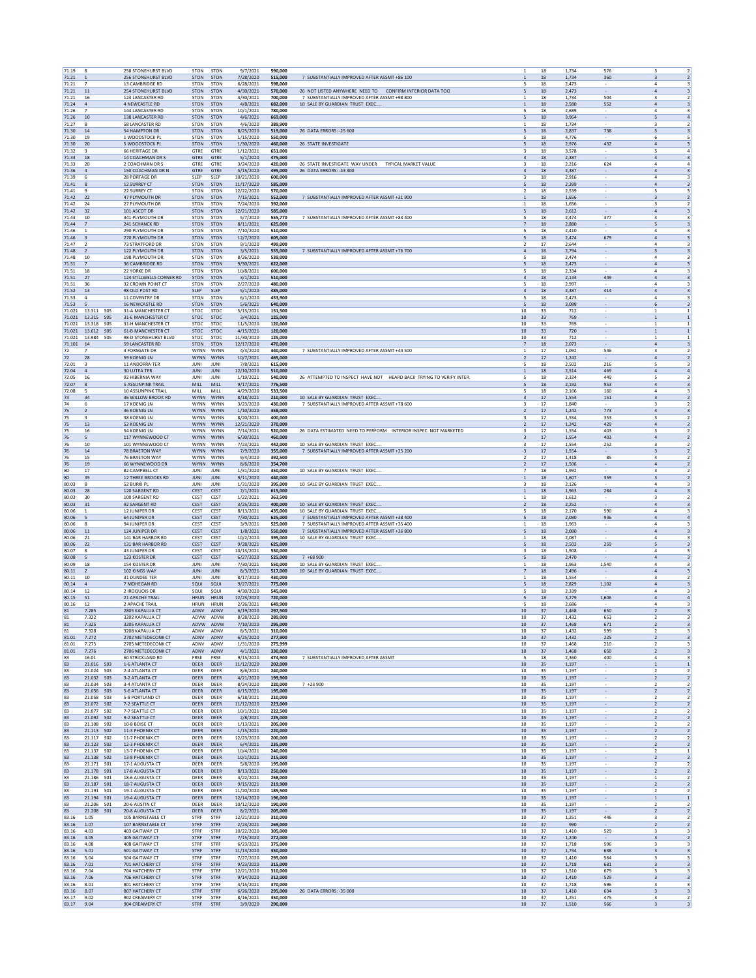| 71.19            | 8                                         | 258 STONEHURST BLVD                             | <b>STON</b>                | STON                | 9/7/2021                | 590,000            |                                                                                              | 18                                           | 1,734          | 576                                | $\overline{2}$<br>3                                                                    |
|------------------|-------------------------------------------|-------------------------------------------------|----------------------------|---------------------|-------------------------|--------------------|----------------------------------------------------------------------------------------------|----------------------------------------------|----------------|------------------------------------|----------------------------------------------------------------------------------------|
| 71.21            | $\overline{1}$                            | 256 STONEHURST BLVD                             | <b>STON</b>                | <b>STON</b>         | 7/28/2020               | 515,000            | 7 SUBSTANTIALLY IMPROVED AFTER ASSMT +86 100                                                 | 18<br>$\mathbf{1}$                           | 1,734          | 360                                | $\ensuremath{\mathsf{3}}$<br>$\overline{2}$                                            |
| 71.21<br>71.21   | 7<br>$11$                                 | 13 CAMBRIDGE RD<br><b>254 STONEHURST BLVD</b>   | <b>STON</b><br><b>STON</b> | STON<br><b>STON</b> | 6/28/2021<br>4/30/2021  | 598,000<br>570,000 | 26 NOT LISTED ANYWHERE NEED TO CONFIRM INTERIOR DATA TOO                                     | 18<br>5<br>5<br>18                           | 2,473<br>2,473 |                                    | 4<br>3<br>$\overline{4}$<br>$\overline{\mathbf{3}}$                                    |
| 71.21            | 16                                        | 124 LANCASTER RD                                | <b>STON</b>                | <b>STON</b>         | 4/30/2021               | 700,000            | 7 SURSTANTIALLY IMPROVED AFTER ASSMT +98 800                                                 | 1<br>18                                      | 1.734          | 504                                | 3<br>$\overline{2}$                                                                    |
| 71.24            | $\overline{4}$                            | 4 NEWCASTLE RD                                  | <b>STON</b>                | STON                | 4/8/2021                | 682,000            | 10 SALE BY GUARDIAN TRUST EXEC                                                               | 18<br>$\mathbf{1}$                           | 2,580          | 552                                | $\overline{a}$<br>3                                                                    |
| 71.26            | $\overline{7}$                            | 144 LANCASTER RD                                | <b>STON</b>                | STON                | 10/1/2021               | 780,000            |                                                                                              | 18<br>5                                      | 2,689          | $\overline{\phantom{a}}$           | $\overline{a}$<br>3                                                                    |
| 71.26<br>71.27   | 10<br>8                                   | 138 LANCASTER RD<br>58 LANCASTER RD             | <b>STON</b><br><b>STON</b> | <b>STON</b><br>STON | 4/6/2021<br>4/6/2020    | 669,000<br>389,900 |                                                                                              | 18<br>5<br>$\mathbf{1}$<br>18                | 3.964<br>1,734 | $\overline{\phantom{a}}$           | 5<br>$\overline{4}$<br>3<br>$\overline{2}$                                             |
| 71.30            | 14                                        | <b>54 HAMPTON DR</b>                            | <b>STON</b>                | <b>STON</b>         | 8/25/2020               | 519,000            | 26 DATA ERRORS: - 25 600                                                                     | 5<br>18                                      | 2,837          | 738                                | 5<br>3                                                                                 |
| 71.30            | 19                                        | 1 WOODSTOCK PL                                  | <b>STON</b>                | STON                | 1/15/2020               | 550,000            |                                                                                              | 5<br>18                                      | 4,776          |                                    | 6<br>5                                                                                 |
| 71.30            | 20                                        | 5 WOODSTOCK PL                                  | <b>STON</b>                | <b>STON</b>         | 1/30/2020               | 460,000            | 26 STATE INVESTIGATE                                                                         | 18<br>5                                      | 2,976          | 432                                | $\sqrt{4}$<br>3                                                                        |
| 71.32            | 3                                         | 66 HERITAGE DR                                  | GTRE                       | GTRE                | 1/12/2021               | 651.000            |                                                                                              | 18<br>3                                      | 3,578          |                                    | 5<br>4                                                                                 |
| 71.33<br>71.33   | 18<br>20                                  | 14 COACHMAN DR S<br>2 COACHMAN DR S             | <b>GTRE</b><br>GTRE        | <b>GTRE</b><br>GTRE | 5/1/2020<br>3/24/2020   | 475,000<br>420,000 | 26 STATE INVESTIGATE WAY UNDER TYPICAL MARKET VALUE                                          | $\overline{\mathbf{3}}$<br>18<br>3<br>18     | 2,387<br>2,216 | 624                                | $\overline{a}$<br>$\overline{\mathbf{3}}$<br>$\mathbf{A}$<br>$\overline{a}$            |
| 71.36            | 4                                         | 150 COACHMAN DR N                               | GTRE                       | GTRE                | 5/15/2020               | 495,000            | 26 DATA ERRORS: -43 300                                                                      | 18<br>3                                      | 2,387          |                                    | $\overline{a}$<br>$\overline{\mathbf{3}}$                                              |
| 71.39            | 6                                         | 28 PORTAGE DR                                   | SLEP                       | SLEP                | 10/21/2020              | 600,000            |                                                                                              | 18<br>3                                      | 2,916          | $\overline{\phantom{a}}$           | 4<br>3                                                                                 |
| 71.41            | 8                                         | 12 SURREY CT                                    | <b>STON</b>                | <b>STON</b>         | 11/17/2020              | 585,000            |                                                                                              | 18<br>5                                      | 2.399          | $\overline{\phantom{a}}$           | 4<br>$\overline{\mathbf{3}}$                                                           |
| 71.41            | 9                                         | 22 SURREY CT                                    | <b>STON</b>                | STON                | 12/22/2020              | 570,000            |                                                                                              | $\overline{\mathbf{2}}$<br>18                | 2,539          |                                    | 5<br>3                                                                                 |
| 71.42<br>71.42   | 22<br>24                                  | 47 PLYMOUTH DR<br>27 PLYMOUTH DR                | <b>STON</b><br><b>STON</b> | <b>STON</b><br>STON | 7/15/2021<br>7/24/2020  | 552,000<br>392,000 | 7 SUBSTANTIALLY IMPROVED AFTER ASSMT +31 900                                                 | 18<br>$\mathbf{1}$<br>18<br>1                | 1,656<br>1,656 |                                    | $\overline{2}$<br>3<br>$\overline{\mathbf{3}}$<br>$\overline{2}$                       |
| 71.42            | 32                                        | 101 ASCOT DR                                    | <b>STON</b>                | <b>STON</b>         | 12/21/2020              | 585,000            |                                                                                              | 5<br>18                                      | 2,612          |                                    | $\sqrt{4}$<br>$\overline{\mathbf{3}}$                                                  |
| 71.43            | 10                                        | 341 PLYMOUTH DR                                 | <b>STON</b>                | STON                | 5/7/2020                | 555.770            | 7 SUBSTANTIALLY IMPROVED AFTER ASSMT +83 400                                                 | 18<br>5                                      | 2.474          | 377                                | 4<br>3                                                                                 |
| 71.44            | 7                                         | 241 SCHANCK RD                                  | STON                       | <b>STON</b>         | 8/11/2021               | 625,000            |                                                                                              | $\overline{7}$<br>18                         | 2,880          |                                    | 5<br>$\overline{\mathbf{3}}$                                                           |
| 71.46            | $\mathbf{1}$                              | 290 PLYMOUTH DR                                 | <b>STON</b>                | <b>STON</b>         | 7/10/2020               | 510.000            |                                                                                              | 5<br>18                                      | 2,410          |                                    | $\overline{a}$<br>$\overline{3}$                                                       |
| 71.46<br>71.47   | $\overline{\mathbf{3}}$<br>$\overline{2}$ | 270 PLYMOUTH DR<br>73 STRATFORD DR              | <b>STON</b><br><b>STON</b> | STON<br>STON        | 12/7/2020<br>9/1/2020   | 605,000<br>499,000 |                                                                                              | 5<br>18<br>$\overline{2}$<br>17              | 2,474<br>2,644 | 679<br>×                           | $\overline{a}$<br>$\overline{\mathbf{3}}$<br>$\overline{4}$<br>$\overline{\mathbf{3}}$ |
| 71.48            | <sup>2</sup>                              | 122 PLYMOUTH DR                                 | <b>STON</b>                | <b>STON</b>         | 3/5/2021                | 555,000            | 7 SUBSTANTIALLY IMPROVED AFTER ASSMT +76 700                                                 | 18<br>$\overline{a}$                         | 2.794          | $\overline{\phantom{a}}$           | 5<br>$\overline{\mathbf{3}}$                                                           |
| 71.48            | 10                                        | 198 PLYMOUTH DR                                 | <b>STON</b>                | STON                | 8/26/2020               | 539,000            |                                                                                              | 5<br>18                                      | 2,474          |                                    | $\overline{a}$<br>3                                                                    |
| 71.51            | $\overline{7}$                            | 36 CAMBRIDGE RD                                 | <b>STON</b>                | <b>STON</b>         | 9/30/2021               | 622,000            |                                                                                              | 18<br>5                                      | 2,473          |                                    | $\Delta$<br>3                                                                          |
| 71.51            | $18\,$                                    | 22 YORKE DR                                     | <b>STON</b>                | STON                | 10/8/2021               | 600,000            |                                                                                              | 5<br>18                                      | 2,334          |                                    | $\overline{4}$<br>$\overline{\mathbf{3}}$                                              |
| 71.51<br>71.51   | 27<br>36                                  | 124 STILLWELLS CORNER RD<br>32 CROWN POINT CT   | <b>STON</b><br><b>STON</b> | <b>STON</b><br>STON | 3/1/2021<br>2/27/2020   | 510,000<br>480,000 |                                                                                              | $\overline{\mathbf{3}}$<br>18<br>18<br>5     | 2,134<br>2.997 | 449                                | $\overline{4}$<br>$\overline{\mathbf{3}}$<br>4<br>3                                    |
| 71.52            | $13\,$                                    | 98 OLD POST RD                                  | SLEP                       | SLEP                | 5/1/2020                | 485,000            |                                                                                              | 3<br>18                                      | 2,387          | 414                                | $\overline{a}$<br>$\overline{\mathbf{3}}$                                              |
| 71.53            | $\mathbf{4}$                              | 11 COVENTRY DR                                  | <b>STON</b>                | STON                | 6/1/2020                | 453.900            |                                                                                              | 5<br>18                                      | 2,473          |                                    | $\overline{a}$<br>$\overline{3}$                                                       |
| 71.53            | $\overline{5}$                            | 16 NEWCASTLE RD                                 | <b>STON</b>                | STON                | 5/6/2021                | 640,000            |                                                                                              | 5<br>18                                      | 3,088          | $\overline{\phantom{a}}$           | 6<br>$\overline{\mathbf{3}}$                                                           |
| 71.021           | 13.311 505                                | <b>31-A MANCHESTER CT</b>                       | STOC                       | STOC                | 5/13/2021               | 151,500            | 10                                                                                           | 33                                           | 712            | $\overline{\phantom{a}}$           | $\mathbf{1}$<br>$\mathbf{1}$                                                           |
| 71.021<br>71.021 | 13.315 505<br>13.318<br><b>SO5</b>        | <b>31-E MANCHESTER CT</b><br>31-H MANCHESTER CT | <b>STOC</b><br>STOC        | <b>STOC</b><br>STOC | 3/4/2021<br>11/5/2020   | 125,000<br>120,000 | 10<br>10                                                                                     | 33<br>33                                     | 769<br>769     | $\overline{\phantom{a}}$           | <sup>1</sup><br>1<br>$\mathbf{1}$                                                      |
| 71.021           | 13.612<br><b>SO5</b>                      | <b>61-B MANCHESTER CT</b>                       | <b>STOC</b>                | <b>STOC</b>         | 4/15/2021               | 120,000            | 10                                                                                           | 33                                           | 720            |                                    | $\mathbf{1}$<br>$\mathbf{1}$                                                           |
| 71.021           | 13.984<br><b>SO5</b>                      | 98-D STONEHURST BLVD                            | STOC                       | STOC                | 11/30/2020              | 125,000            | 10                                                                                           | 33                                           | 712            |                                    | $\mathbf{1}$<br>1                                                                      |
| 71.101           | 14                                        | 59 LANCASTER RD                                 | <b>STON</b>                | <b>STON</b>         | 12/17/2020              | 470,000            |                                                                                              | $\overline{7}$<br>18                         | 2,073          |                                    | $\sqrt{4}$<br>$\overline{\mathbf{3}}$                                                  |
| 72               | 7                                         | 3 FORSGATE DR                                   | <b>WYNN</b>                | WYNN                | 4/3/2020                | 340,000            | 7 SUBSTANTIALLY IMPROVED AFTER ASSMT +44 500                                                 | 17<br>1                                      | 1.092          | 546                                | 3<br>$\overline{2}$<br>$\overline{4}$                                                  |
| 72<br>72.01      | 28<br>$\overline{\mathbf{3}}$             | 59 KOENIG LN<br>11 ANDORRA TER                  | <b>WYNN</b><br>JUNI        | WYNN<br>JUNI        | 10/7/2021<br>7/8/2021   | 465,000<br>615,000 |                                                                                              | $\overline{\mathbf{2}}$<br>17<br>5<br>18     | 1,242<br>2,502 | 216                                | $\overline{2}$<br>5<br>$\overline{\mathbf{3}}$                                         |
| 72.04            | $\overline{4}$                            | 30 LUTEA TER                                    | <b>JUNI</b>                | JUNI                | 12/10/2020              | 510,000            |                                                                                              | 18<br>$\mathbf{1}$                           | 2,514          | 469                                | $\overline{a}$<br>$\overline{4}$                                                       |
| 72.05            | 16                                        | 92 HIBERNIA WAY                                 | JUNI                       | <b>JUN</b>          | 1/19/2021               | 540,000            | 26 ATTEMPTED TO INSPECT HAVE NOT HEARD BACK TRYING TO VERIFY INTER                           | 5<br>18                                      | 2,324          | 449                                | 5<br>3                                                                                 |
| 72.07            | 8                                         | <b>5 ASSUNPINK TRAIL</b>                        | MILL                       | MILL                | 9/17/2021               | 776,500            |                                                                                              | 5<br>18                                      | 2.192          | 953                                | $\overline{a}$<br>3                                                                    |
| 72.08            | 5                                         | <b>10 ASSUNPINK TRAIL</b>                       | MILL                       | MILI                | 4/29/2020               | 533,500            |                                                                                              | 5<br>18                                      | 2,166          | 160                                | $\overline{4}$<br>$\overline{\mathbf{3}}$                                              |
| 73<br>74         | 34<br>6                                   | 36 WILLOW BROOK RD<br>17 KOENIG LN              | <b>WYNN</b><br>WYNN        | WYNN<br>WYNN        | 8/18/2021<br>3/23/2020  | 210,000<br>430,000 | 10 SALE BY GUARDIAN TRUST EXEC<br>7 SUBSTANTIALLY IMPROVED AFTER ASSMT +78 600               | 3<br>17<br>17<br>$\overline{\mathbf{3}}$     | 1,554<br>1,840 | 151                                | $\overline{2}$<br>3<br>$\overline{\mathbf{3}}$<br>$\overline{2}$                       |
| 75               | $\overline{2}$                            | 36 KOENIG LN                                    | <b>WYNN</b>                | WYNN                | 1/10/2020               | 358,000            |                                                                                              | $\overline{2}$<br>17                         | 1,242          | 773                                | $\sqrt{4}$<br>$\overline{\mathbf{3}}$                                                  |
| 75               | 3                                         | 38 KOENIG LN                                    | <b>WYNN</b>                | WYNN                | 8/20/2021               | 400.000            |                                                                                              | 17<br>3                                      | 1.554          | 353                                | 3<br>$\overline{2}$                                                                    |
| 75               | $13\,$                                    | 52 KOENIG LN                                    | <b>WYNN</b>                | WYNN                | 12/21/2020              | 370,000            |                                                                                              | $17\,$<br>$\overline{2}$                     | 1,242          | 429                                | $\sqrt{4}$<br>$\overline{2}$                                                           |
| 75               | 16                                        | <b>54 KOENIG LN</b>                             | <b>WYNN</b>                | WYNN                | 7/14/2021               | 520,000            | 26 DATA ESTIMATED NEED TO PERFORM INTERIOR INSPEC. NOT MARKETED                              | 3<br>17                                      | 1.554          | 403                                | $\overline{z}$<br>$\overline{\mathbf{3}}$                                              |
| 76<br>76         | 5<br>10                                   | 117 WYNNEWOOD CT<br>101 WYNNEWOOD CT            | <b>WYNN</b><br><b>WYNN</b> | WYNN<br>WYNN        | 6/30/2021<br>7/23/2021  | 460,000<br>442,000 | 10 SALE BY GUARDIAN TRUST EXEC                                                               | $17\,$<br>$\overline{\mathbf{3}}$<br>3<br>17 | 1,554<br>1,554 | 403<br>252                         | $\overline{a}$<br>$\overline{2}$<br>3<br>$\overline{2}$                                |
| 76               | 14                                        | 78 BRAETON WAY                                  | <b>WYNN</b>                | <b>WYNN</b>         | 7/9/2020                | 355,000            | 7 SUBSTANTIALLY IMPROVED AFTER ASSMT +25 200                                                 | 17<br>$\overline{\mathbf{3}}$                | 1.554          |                                    | $\overline{\mathbf{3}}$<br>$\overline{2}$                                              |
| 76               | 15                                        | 76 BRAETON WAY                                  | WYNN                       | WYNN                | 9/4/2020                | 392,500            |                                                                                              | $\overline{2}$<br>17                         | 1,418          | 85                                 | $\overline{a}$<br>$\overline{2}$                                                       |
| 76               | 19                                        | 66 WYNNEWOOD DR                                 | <b>WYNN</b>                | <b>WYNN</b>         | 8/6/2020                | 354,700            |                                                                                              | $\overline{2}$<br>17                         | 1,506          |                                    | $\Delta$<br>$\overline{2}$                                                             |
| 80               | $17\,$                                    | 82 CAMPBELL CT                                  | JUNI                       | <b>JUN</b>          | 1/31/2020               | 350,000            | 10 SALE BY GUARDIAN TRUST EXEC                                                               | $\overline{7}$<br>$18\,$                     | 1,992          |                                    | $\overline{\mathbf{3}}$<br>$\overline{2}$                                              |
| 80<br>80.03      | 35<br>8                                   | <b>12 THREE BROOKS RD</b><br>52 BURKI PL        | <b>JUNI</b><br>JUNI        | <b>JUN</b><br>JUNI  | 9/11/2020<br>1/31/2020  | 440,000<br>395,000 | 10 SALE BY GUARDIAN TRUST EXEC                                                               | $\mathbf{1}$<br>18<br>18<br>3                | 1,607<br>2.126 | 359                                | $\overline{\mathbf{3}}$<br>$\overline{2}$<br>4<br>3                                    |
| 80.03            | 28                                        | 120 SARGENT RD                                  | CEST                       | CEST                | 7/1/2021                | 615,000            |                                                                                              | $\mathbf{1}$<br>18                           | 1,963          | 284                                | $\sqrt{4}$<br>$\overline{\mathbf{3}}$                                                  |
| 80.03            | 30                                        | 100 SARGENT RD                                  | CEST                       | CEST                | 1/22/2021               | 363.500            |                                                                                              | 18<br>1                                      | 1,612          |                                    | $\overline{z}$<br>з                                                                    |
| 80.03            | $31\,$                                    | 92 SARGENT RD                                   | CEST                       | CEST                | 3/25/2021               | 400,000            | 10 SALE BY GUARDIAN TRUST EXEC                                                               | $\overline{2}$<br>18                         | 2,252          |                                    | $\overline{a}$<br>$\overline{\mathbf{3}}$                                              |
| 80.06            | $\mathbf{1}$                              | 12 JUNIPER DR                                   | CEST                       | CEST                | 8/13/2021               | 435,000            | 10 SALE BY GUARDIAN TRUST EXEC                                                               | 5<br>18                                      | 2,170          | 590                                | $\ddot{a}$<br>3                                                                        |
| 80.06<br>80.06   | -5<br>8                                   | 64 JUNIPER DR<br>94 JUNIPER DR                  | CEST<br>CEST               | CEST<br>CEST        | 7/30/2021<br>3/9/2021   | 625.000<br>525,000 | 7 SUBSTANTIALLY IMPROVED AFTER ASSMT +38 400<br>7 SUBSTANTIALLY IMPROVED AFTER ASSMT +35 400 | 18<br>5<br>$18\,$<br>1                       | 2.080<br>1,963 | 936                                | $\overline{a}$<br>$\overline{4}$<br>$\overline{4}$<br>$\overline{\mathbf{3}}$          |
| 80.06            | 11                                        | 124 JUNIPER DR                                  | <b>CEST</b>                | CEST                | 1/8/2021                | 550,000            | 7 SUBSTANTIALLY IMPROVED AFTER ASSMT +36 800                                                 | 18<br>5                                      | 2,080          |                                    | $\Delta$<br>3                                                                          |
| 80.06            | 21                                        | 141 BAR HARBOR RD                               | CEST                       | CEST                | 10/2/2020               | 395,000            | 10 SALE BY GUARDIAN TRUST EXEC                                                               | 18<br>1                                      | 2,087          |                                    | $\ddot{4}$<br>$\overline{\mathbf{3}}$                                                  |
| 80.06            | 22                                        | 131 BAR HARBOR RD                               | <b>CEST</b>                | CEST                | 9/28/2021               | 625,000            |                                                                                              | 5<br>18                                      | 2,502          | 259                                | 5<br>$\overline{\mathbf{3}}$                                                           |
| 80.07            | 8                                         | <b>43 IUNIPER DR</b>                            | CEST                       | CEST                | 10/13/2021              | 530,000            |                                                                                              | 18<br>3                                      | 1.908          |                                    | 4<br>3                                                                                 |
| 80.08<br>80.09   | 5<br>18                                   | 123 KOSTER DR<br>154 KOSTER DR                  | CEST<br>JUNI               | CEST<br>JUNI        | 6/27/2020<br>7/30/2021  | 525,000<br>550,000 | $7 + 68900$<br>10 SALE BY GUARDIAN TRUST EXEC.                                               | $18\,$<br>5<br>18<br>$\overline{1}$          | 2,470<br>1,963 | 1,540                              | $\overline{4}$<br>$\overline{\mathbf{3}}$<br>$\overline{a}$<br>в                       |
| 80.11            | $\overline{2}$                            | 102 KINGS WAY                                   | <b>JUNI</b>                | <b>JUNI</b>         | 8/3/2021                | 517,000            | 10 SALE BY GUARDIAN TRUST EXEC                                                               | $\overline{7}$<br>18                         | 2,496          | $\sim$                             | $\overline{a}$<br>3                                                                    |
| 80.11            | 10                                        | 31 DUNDEE TER                                   | JUNI                       | <b>JUN</b>          | 8/17/2020               | 430,000            |                                                                                              | $\mathbf{1}$<br>18                           | 1,554          |                                    | 3<br>$\overline{2}$                                                                    |
| 80.14            | $\overline{4}$                            | 7 MOHEGAN RD                                    | SQUI                       | SQUI                | 9/27/2021               | 775,000            |                                                                                              | 18<br>5                                      | 2.829          | 1.102                              | $\overline{a}$<br>$\overline{\mathbf{3}}$                                              |
| 80.14<br>80.15   | $12\,$<br>51                              | 2 IROQUOIS DR<br>21 APACHE TRAIL                | SQUI<br><b>HRUN</b>        | SQUI<br><b>HRUN</b> | 4/30/2020               | 545.000<br>720,000 |                                                                                              | 18<br>5<br>18                                | 2,339          | 1,606                              | $\overline{\mathbf{3}}$<br>4<br>$\overline{4}$<br>$\overline{4}$                       |
| 80.16            | 12                                        | 2 APACHE TRAIL                                  | <b>HRUN</b>                | <b>HRUN</b>         | 12/23/2020<br>2/26/2021 | 649,900            |                                                                                              | 5<br>18                                      | 3,279<br>2,686 |                                    | $\overline{4}$<br>3                                                                    |
| 81               | 7.285                                     | 2805 KAPALUA CT                                 | ADNV                       | ADNV                | 6/19/2020               | 297,500            | 10                                                                                           | 37                                           | 1,468          | 650                                | $\overline{\mathbf{2}}$<br>$\overline{\mathbf{3}}$                                     |
| 81               | 7.322                                     | 3202 KAPALUA CT                                 | ADVW                       | ADVW                | 8/28/2020               | 289.000            |                                                                                              | 10<br>37                                     | 1,432          | 653                                | 2<br>3                                                                                 |
| 81               | 7.325                                     | 3205 KAPALUA CT                                 |                            | ADVW ADVW           | 7/10/2020               | 295,000            | 10                                                                                           | 37                                           | 1,468          | 671                                | 3<br>$\overline{z}$<br>$\overline{3}$                                                  |
| 81<br>81.01      | 7.328<br>7.272                            | 3208 KAPALUA CT<br>2702 METEDECONK CT           | ADNV<br>ADNV               | ADNV<br>ADNV        | 8/5/2021<br>6/25/2020   | 310,000<br>277,900 | 10<br>10                                                                                     | 37<br>37                                     | 1,432<br>1,432 | 599<br>225                         | $\overline{2}$<br>$\overline{\mathbf{3}}$                                              |
| 81.01            | 7.275                                     | 2705 METEDECONK CT                              | ADNV                       | ADNV                | 1/31/2020               | 275,999            | 10                                                                                           | 37                                           | 1,468          | 210                                | $\overline{2}$<br>3                                                                    |
| 81.01            | 7.276                                     | 2706 METEDECONK CT                              | ADNV                       | ADNV                | 4/1/2021                | 330,000            | 10                                                                                           | 37                                           | 1.468          | 650                                | $\overline{2}$<br>$\overline{\mathbf{3}}$                                              |
| 83               | 16.01                                     | 60 STRICKLAND RD                                | FRSE                       | FRSE                | 9/15/2020               | 474,900            | 7 SUBSTANTIALLY IMPROVED AFTER ASSMT                                                         | $18\,$<br>5                                  | 2,360          | 400                                | $\overline{4}$<br>$\overline{\mathbf{3}}$                                              |
| 83<br>83         | 21.016 S03<br>21.024 S03                  | 1-6 ATLANTA CT<br>2-4 ATLANTA CT                | DEER<br>DEER               | DEER<br>DEER        | 11/12/2020<br>8/6/2021  | 202,000<br>240,000 | 10<br>10                                                                                     | 35<br>35                                     | 1,197<br>1,197 |                                    | $\overline{1}$<br>$\mathbf{1}$<br>$\overline{2}$<br>$\overline{2}$                     |
| 83               | 21.032  503                               | 3-2 ATLANTA CT                                  | DEER                       | DEER                | 4/21/2020               | 199,900            | 10                                                                                           | 35                                           | 1,197          | $\overline{\phantom{a}}$           | $\overline{2}$<br>$\overline{2}$                                                       |
| 83               | 21.034 503                                | 3-4 ATI ANTA CT                                 | DEER                       | DEER                | 8/24/2020               | 220,000            | $7 + 23900$<br>10                                                                            | 35                                           | 1.197          |                                    | $\overline{2}$<br>2                                                                    |
| 83               | 21.056 503                                |                                                 |                            |                     |                         | 195,000            |                                                                                              |                                              | 1,197          | $\overline{\phantom{a}}$           | $\overline{2}$<br>$\overline{2}$<br>$\overline{z}$<br>$\overline{z}$                   |
|                  |                                           | 5-6 ATLANTA CT                                  | DEER                       | DEER                | 6/15/2021               |                    |                                                                                              | $10$<br>35                                   |                |                                    |                                                                                        |
| 83               | 21.058 S03                                | 5-8 PORTLAND CT                                 | DEER                       | DEER                | 6/18/2021               | 210,000            | 10                                                                                           | 35                                           | 1,197          |                                    |                                                                                        |
| 83<br>83         | 21.072 502<br>21.077 S02                  | 7-2 SEATTLE CT<br>7-7 SEATTLE CT                | DEER<br>DEER               | <b>DEER</b><br>DEER | 11/12/2020              | 223,000<br>222,500 | 10<br>10                                                                                     | 35<br>35                                     | 1.197<br>1,197 | $\sim$                             | $\overline{2}$<br>$\overline{2}$<br>$\overline{\mathbf{2}}$<br>$\overline{2}$          |
| 83               | 21.092 502                                | 9-2 SEATTLE CT                                  | <b>DEER</b>                | DEER                | 10/1/2021<br>2/8/2021   | 225,000            | 10                                                                                           | 35                                           | 1.197          |                                    | $\overline{2}$<br>$\overline{2}$                                                       |
| 83               | 21.108 S02                                | 10-8 BOISE CT                                   | DEER                       | DEER                | 1/13/2021               | 205,000            | $10$                                                                                         | 35                                           | 1,197          |                                    | $\overline{2}$<br>$\overline{2}$                                                       |
| 83               | 21.113   502                              | 11-3 PHOENIX CT                                 | DEER                       | DEER                | 1/15/2021               | 220,000            | 10                                                                                           | 35                                           | 1,197          |                                    | $\overline{2}$<br>$\overline{2}$                                                       |
| 83               | 21.117 SO2                                | 11-7 PHOENIX CT                                 | <b>DEER</b>                | DEER                | 12/23/2020              | 200.000            | 10                                                                                           | 35                                           | 1.197          |                                    | $\overline{2}$<br>$\overline{\phantom{a}}$                                             |
| 83<br>83         | 21.123 502<br>21.137 502                  | 12-3 PHOENIX CT<br>13-7 PHOENIX CT              | DEER<br>DEER               | DEER<br>DEER        | 6/4/2021<br>10/4/2021   | 235,000<br>240,000 | 10<br>10                                                                                     | 35<br>35                                     | 1,197<br>1.197 | $\overline{\phantom{a}}$           | $\overline{2}$<br>$\overline{2}$<br>$\overline{2}$<br>1                                |
| 83               | 21.138 502                                | 13-8 PHOENIX CT                                 | DEER                       | DEER                | 10/1/2021               | 215,000            | $10$                                                                                         | 35                                           | 1,197          | $\overline{\phantom{a}}$           | $\overline{2}$<br>$\overline{2}$                                                       |
| 83               | 21.171<br><b>SO1</b>                      | 17-1 AUGUSTA CT                                 | DEER                       | DEER                | 5/8/2020                | 195,000            | 10                                                                                           | 35                                           | 1,197          |                                    | $\overline{z}$<br>$\overline{\phantom{a}}$                                             |
| 83               | 21.178 SO1                                | 17-8 AUGUSTA CT                                 | DEER                       | <b>DEER</b>         | 8/13/2021               | 250,000            | 10                                                                                           | 35                                           | 1,197          | $\sim$                             | $\overline{2}$<br>$\overline{2}$                                                       |
| 83<br>83         | 21.186 S01<br>21.187 501                  | 18-6 AUGUSTA CT<br>18-7 AUGUSTA CT              | DEER<br><b>DEER</b>        | DEER<br>DEER        | 4/22/2021<br>9/15/2021  | 258,000<br>219,900 | 10<br>10                                                                                     | 35<br>35                                     | 1,197<br>1.197 | $\sim$<br>$\overline{\phantom{a}}$ | $\mathbf{1}$<br>$\overline{2}$<br><sup>2</sup><br>$\overline{2}$                       |
| 83               | 21.191<br><b>SO1</b>                      | 19-1 AUGUSTA CT                                 | DEER                       | DEER                | 11/20/2020              | 185,500            | $10$                                                                                         | 35                                           | 1,197          |                                    | $\overline{2}$<br>$\overline{\mathbf{2}}$                                              |
| 83               | 21.194<br><b>SO1</b>                      | 19-4 AUGUSTA CT                                 | DEER                       | DEER                | 12/14/2020              | 196,000            | 10                                                                                           | 35                                           | 1,197          |                                    | $\mathbf{1}$<br>$\mathbf{1}$                                                           |
| 83               | 21.206<br>S01                             | 20-6 AUSTIN CT                                  | <b>DEER</b>                | DEER                | 10/12/2020              | 190,000            | 10                                                                                           | 35                                           | 1.197          |                                    | $\overline{2}$<br>$\overline{2}$                                                       |
| 83               | 21.208 S01                                | 20-8 AUGUSTA CT                                 | DEER                       | DEER                | 8/2/2021                | 205,000            | 10                                                                                           | 35                                           | 1,197          |                                    | $\overline{2}$<br>$\overline{2}$                                                       |
| 83.16<br>83.16   | 1.05<br>1.07                              | 105 BARNSTABLE CT<br>107 BARNSTABLE CT          | STRF<br>STRF               | STRF<br>STRF        | 12/21/2020<br>2/23/2021 | 310,000<br>269,000 | 10<br>10                                                                                     | 37<br>37                                     | 1.251<br>990   | 446<br>$\sim$                      | 3<br>2<br>$\overline{2}$<br>$\overline{2}$                                             |
| 83.16            | 4.03                                      | 403 GAITWAY CT                                  | STRF                       | STRF                | 10/22/2020              | 305,000            | 10                                                                                           | 37                                           | 1,410          | 529                                | 3<br>3                                                                                 |
| 83.16            | 4.05                                      | 405 GAITWAY CT                                  | <b>STRF</b>                | STRF                | 7/15/2020               | 272.000            | 10                                                                                           | 37                                           | 1.240          |                                    | $\overline{\mathbf{3}}$<br>$\overline{2}$                                              |
| 83.16            | 4.08                                      | 408 GAITWAY CT                                  | <b>STRF</b>                | STRF                | 6/23/2021               | 375,000            | 10                                                                                           | 37                                           | 1,718          | 596                                | 3<br>3                                                                                 |
| 83.16            | 5.01                                      | 501 GAITWAY CT                                  | <b>STRF</b>                | STRF                | 11/13/2020              | 350,000            | 10                                                                                           | 37                                           | 1,734          | 638                                | $\overline{\mathbf{3}}$<br>3                                                           |
| 83.16<br>83.16   | 5.04<br>7.01                              | 504 GAITWAY CT<br>701 HATCHERY CT               | STRF<br>STRF               | STRF<br>STRF        | 7/27/2020<br>9/23/2020  | 295,000<br>315,000 | $10$<br>10                                                                                   | 37<br>37                                     | 1,410<br>1,718 | 564<br>681                         | 3<br>$\overline{\mathbf{3}}$<br>$\overline{\mathbf{3}}$<br>3                           |
| 83.16            | 7.04                                      | 704 HATCHERY CT                                 | STRF                       | STRF                | 12/21/2020              | 310,000            | 10                                                                                           | 37                                           | 1.510          | 679                                | $\overline{\mathbf{3}}$<br>$\overline{\mathbf{3}}$                                     |
| 83.16            | 7.06                                      | 706 HATCHERY CT                                 | STRF                       | STRF                | 9/14/2020               | 312,000            | 10                                                                                           | 37                                           | 1,410          | 529                                | $\overline{\mathbf{3}}$<br>$\overline{\mathbf{3}}$                                     |
| 83.16            | 8.01                                      | 801 HATCHERY CT                                 | <b>STRF</b>                | STRF                | 4/15/2021               | 370,000            | 10                                                                                           | 37                                           | 1,718          | 596                                | 3<br>$\mathbf{R}$                                                                      |
| 83.16<br>83.17   | 8.07<br>9.02                              | 807 HATCHERY CT<br>902 CREAMERY CT              | STRF<br>STRF               | STRF<br>STRF        | 6/26/2020<br>8/16/2021  | 295,000<br>350,000 | 26 DATA ERRORS: - 35 000<br>$10$<br>10                                                       | 37<br>37                                     | 1,410<br>1,251 | 634<br>475                         | $\overline{\mathbf{3}}$<br>3<br>3<br>$\overline{2}$                                    |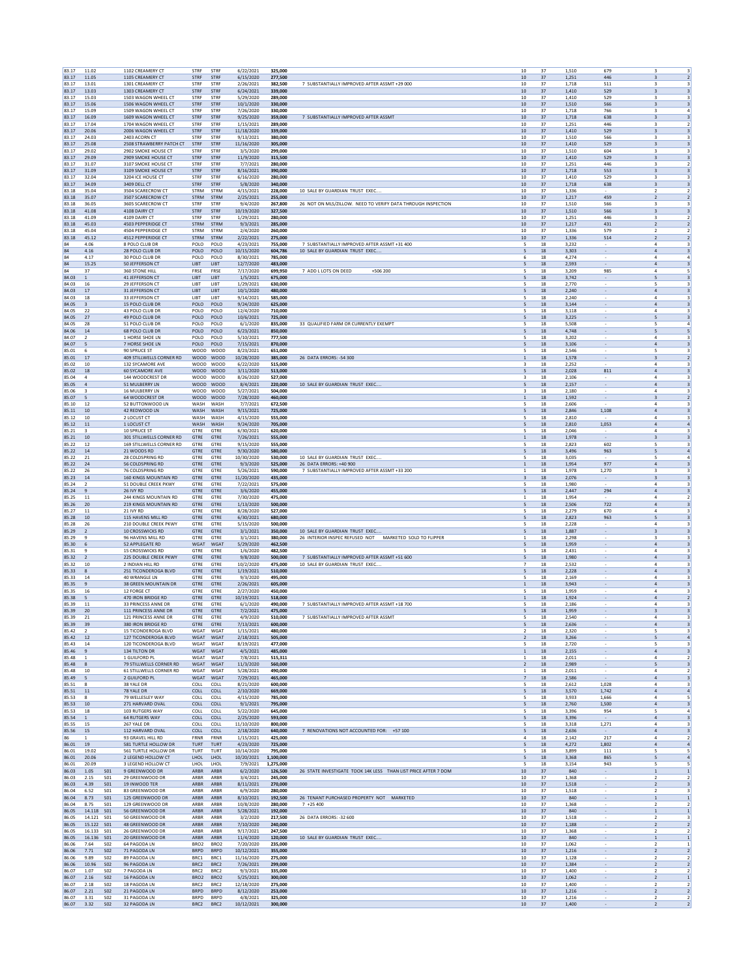| 83.17<br>83.17 | 11.02                                         | 1102 CREAMERY CT                                     | STRF                            | STRF                                 | 6/22/2021                | 325,000                |                                                                                           | 10<br>37                                   | 1,510          | 679                                                  | $\overline{\mathbf{3}}$<br>3                                                           |
|----------------|-----------------------------------------------|------------------------------------------------------|---------------------------------|--------------------------------------|--------------------------|------------------------|-------------------------------------------------------------------------------------------|--------------------------------------------|----------------|------------------------------------------------------|----------------------------------------------------------------------------------------|
|                | 11.05                                         | 1105 CREAMERY CT                                     | STRF                            | STRF                                 | 6/15/2020                | 277,500                |                                                                                           | 37<br>10                                   | 1,251          | 446                                                  | $\overline{\mathbf{3}}$<br>$\overline{2}$                                              |
| 83.17          | 13.01<br>13.03                                | 1301 CREAMERY CT<br>1303 CREAMERY CT                 | STRF<br>STRF                    | STRF<br>STRF                         | 2/26/2021<br>6/24/2021   | 382,500<br>339,000     | 7 SUBSTANTIALLY IMPROVED AFTER ASSMT +29 000                                              | 10<br>37<br>10<br>37                       | 1,718<br>1.410 | 511<br>529                                           | 3<br>3<br>3<br>$\overline{\mathbf{3}}$                                                 |
| 83.17          | 15.03                                         | 1503 WAGON WHEEL CT                                  | STRF                            | STRF                                 | 5/29/2020                | 289,000                |                                                                                           | 10<br>37                                   | 1,410          | 529                                                  | 3<br>$\overline{\mathbf{3}}$                                                           |
| 83.17          | 15.06                                         | 1506 WAGON WHEEL CT                                  | STRF                            | STRF                                 | 10/1/2020                | 330,000                |                                                                                           | 10<br>37                                   | 1,510          | 566                                                  | $\overline{\mathbf{3}}$<br>3                                                           |
| 83.17          | 15.09                                         | 1509 WAGON WHEEL CT                                  | STRF                            | STRF                                 | 7/26/2020                | 330,000                |                                                                                           | 37<br>10                                   | 1,718          | 766                                                  | 3<br>$\overline{4}$                                                                    |
| 83.17<br>83.17 | 16.09<br>17.04                                | 1609 WAGON WHEEL CT<br>1704 WAGON WHEEL CT           | STRF<br>STRF                    | STRF<br>STRF                         | 9/25/2020<br>1/15/2021   | 359,000<br>289,000     | 7 SUBSTANTIALLY IMPROVED AFTER ASSMT                                                      | 10<br>37<br>37<br>10                       | 1,718<br>1.251 | 638<br>446                                           | $\overline{\mathbf{3}}$<br>$\overline{\mathbf{3}}$<br>3<br>$\overline{2}$              |
| 83.17          | 20.06                                         | 2006 WAGON WHEEL CT                                  | STRF                            | STRF                                 | 11/18/2020               | 339,000                |                                                                                           | $10$<br>37                                 | 1,410          | 529                                                  | $\overline{\mathbf{3}}$<br>$\overline{\mathbf{3}}$                                     |
| 83.17          | 24.03                                         | 2403 ACORN CT                                        | STRF                            | STRF                                 | 9/13/2021                | 380,000                |                                                                                           | 10<br>37                                   | 1,510          | 566                                                  | в<br>$\mathbf{R}$                                                                      |
| 83.17          | 25.08                                         | 2508 STRAWBERRY PATCH CT                             | STRF                            | STRF                                 | 11/16/2020               | 305,000                |                                                                                           | 37<br>10                                   | 1,410          | 529                                                  | $\overline{\mathbf{3}}$<br>$\overline{\mathbf{3}}$                                     |
| 83.17<br>83.17 | 29.02<br>29.09                                | 2902 SMOKE HOUSE CT<br>2909 SMOKE HOUSE CT           | STRF<br>STRF                    | STRF<br>STRF                         | 3/5/2020<br>11/9/2020    | 299,000<br>315,500     |                                                                                           | 10<br>37<br>10<br>37                       | 1,510<br>1,410 | 604<br>529                                           | 3<br>3<br>3<br>$\overline{\mathbf{3}}$                                                 |
| 83.17          | 31.07                                         | 3107 SMOKE HOUSE CT                                  | STRF                            | STRF                                 | 7/7/2021                 | 280,000                |                                                                                           | $10$<br>37                                 | 1,251          | 446                                                  | 3                                                                                      |
| 83.17          | 31.09                                         | 3109 SMOKE HOUSE CT                                  | STRF                            | <b>STRF</b>                          | 8/16/2021                | 390,000                |                                                                                           | 10<br>37                                   | 1,718          | 553                                                  | $\overline{\mathbf{3}}$<br>3                                                           |
| 83.17<br>83.17 | 32.04<br>34.09                                | 3204 ICE HOUSE CT<br>3409 DELL CT                    | STRF<br>STRF                    | STRF<br>STRF                         | 6/16/2020<br>5/8/2020    | 280,000<br>340,000     |                                                                                           | 37<br>10<br>10<br>37                       | 1,410<br>1,718 | 529<br>638                                           | 3<br>$\overline{\mathbf{3}}$<br>$\overline{\mathbf{3}}$<br>$\overline{\mathbf{3}}$     |
| 83.18          | 35.04                                         | 3504 SCARECROW CT                                    | <b>STRM</b>                     | STRM                                 | 4/15/2021                | 228,000                | 10 SALE BY GUARDIAN TRUST EXEC                                                            | 37<br>10                                   | 1.336          |                                                      | $\overline{2}$<br>$\overline{2}$                                                       |
| 83.18          | 35.07                                         | 3507 SCARECROW CT                                    | STRM                            | STRM                                 | 2/25/2021                | 255,000                |                                                                                           | $10$<br>37                                 | 1,217          | 459                                                  | $\overline{\mathbf{2}}$<br>$\overline{2}$                                              |
| 83.18<br>83.18 | 36.05<br>41.08                                | 3605 SCARECROW CT<br>4108 DAIRY CT                   | STRF<br>STRF                    | STRF<br>STRF                         | 9/4/2020<br>10/19/2020   | 267,800<br>327,500     | 26 NOT ON MLS/ZILLOW. NEED TO VERIFY DATA THROUGH INSPECTION                              | 10<br>37<br>37<br>10                       | 1,510<br>1,510 | 566<br>566                                           | В<br>$\overline{\mathbf{3}}$<br>$\overline{\mathbf{3}}$<br>$\overline{\mathbf{3}}$     |
| 83.18          | 41.09                                         | 4109 DAIRY CT                                        | <b>STRF</b>                     | STRF                                 | 1/29/2021                | 280,000                |                                                                                           | 10<br>37                                   | 1,251          | 446                                                  | 3<br>$\overline{2}$                                                                    |
| 83.18          | 45.03                                         | 4503 PEPPERIDGE CT                                   | <b>STRM</b>                     | STRM                                 | 9/3/2021                 | 285,000                |                                                                                           | 10<br>37                                   | 1,217          | 431                                                  | 2<br>$\overline{2}$                                                                    |
| 83.18          | 45.04                                         | 4504 PEPPERIDGE CT                                   | STRM                            | STRM                                 | 2/4/2020                 | 260,000                |                                                                                           | $10$<br>37                                 | 1,336          | 579                                                  | $\overline{2}$<br>$\overline{\mathbf{z}}$                                              |
| 83.18<br>84    | 45.12<br>4.06                                 | 4512 PEPPERIDGE CT<br>8 POLO CLUB DR                 | <b>STRM</b><br>POLO             | <b>STRM</b><br>POLO                  | 2/22/2021<br>4/23/2021   | 275,000<br>755,000     | 7 SUBSTANTIALLY IMPROVED AFTER ASSMT +31 400                                              | 10<br>37<br>5<br>$18\,$                    | 1,336<br>3,232 | 514                                                  | $\overline{\mathbf{2}}$<br>$\overline{2}$<br>$\overline{4}$<br>$\overline{\mathbf{3}}$ |
| 84             | 4.16                                          | 28 POLO CLUB DF                                      | POLO                            | POLO                                 | 10/15/2020               | 604,786                | 10 SALE BY GUARDIAN TRUST EXEC                                                            | 5<br>18                                    | 3,303          | $\overline{\phantom{a}}$                             | $\sqrt{4}$<br>$\overline{\mathbf{3}}$                                                  |
| 84             | 4.17                                          | 30 POLO CLUB DF                                      | POLO                            | POLO                                 | 8/30/2021                | 785,000                |                                                                                           | 18<br>6                                    | 4.274          | $\overline{\phantom{a}}$                             | 4<br>$\sim$                                                                            |
| 84<br>84       | 15.25<br>37                                   | 50 JEFFERSON CT<br><b>360 STONE HILL</b>             | LIBT<br>FRSE                    | LIBT<br>FRSE                         | 12/7/2020<br>7/17/2020   | 483,000<br>699,950     | 7 ADD L LOTS ON DEED<br>+506 200                                                          | $18\,$<br>5<br>5<br>18                     | 2,593<br>3,209 | 985                                                  | $\overline{4}$<br>$\overline{\mathbf{3}}$<br>$\overline{a}$<br>-5                      |
| 84.03          | $\mathbf{1}$                                  | 41 JEFFERSON CT                                      | LIBT                            | LIBT                                 | 1/5/2021                 | 675,000                |                                                                                           | 5<br>18                                    | 3,742          |                                                      | $\overline{\mathbf{3}}$<br>5                                                           |
| 84.03          | 16                                            | 29 JEFFERSON CT                                      | LIBT                            | LIBT                                 | 1/29/2021                | 630,000                |                                                                                           | 5<br>18                                    | 2,770          |                                                      | 5<br>3                                                                                 |
| 84.03          | 17                                            | 31 JEFFERSON CT                                      | <b>LIBT</b>                     | LIBT                                 | 10/1/2020                | 480,000                |                                                                                           | 18<br>5                                    | 2,240          |                                                      | $\overline{a}$<br>3                                                                    |
| 84.03<br>84.05 | $18\,$<br>3                                   | 33 JEFFERSON CT<br>15 POLO CLUB DR                   | LIBT<br>POLO                    | LIBT<br>POLO                         | 9/14/2021<br>9/24/2020   | 585,000<br>625,000     |                                                                                           | $18\,$<br>5<br>18                          | 2,240<br>3,144 |                                                      | 4<br>$\overline{a}$<br>$\overline{\mathbf{3}}$                                         |
| 84.05          | 22                                            | 43 POLO CLUB DF                                      | POLO                            | POLO                                 | 12/4/2020                | 710,000                |                                                                                           | 5<br>18                                    | 3.118          |                                                      | $\overline{\mathbf{3}}$<br>$\mathbf{A}$                                                |
| 84.05          | 27                                            | 49 POLO CLUB DF                                      | POLO                            | POLO                                 | 10/6/2021                | 725,000                |                                                                                           | 5<br>18                                    | 3,225          | $\overline{\phantom{a}}$                             | 5<br>$\overline{\mathbf{3}}$                                                           |
| 84.05<br>84.06 | 28<br>$14\,$                                  | 51 POLO CLUB DF<br>68 POLO CLUB DR                   | POLO<br>POLO                    | POLO<br>POLO                         | 6/1/2020<br>6/23/2021    | 835,000<br>850,000     | 33 QUALIFIED FARM OR CURRENTLY EXEMPT                                                     | 18<br>5<br>5<br>$18\,$                     | 5.508<br>4,748 | $\overline{\phantom{a}}$                             | 5<br>$\overline{a}$<br>5<br>5                                                          |
| 84.07          | $\overline{2}$                                | 1 HORSE SHOE LN                                      | POLO                            | POLO                                 | 5/10/2021                | 777,500                |                                                                                           | 5<br>18                                    | 3,202          |                                                      | $\mathbf{4}$<br>$\mathbf{R}$                                                           |
| 84.07          | 5                                             | 7 HORSE SHOE LN                                      | POLO                            | POLO                                 | 7/15/2021                | 870,000                |                                                                                           | 5<br>18                                    | 3.106          | $\sim$                                               | $\overline{4}$<br>$\overline{\mathbf{3}}$                                              |
| 85.01<br>85.01 | 6<br>17                                       | 90 SPRUCE ST<br>409 STILLWELLS CORNER RD             | WOOD<br>WOOD WOOD               | WOOD                                 | 8/23/2021<br>10/28/2020  | 651,000<br>385,000     | 26 DATA ERRORS: - 54 300                                                                  | 5<br>18<br>18<br>$\mathbf{1}$              | 2,546<br>1,578 | $\overline{\phantom{a}}$                             | 5<br>3<br>3<br>$\overline{2}$                                                          |
| 85.02          | 10                                            | 132 SYCAMORE AVE                                     |                                 | WOOD WOOD                            | 6/22/2020                | 515,000                |                                                                                           | $18\,$<br>3                                | 2,252          |                                                      | 4<br>3                                                                                 |
| 85.02          | 18                                            | <b>60 SYCAMORE AVE</b>                               | WOOD                            | <b>WOOD</b>                          | 3/11/2020                | 513,000                |                                                                                           | 5<br>$18\,$                                | 2,028          | 811                                                  | $\overline{a}$<br>$\overline{\mathbf{3}}$                                              |
| 85.04<br>85.05 | $\mathbf{4}$<br>$\sqrt{4}$                    | 144 WOODCREST DR<br>51 MULBERRY LN                   | WOOD WOOD<br>WOOD WOOD          |                                      | 8/26/2020<br>8/4/2021    | 527,000<br>220,000     | 10 SALE BY GUARDIAN TRUST EXEC                                                            | $\overline{\mathbf{3}}$<br>18<br>5<br>18   | 2.106<br>2,157 |                                                      | $\overline{\mathbf{3}}$<br>$\overline{a}$<br>$\sqrt{4}$<br>$\overline{\mathbf{3}}$     |
| 85.06          | 3                                             | <b>16 MULBERRY LN</b>                                | WOOD WOOD                       |                                      | 5/27/2021                | 504,000                |                                                                                           | 18<br>3                                    | 2.180          | $\overline{\phantom{a}}$<br>$\overline{\phantom{a}}$ | 4<br>3                                                                                 |
| 85.07          | 5                                             | 64 WOODCREST DR                                      | WOOD                            | WOOD                                 | 7/28/2020                | 460,000                |                                                                                           | $18\,$<br>$\mathbf{1}$                     | 1,592          | $\overline{\phantom{a}}$                             | 3<br>$\overline{2}$                                                                    |
| 85.10          | 12                                            | 52 BUTTONWOOD LN                                     | WASH                            | WASH                                 | 7/7/2021                 | 672,500                |                                                                                           | 5<br>18                                    | 2,606          |                                                      | $\overline{a}$<br>$\overline{\mathbf{3}}$                                              |
| 85.11<br>85.12 | 10<br>10                                      | 42 REDWOOD LN<br>2 LOCUST CT                         | WASH<br>WASH                    | WASH<br>WASH                         | 9/15/2021<br>4/15/2020   | 725,000<br>555,000     |                                                                                           | 5<br>18<br>5<br>18                         | 2.846<br>2,810 | 1,108                                                | $\overline{4}$<br>$\overline{\mathbf{3}}$<br>$\overline{4}$<br>3                       |
| 85.12          | 11                                            | 1 LOCUST CT                                          | WASH                            | WASH                                 | 9/24/2020                | 705,000                |                                                                                           | 18<br>5                                    | 2.810          | 1,053                                                | $\overline{a}$<br>$\overline{4}$                                                       |
| 85.21          | 3                                             | 10 SPRUCE ST                                         | GTRE                            | GTRE                                 | 6/30/2021                | 620,000                |                                                                                           | $18\,$<br>5                                | 2,046          |                                                      | 4                                                                                      |
| 85.21          | $10\,$<br>12                                  | 301 STILLWELLS CORNER RD<br>169 STILLWELLS CORNER RD | GTRE                            | GTRE                                 | 7/26/2021                | 555,000                |                                                                                           | 18<br>$\mathbf{1}$                         | 1,978          | 602                                                  | 3<br>$\overline{\mathbf{3}}$<br>$\overline{\mathbf{3}}$                                |
| 85.22<br>85.22 | 14                                            | 21 WOODS RD                                          | GTRE<br>GTRE                    | GTRE<br>GTRE                         | 9/15/2020<br>9/30/2020   | 555,000<br>580,000     |                                                                                           | 5<br>18<br>5<br>18                         | 2.823<br>3,496 | 963                                                  | 5<br>5<br>$\overline{a}$                                                               |
| 85.22          | 21                                            | 28 COLDSPRING RD                                     | GTRE                            | GTRE                                 | 10/30/2020               | 530,000                | 10 SALE BY GUARDIAN TRUST EXEC                                                            | 18<br>5                                    | 3.035          |                                                      | 5<br>$\overline{a}$                                                                    |
| 85.22          | 24                                            | 56 COLDSPRING RD                                     | GTRE                            | GTRE                                 | 9/3/2020                 | 525,000                | 26 DATA ERRORS: +40 900                                                                   | $18\,$<br>$\mathbf{1}$                     | 1,954          | 977                                                  | $\sqrt{4}$<br>$\overline{\mathbf{3}}$                                                  |
| 85.22<br>85.23 | 26<br>14                                      | 76 COLDSPRING RD<br>160 KINGS MOUNTAIN RD            | GTRE<br><b>GTRE</b>             | GTRE<br>GTRE                         | 5/26/2021<br>11/20/2020  | 590,000<br>435.000     | 7 SUBSTANTIALLY IMPROVED AFTER ASSMT +33 200                                              | 18<br>1<br>18<br>$\overline{\mathbf{3}}$   | 1,978<br>2,076 | 1,270                                                | $\overline{\mathbf{3}}$<br>в<br>$\overline{\mathbf{3}}$<br>3                           |
| 85.24          | $\overline{2}$                                | 51 DOUBLE CREEK PKWY                                 | GTRE                            | GTRE                                 | 7/22/2021                | 575,000                |                                                                                           | 5<br>18                                    | 1,980          |                                                      | 4<br>3                                                                                 |
| 85.24          | 9                                             | 26 IVY RD                                            | GTRE                            | GTRE                                 | 3/6/2020                 | 455,000                |                                                                                           | 18<br>5                                    | 2,447          | 294                                                  | $\overline{4}$<br>$\overline{\mathbf{3}}$                                              |
| 85.25          | 11<br>20                                      | 244 KINGS MOUNTAIN RD<br>219 KINGS MOUNTAIN RD       | GTRE                            | GTRE                                 | 7/30/2020                | 475,000<br>500,000     |                                                                                           | $18\,$<br>5                                | 1,954<br>2,506 | 722                                                  | 4<br>$\overline{a}$<br>$\overline{\mathbf{3}}$                                         |
| 85.26<br>85.27 | 11                                            | 21 IVY RD                                            | GTRE<br>GTRE                    | GTRE<br>GTRE                         | 1/13/2020<br>8/28/2020   | 527.000                |                                                                                           | $18\,$<br>5<br>18                          | 2.279          | 670                                                  | $\overline{a}$<br>$\overline{\mathbf{3}}$                                              |
| 85.28          | 10                                            | 115 HAVENS MILL RD                                   | GTRE                            | GTRE                                 | 6/30/2021                | 680,000                |                                                                                           | 5<br>18                                    | 2,823          | 963                                                  | 5<br>$\overline{\mathbf{3}}$                                                           |
| 85.28          | 26                                            | 210 DOUBLE CREEK PKWY                                | GTRE                            | GTRE                                 | 5/15/2020                | 500,000                |                                                                                           | 18<br>5                                    | 2,228          |                                                      | $\overline{4}$<br>3                                                                    |
|                |                                               |                                                      | GTRE                            | GTRE<br>GTRE                         | 3/1/2021<br>3/1/2021     | 350,000<br>380,000     | 10 SALE BY GUARDIAN TRUST EXEC<br>26 INTERIOR INSPEC REFUSED NOT MARKETED SOLD TO FLIPPER | $18\,$<br>5<br>$\mathbf{1}$<br>18          | 1,887<br>2,298 |                                                      | 3<br>В<br>$\overline{\mathbf{3}}$                                                      |
| 85.29          | 2                                             | 10 CROSSWICKS RD                                     |                                 |                                      |                          | 462.500                |                                                                                           |                                            |                | $\sim$                                               | $\overline{a}$<br>$\overline{\mathbf{3}}$                                              |
| 85.29<br>85.30 | $\mathbf{q}$<br>6                             | 96 HAVENS MILL RD<br><b>52 APPLEGATE RD</b>          | GTRE<br>WGAT                    | <b>WGAT</b>                          |                          |                        |                                                                                           | 5<br>18                                    | 1.959          |                                                      |                                                                                        |
| 85.31          | 9                                             | 15 CROSSWICKS RD                                     | GTRE                            | GTRE                                 | 5/29/2020<br>1/6/2020    | 482,500                |                                                                                           | 5<br>18                                    | 2,431          | $\overline{\phantom{a}}$                             | 4<br>3                                                                                 |
| 85.32          | $\overline{2}$                                | 225 DOUBLE CREEK PKWY                                | GTRE                            | GTRE                                 | 9/8/2020                 | 500,000                | 7 SUBSTANTIALLY IMPROVED AFTER ASSMT +51 600                                              | 18<br>5                                    | 1,980          | $\overline{\phantom{a}}$                             | $\overline{4}$<br>3                                                                    |
| 85.32          | 10<br>8                                       | 2 INDIAN HILL RD                                     | GTRE                            | GTRE                                 | 10/2/2020                | 475,000<br>510,000     | 10 SALE BY GUARDIAN TRUST EXEC                                                            | $18\,$<br>5                                | 2,532<br>2,228 |                                                      | 4<br>$\overline{4}$<br>$\overline{\mathbf{3}}$                                         |
| 85.33<br>85.33 | 14                                            | 251 TICONDEROGA BLVD<br>40 WRANGLE LN                | GTRE<br>GTRE                    | GTRE<br>GTRE                         | 1/19/2021<br>9/3/2020    | 495,000                |                                                                                           | 18<br>5<br>18                              | 2.169          |                                                      | $\overline{\mathbf{3}}$<br>$\mathbf{A}$                                                |
| 85.35          | $\overline{9}$                                | 38 GREEN MOUNTAIN DR                                 | GTRE                            | GTRE                                 | 2/26/2021                | 605,000                |                                                                                           | $\,1\,$<br>18                              | 3,943          | $\overline{\phantom{a}}$                             | $\sqrt{4}$<br>$\overline{\mathbf{3}}$                                                  |
| 85.35          | 16                                            | 12 FORGE CT                                          | GTRE                            | GTRE                                 | 2/27/2020                | 450,000                |                                                                                           | 18<br>5                                    | 1,959          |                                                      | 4<br>3<br>$\overline{4}$<br>$\overline{2}$                                             |
| 85.38<br>85.39 | 5<br>11                                       | 470 IRON BRIDGE RD<br>33 PRINCESS ANNE DR            | GTRE<br>GTRE                    | GTRE<br>GTRE                         | 10/19/2021<br>6/1/2020   | 518,000<br>490,000     | 7 SUBSTANTIALLY IMPROVED AFTER ASSMT +18 700                                              | $18\,$<br>$\mathbf{1}$<br>5<br>18          | 1,924<br>2,186 |                                                      | $\mathbf{4}$<br>$\overline{\mathbf{3}}$                                                |
| 85.39          | 20                                            | 111 PRINCESS ANNE DR                                 | GTRE                            | GTRE                                 | 7/2/2021                 | 475,000                |                                                                                           | 5<br>18                                    | 1.959          | $\sim$                                               | $\overline{\mathbf{3}}$<br>3                                                           |
| 85.39          | 21                                            | 121 PRINCESS ANNE DR                                 | GTRE                            | GTRE                                 | 4/9/2020                 | 510,000                | 7 SUBSTANTIALLY IMPROVED AFTER ASSMT                                                      | 5<br>18                                    | 2,540          |                                                      | $\ddot{a}$<br>3<br>$\overline{a}$                                                      |
| 85.39<br>85.42 | 39<br>2                                       | 380 IRON BRIDGE RD<br>15 TICONDEROGA BLVD            | GTRE<br>WGAT                    | GTRE<br>WGAT                         | 7/13/2021<br>1/15/2021   | 600,000<br>480,000     |                                                                                           | $18\,$<br>5<br>$18\,$                      | 2,636<br>2,320 |                                                      | $\overline{\mathbf{3}}$<br>5<br>$\overline{\mathbf{3}}$                                |
| 85.42          | 12                                            | 127 TICONDEROGA BLVD                                 | WGAT                            | WGAT                                 | 2/18/2021                | 505,000                |                                                                                           | $\overline{2}$<br>18                       | 3,266          |                                                      | 5<br>$\overline{a}$                                                                    |
| 85.43<br>85.46 | 14<br>9                                       | 120 TICONDEROGA BLVD<br>134 TILTON DR                | WGAT<br>WGAT                    | WGAT<br>WGAT                         | 8/19/2021                | 477.000<br>485,000     |                                                                                           | 5<br>18<br>$\mathbf{1}$<br>18              | 2.720<br>2,155 | $\sim$                                               | 5<br>3<br>$\sqrt{4}$<br>$\overline{\mathbf{3}}$                                        |
| 85.48          | $\overline{1}$                                | 1 GUILFORD PL                                        | WGAT                            | WGAT                                 | 4/5/2021<br>7/8/2021     | 515,311                |                                                                                           | 18<br>1                                    | 2,011          |                                                      | 4<br>$\overline{2}$                                                                    |
| 85.48          | 8                                             | 79 STILLWELLS CORNER RD                              | WGAT                            | WGAT                                 | 11/3/2020                | 560,000                |                                                                                           | $18\,$<br>$\overline{2}$                   | 2,989          | $\overline{\phantom{a}}$                             | $\overline{\phantom{a}}$<br>$\overline{\mathbf{3}}$                                    |
| 85.48<br>85.49 | 10<br>5                                       | 61 STILLWELLS CORNER RD<br>2 GUILFORD PL             | WGAT<br>WGAT                    | WGAT<br>WGAT                         | 5/28/2021<br>7/29/2021   | 490,000<br>465,000     |                                                                                           | $\mathbf{1}$<br>18<br>$\overline{7}$<br>18 | 2,011<br>2.586 |                                                      | $\mathbf{4}$<br>$\overline{z}$<br>$\overline{4}$<br>$\overline{\mathbf{3}}$            |
| 85.51          | 8                                             | 38 YALE DR                                           | COLL                            | COLL                                 | 8/21/2020                | 600,000                |                                                                                           | 5<br>18                                    | 2,612          | 1,028                                                | $\boldsymbol{4}$<br>3                                                                  |
| 85.51          | 11                                            | 78 YALE DR                                           | COLL                            | COLL                                 | 2/10/2020                | 669,000                |                                                                                           | 18<br>5                                    | 3,570          | 1,742                                                | $\overline{4}$<br>$\mathbf{A}$                                                         |
| 85.53          | 8                                             | 79 WELLESLEY WAY                                     | COLL                            | COLL                                 | 4/15/2020                | 785,000                |                                                                                           | $18\,$<br>5                                | 3,933          | 1,666                                                | $\overline{a}$<br>5                                                                    |
| 85.53<br>85.53 | 10<br>18                                      | 271 HARVARD OVAL<br>103 RUTGERS WAY                  | COLL<br>COLL                    | COLL<br>COLL                         | 9/1/2021<br>5/22/2020    | 795,000<br>645,000     |                                                                                           | 5<br>18<br>5<br>18                         | 2,760<br>3.396 | 1,500<br>954                                         | $\overline{a}$<br>$\overline{\mathbf{3}}$<br>5<br>$\sim$                               |
| 85.54          | $1\,$                                         | <b>64 RUTGERS WAY</b>                                | COLL                            | COLL                                 | 2/25/2020                | 593,000                |                                                                                           | 5<br>18                                    | 3,396          |                                                      | $\sqrt{4}$<br>$\overline{\mathbf{3}}$                                                  |
| 85.55          | 15                                            | 267 YALE DR                                          | COLL                            | COLL                                 | 11/10/2020               | 800,000                |                                                                                           | 18<br>5                                    | 3,318          | 1,271                                                | $\mathbf{a}$<br>$\overline{\mathbf{3}}$                                                |
| 85.56<br>86    | 15                                            | 112 HARVARD OVAL<br>93 GRAVEL HILL RD                | COLL<br>FRNR                    | COLL<br>FRNR                         | 2/18/2020<br>1/15/2021   | 640,000<br>425,000     | 7 RENOVATIONS NOT ACCOUNTED FOR: +57 100                                                  | 5<br>$18\,$<br>4<br>18                     | 2,636<br>2,142 | $\sim$<br>217                                        | $\sqrt{4}$<br>$\overline{\mathbf{3}}$<br>$\overline{a}$<br>$\overline{2}$              |
| 86.01          | 19                                            | 581 TURTLE HOLLOW DR                                 | <b>TURT</b>                     | <b>TURT</b>                          | 4/23/2020                | 725,000                |                                                                                           | 5<br>18                                    | 4.272          | 1.802                                                | $\overline{4}$<br>$\overline{4}$                                                       |
| 86.01          | 19.02                                         | 561 TURTLE HOLLOW DR                                 | TURT                            | <b>TURT</b>                          | 10/14/2020               | 795,000                |                                                                                           | 5<br>18                                    | 3,899          | 111                                                  | 5<br>5                                                                                 |
| 86.01<br>86.01 | 20.06<br>20.09                                | 2 LEGEND HOLLOW CT<br>3 LEGEND HOLLOW CT             | LHOL<br>LHOL                    | LHOL<br>LHOL                         | 10/20/2021<br>7/9/2021   | 1,100,000<br>1,275,000 |                                                                                           | 18<br>5<br>18<br>5                         | 3,368<br>3,154 | 865<br>943                                           | $\overline{a}$<br>5<br>5<br>5                                                          |
| 86.03          | 1.05<br><b>SO1</b>                            | 9 GREENWOOD DR                                       | ARBR                            | ARBR                                 | 6/2/2020                 | 126,500                | 26 STATE INVESTIGATE TOOK 14K LESS THAN LIST PRICE AFTER 7 DOM                            | 10<br>37                                   | 840            |                                                      | $\,$ 1 $\,$<br>$\,$ 1                                                                  |
| 86.03          | 2.15<br>S01                                   | 29 GREENWOOD DR                                      | ARBR                            | ARBR                                 | 3/4/2021                 | 245,000                |                                                                                           | 10<br>37                                   | 1.368          |                                                      | 2<br>2                                                                                 |
| 86.03<br>86.04 | 4.39<br><b>S01</b><br>6.52<br>S01             | 19 INWOOD TER<br>83 GREENWOOD DR                     | ARBR<br>ARBR                    | ARBR<br>ARBR                         | 8/11/2021                | 270,000<br>280,000     |                                                                                           | 10<br>37<br>10<br>37                       | 1,518<br>1,518 | $\overline{\phantom{a}}$                             | $\overline{2}$<br>$\overline{\mathbf{3}}$<br>3<br>$\overline{2}$                       |
| 86.04          | 8.73<br><b>S01</b>                            | 125 GREENWOOD DR                                     | ARBR                            | ARBR                                 | 6/9/2020<br>8/10/2021    | 192,500                | 26 TENANT PURCHASED PROPERTY NOT MARKETED                                                 | $10$<br>37                                 | 840            | $\overline{\phantom{a}}$                             | $1\,$<br>$\mathbf{1}$                                                                  |
| 86.04          | 8.75<br><b>S01</b>                            | 129 GREENWOOD DR                                     | ARBR                            | ARBR                                 | 10/8/2020                | 280,000                | $7 + 25400$                                                                               | 10<br>37                                   | 1,368          |                                                      | $\overline{2}$<br>$\overline{2}$                                                       |
| 86.05          | 14.118<br>S <sub>01</sub>                     | 56 GREENWOOD DR                                      | ARBR                            | ARBR                                 | 5/28/2021                | 192,000                |                                                                                           | 10<br>37                                   | 840            |                                                      | $\mathbf{1}$<br>1                                                                      |
| 86.05<br>86.05 | 14.121<br><b>S01</b><br>15.122 SO1            | 50 GREENWOOD DR<br>48 GREENWOOD DR                   | ARBR<br>ARBR                    | ARBR<br>ARBR                         | 3/2/2020                 | 217,500<br>240,000     | 26 DATA ERRORS: -32 600                                                                   | 10<br>37<br>10<br>37                       | 1,518          | $\overline{\phantom{a}}$                             | $\overline{\mathbf{2}}$<br>3<br>$\overline{2}$<br>$\overline{2}$                       |
| 86.05          | 16.133<br><b>S01</b>                          | 26 GREENWOOD DR                                      | ARBR                            | ARBR                                 | 7/10/2020<br>9/17/2021   | 247,500                |                                                                                           | 10<br>37                                   | 1,188<br>1,368 |                                                      | $\overline{2}$<br>$\overline{2}$                                                       |
| 86.05          | 16.136<br><b>S01</b>                          | 20 GREENWOOD DR                                      | ARBR                            | ARBR                                 | 11/4/2020                | 120,000                | 10 SALE BY GUARDIAN TRUST EXEC.                                                           | 10<br>37                                   | 840            |                                                      | $\,$ 1 $\,$<br>$\mathbf{1}$                                                            |
| 86.06<br>86.06 | 7.64<br>S <sub>02</sub><br>7.71<br><b>SO2</b> | 64 PAGODA LN<br>71 PAGODA LN                         | BRO <sub>2</sub><br><b>BRPD</b> | BRO <sub>2</sub><br><b>BRPD</b>      | 7/20/2020                | 235,000<br>355,000     |                                                                                           | 10<br>37<br>10<br>37                       | 1.062<br>1,216 | $\overline{\phantom{a}}$                             | 2<br>1<br>$\overline{2}$<br>$\overline{2}$                                             |
| 86.06          | 9.89<br>S <sub>02</sub>                       | 89 PAGODA LN                                         | BRC1                            | BRC1                                 | 10/12/2021<br>11/16/2020 | 275,000                |                                                                                           | 10<br>37                                   | 1,128          | $\overline{\phantom{a}}$                             | $\overline{\mathbf{z}}$<br>$\overline{2}$                                              |
| 86.06          | 10.96<br><b>SO2</b>                           | 96 PAGODA LN                                         | BRC2                            | BRC2                                 | 7/26/2021                | 299,000                |                                                                                           | $10$<br>37                                 | 1,384          |                                                      | $\overline{2}$<br>$\overline{2}$                                                       |
| 86.07<br>86.07 | 1.07<br><b>SO2</b><br>2.16<br>S <sub>02</sub> | 7 PAGODA LN<br>16 PAGODA LN                          | BRC2<br>BRO <sub>2</sub>        | BRC <sub>2</sub><br>BRO <sub>2</sub> | 9/3/2021                 | 335,000<br>300,000     |                                                                                           | 10<br>37<br>10<br>37                       | 1,400<br>1.062 |                                                      | $\overline{2}$<br>$\overline{z}$<br>2<br>1                                             |
| 86.07          | 2.18<br><b>S02</b>                            | 18 PAGODA LN                                         | BRC <sub>2</sub>                | BRC2                                 | 5/25/2021<br>12/18/2020  | 275,000                |                                                                                           | 37<br>10                                   | 1,400          |                                                      | $\overline{2}$<br>$\overline{2}$                                                       |
| 86.07<br>86.07 | 2.21<br>S <sub>02</sub><br>3.31<br><b>SO2</b> | 21 PAGODA LN<br>31 PAGODA LN                         | <b>BRPD</b><br><b>BRPD</b>      | <b>BRPD</b><br><b>BRPD</b>           | 8/12/2020<br>4/8/2021    | 253,000<br>325,000     |                                                                                           | 10<br>37<br>$10$<br>37                     | 1,216<br>1,216 | $\overline{\phantom{a}}$                             | $\overline{2}$<br>$\overline{2}$<br>$\overline{2}$<br>$\overline{2}$                   |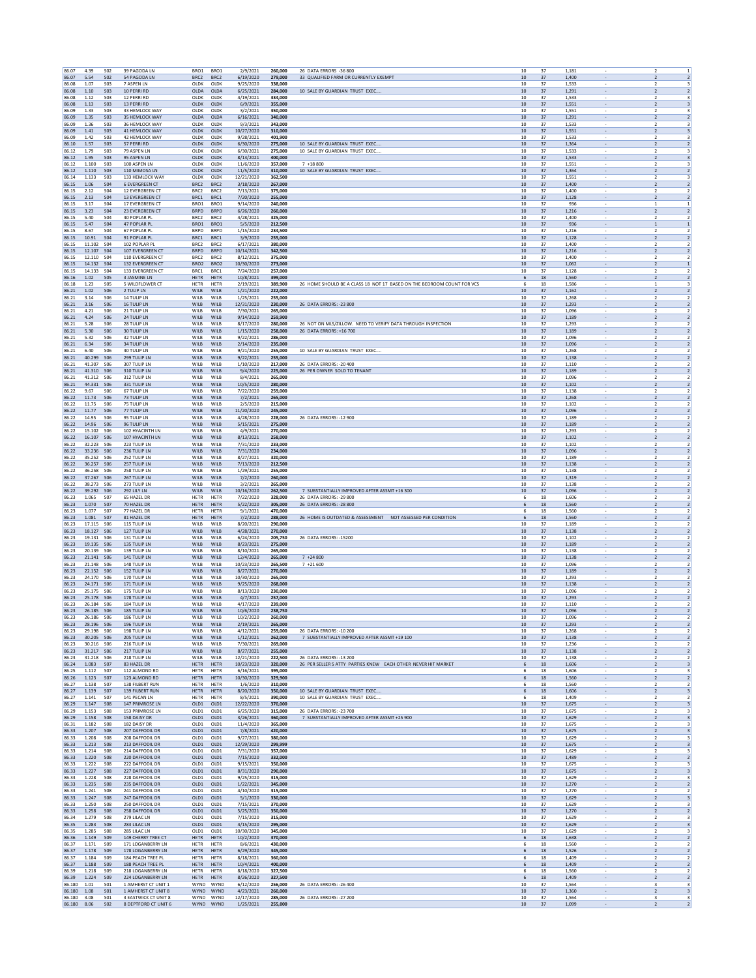| 86.07                      | 4.39                     | <b>SO2</b>                    | 39 PAGODA LN                                    | BRO1                        | BRO1                                 | 2/9/2021                             | 260,000                       | 26 DATA ERRORS -36 800                                                 | 10                 | 37             | 1,181                                                                  | $\overline{z}$<br>$\overline{1}$                                                                         |
|----------------------------|--------------------------|-------------------------------|-------------------------------------------------|-----------------------------|--------------------------------------|--------------------------------------|-------------------------------|------------------------------------------------------------------------|--------------------|----------------|------------------------------------------------------------------------|----------------------------------------------------------------------------------------------------------|
| 86.07<br>86.08             | 5.54<br>1.07             | <b>SO2</b><br><b>SO3</b>      | 54 PAGODA LN<br>7 ASPEN LN                      | BRC2<br>OLDK                | BRC2<br>OLDK                         | 6/19/2020<br>9/25/2020               | 279,000<br>338,000            | 33 QUALIFIED FARM OR CURRENTLY EXEMPT                                  | 10<br>10           | 37<br>37       | 1,400<br>$\overline{\phantom{a}}$<br>1,533                             | $\overline{2}$<br>$\overline{2}$<br>$\overline{2}$<br>3                                                  |
| 86.08                      | 1.10                     | S <sub>03</sub>               | 10 PERRI RD                                     | OLDA                        | OLDA                                 | 6/25/2021                            | 284.000                       | 10 SALE BY GUARDIAN TRUST EXEC.,                                       | 10                 | 37             | 1.291                                                                  | $\overline{2}$<br>$\overline{2}$                                                                         |
| 86.08                      | 1.12                     | <b>SO3</b>                    | 12 PERRI RD                                     | OLDK                        | OLDK                                 | 4/19/2021                            | 334,000                       |                                                                        | 10                 | 37             | 1,533                                                                  | $\overline{\mathbf{z}}$<br>$\overline{\mathbf{3}}$                                                       |
| 86.08<br>86.09             | 1.13<br>1.33             | <b>SO3</b><br><b>SO3</b>      | 13 PERRI RD<br>33 HEMLOCK WAY                   | OLDK<br>OLDK                | OLDK<br>OLDK                         | 6/9/2021<br>3/2/2021                 | 355,000<br>350,000            |                                                                        | 10<br>10           | 37<br>37       | 1,551<br>1,551                                                         | $\overline{\mathbf{3}}$<br>$\overline{\mathbf{2}}$<br>$\overline{\mathbf{2}}$<br>$\overline{\mathbf{3}}$ |
| 86.09                      | 1.35                     | <b>SO3</b>                    | 35 HEMLOCK WAY                                  | OLDA                        | OLDA                                 | 6/16/2021                            | 340,000                       |                                                                        | 10                 | 37             | 1,291<br>$\overline{\phantom{a}}$                                      | $\overline{2}$<br>$\overline{2}$                                                                         |
| 86.09<br>86.09             | 1.36<br>1.41             | <b>S03</b><br><b>SO3</b>      | 36 HEMLOCK WAY<br>41 HEMLOCK WAY                | OLDK<br>OLDK                | OLDK<br>OLDK                         | 9/3/2021<br>10/27/2020               | 343,000<br>310,000            |                                                                        | 10<br>$10\,$       | 37<br>37       | 1.533<br>1,551<br>$\overline{\phantom{a}}$                             | 2<br>3<br>$\overline{2}$<br>$\overline{\mathbf{3}}$                                                      |
| 86.09                      | 1.42                     | S03                           | 42 HEMLOCK WAY                                  | OLDK                        | OLDK                                 | 9/28/2021                            | 401,900                       |                                                                        | 10                 | 37             | 1,533                                                                  | $\overline{\phantom{a}}$<br>$\mathbf{R}$                                                                 |
| 86.10<br>86.12             | 1.57<br>1.79             | <b>SO3</b><br><b>SO3</b>      | 57 PERRI RD<br>79 ASPEN LN                      | OLDK<br>OLDK                | OLDK<br>OLDK                         | 6/30/2020<br>6/30/2021               | 275,000<br>275,000            | 10 SALE BY GUARDIAN TRUST EXEC<br>10 SALE BY GUARDIAN TRUST EXEC.      | 10<br>10           | 37<br>37       | 1,364<br>$\overline{\phantom{a}}$<br>1,533                             | $\overline{2}$<br>$\overline{2}$<br>$\overline{2}$<br>3                                                  |
| 86.12                      | 1.95                     | S <sub>03</sub>               | 95 ASPEN LN                                     | OLDK                        | OLDK                                 | 8/13/2021                            | 400.000                       |                                                                        | 10                 | 37             | 1.533                                                                  | $\overline{2}$<br>3                                                                                      |
| 86.12<br>86.12             | 1.100<br>1.110           | <b>SO3</b><br><b>SO3</b>      | 100 ASPEN LN<br>110 MIMOSA LN                   | OLDK<br>OLDK                | OLDK<br>OLDK                         | 11/6/2020<br>11/5/2020               | 357,000<br>310,000            | $7 + 18800$<br>10 SALE BY GUARDIAN TRUST EXEC.                         | 10<br>10           | 37<br>37       | 1,551<br>1,364                                                         | $\overline{2}$<br>3<br>$\overline{2}$<br>$\overline{2}$                                                  |
| 86.14                      | 1.133                    | <b>SO3</b>                    | 133 HEMLOCK WAY                                 | OLDK                        | OLDK                                 | 12/21/2020                           | 362,500                       |                                                                        | 10                 | 37             | 1,551                                                                  | $\overline{2}$<br>$\overline{\mathbf{3}}$                                                                |
| 86.15<br>86.15             | 1.06<br>2.12             | <b>S04</b><br>S <sub>04</sub> | <b>6 EVERGREEN CT</b><br><b>12 EVERGREEN CT</b> | BRC2<br>BRC <sub>2</sub>    | BRC <sub>2</sub><br>BRC <sub>2</sub> | 3/18/2020<br>7/13/2021               | 267,000<br>375,000            |                                                                        | 10<br>10           | 37<br>37       | 1,400<br>$\overline{\phantom{a}}$<br>1.400                             | $\overline{2}$<br>$\overline{2}$<br>2<br>$\overline{2}$                                                  |
| 86.15                      | 2.13                     | <b>SO4</b>                    | 13 EVERGREEN CT                                 | BRC1                        | BRC1                                 | 7/20/2020                            | 255,000                       |                                                                        | $10\,$             | 37             | 1,128<br>$\overline{\phantom{a}}$                                      | $\overline{\mathbf{2}}$<br>$\overline{2}$                                                                |
| 86.15<br>86.15             | 3.17<br>3.23             | <b>S04</b><br><b>S04</b>      | 17 EVERGREEN CT<br>23 EVERGREEN CT              | BRO1<br><b>BRPD</b>         | BRO1<br><b>BRPD</b>                  | 9/14/2020<br>6/26/2020               | 240,000<br>260,000            |                                                                        | 10<br>10           | 37<br>37       | 936<br>1,216<br>$\sim$                                                 | $\mathbf{1}$<br>$\mathbf{1}$<br>$\overline{2}$<br>$\overline{2}$                                         |
| 86.15                      | 5.40                     | <b>S04</b>                    | 40 POPLAR PL                                    | BRC2                        | BRC2                                 | 4/28/2021                            | 325,000                       |                                                                        | 10                 | 37             | 1,400                                                                  | $\overline{2}$<br>$\overline{2}$                                                                         |
| 86.15<br>86.15             | 5.47<br>8.67             | S <sub>04</sub><br><b>SO4</b> | <b>47 POPLAR PL</b><br>67 POPLAR PL             | BRO1<br><b>BRPD</b>         | BRO1<br><b>BRPD</b>                  | 5/5/2020<br>1/15/2020                | 212,500<br>234,500            |                                                                        | 10<br>10           | 37<br>37       | 936<br>1,216                                                           | $\mathbf{1}$<br>1                                                                                        |
| 86.15                      | 10.91                    | <b>SO4</b>                    | 91 POPLAR PL                                    | BRC1                        | BRC1                                 | 3/9/2020                             | 255,000                       |                                                                        | 10                 | 37             | 1,128                                                                  | $\overline{\mathbf{2}}$<br>$\overline{2}$                                                                |
| 86.15<br>86.15             | 11.102<br>12.107 S04     | <b>SO4</b>                    | 102 POPLAR PL<br>107 EVERGREEN CT               | BRC2<br><b>BRPD</b>         | BRC2<br><b>BRPD</b>                  | 6/17/2021<br>10/14/2021              | 380,000<br>342,500            |                                                                        | 10<br>10           | 37<br>37       | 1,400<br>1,216<br>$\overline{\phantom{a}}$                             | $\overline{2}$<br>$\overline{2}$<br>$\overline{2}$<br>$\overline{2}$                                     |
| 86.15                      | 12.110                   | S04                           | 110 EVERGREEN CT                                | BRC <sub>2</sub>            | BRC <sub>2</sub>                     | 8/12/2021                            | 375,000                       |                                                                        | 10                 | 37             | 1.400                                                                  | 2<br>$\overline{2}$                                                                                      |
| 86.15<br>86.15             | 14.132<br>14.133         | <b>S04</b><br>S04             | 132 EVERGREEN CT<br>133 EVERGREEN CT            | BRO <sub>2</sub><br>BRC1    | BRO <sub>2</sub><br>BRC1             | 10/30/2020<br>7/24/2020              | 273,000<br>257.000            |                                                                        | $10\,$<br>10       | 37<br>37       | 1,062<br>$\overline{\phantom{a}}$<br>1,128                             | $\overline{2}$<br>$\overline{z}$<br>$\overline{z}$                                                       |
| 86.16                      | 1.02                     | <b>SO5</b>                    | 3 JASMINE LN                                    | <b>HETR</b>                 | <b>HETR</b>                          | 10/8/2021                            | 399,000                       |                                                                        | 6                  | 18             | 1,560<br>$\sim$                                                        | $\overline{2}$<br>$\overline{2}$                                                                         |
| 86.18<br>86.21             | 1.23<br>1.02             | <b>SO5</b><br>S06             | 5 WILDFLOWER CT<br>2 TULIP LN                   | <b>HETR</b><br>WILB         | HETR<br>WILB                         | 2/19/2021<br>1/21/2020               | 389,900<br>222.000            | 26 HOME SHOULD BE A CLASS 18 NOT 17 BASED ON THE BEDROOM COUNT FOR VCS | 6<br>10            | 18<br>37       | 1,586<br>1.162                                                         | $\mathbf{1}$<br>3<br>2<br>$\overline{2}$                                                                 |
| 86.21                      | 3.14                     | <b>S06</b>                    | 14 TULIP LN                                     | WILB                        | WILB                                 | 1/25/2021                            | 255,000                       |                                                                        | 10                 | 37             | 1,268                                                                  | $\overline{\mathbf{z}}$                                                                                  |
| 86.21                      | 3.16                     | <b>S06</b>                    | 16 TULIP LN                                     | WILB                        | WILB                                 | 12/31/2020                           | 230,000                       | 26 DATA ERRORS: - 23 800                                               | 10                 | 37             | 1,293                                                                  | $\overline{2}$<br>$\overline{2}$                                                                         |
| 86.21<br>86.21             | 4.21<br>4.24             | <b>S06</b><br><b>S06</b>      | <b>21 TULIP LN</b><br>24 TULIP LN               | WILB<br>WILB                | WILB<br>WILB                         | 7/30/2021<br>9/14/2020               | 265,000<br>259,900            |                                                                        | 10<br>10           | 37<br>37       | 1.096<br>1,189<br>$\overline{\phantom{a}}$                             | $\overline{2}$<br>$\overline{2}$<br>$\overline{2}$                                                       |
| 86.21                      | 5.28                     | <b>S06</b>                    | 28 TULIP LN                                     | WILB                        | WILB                                 | 8/17/2020                            | 280,000                       | 26 NOT ON MLS/ZILLOW. NEED TO VERIFY DATA THROUGH INSPECTION           | 10                 | 37             | 1.293                                                                  | $\overline{2}$<br>$\overline{2}$                                                                         |
| 86.21<br>86.21             | 5.30<br>5.32             | <b>SO6</b><br><b>S06</b>      | <b>30 TULIP LN</b><br>32 TULIP LN               | WILB<br>WILB                | WILB<br>WILB                         | 1/15/2020<br>9/22/2021               | 258,000<br>286,000            | 26 DATA ERRORS: +16 700                                                | $10\,$<br>10       | 37<br>37       | 1,189<br>$\overline{\phantom{a}}$<br>1,096                             | $\overline{2}$<br>$\overline{2}$<br>$\overline{\phantom{a}}$<br>$\overline{\phantom{a}}$                 |
| 86.21                      | 6.34                     | <b>S06</b>                    | <b>34 TULIP LN</b>                              | WILB                        | WILB                                 | 2/14/2020                            | 235.000                       |                                                                        | 10                 | 37             | 1.096<br>$\sim$                                                        | 2<br>$\overline{2}$                                                                                      |
| 86.21<br>86.21             | 6.40<br>40.299           | <b>S06</b><br>S06             | 40 TULIP LN<br>299 TULIP LN                     | WILB<br>WILB                | WILB<br>WILB                         | 9/21/2020<br>9/22/2021               | 255,000<br>255,000            | 10 SALE BY GUARDIAN TRUST EXEC.                                        | 10<br>10           | 37<br>37       | 1,268<br>1.138                                                         | $\overline{2}$<br>$\overline{2}$<br>$\overline{2}$<br>$\overline{2}$                                     |
| 86.21                      | 41.307                   | <b>S06</b>                    | 307 TULIP LN                                    | WILB                        | WILB                                 | 1/10/2020                            | 217,000                       | 26 DATA ERRORS: - 20 400<br>26 PER OWNER SOLD TO TENANT                | 10                 | 37             | 1,110                                                                  | $\overline{\mathbf{z}}$                                                                                  |
| 86.21<br>86.21             | 41.310<br>41.312         | <b>SO6</b><br>S06             | 310 TULIP LN<br>312 TULIP IN                    | WILB<br>WILB                | WILB<br>WILB                         | 9/4/2020<br>8/4/2021                 | 225,000<br>265,000            |                                                                        | 10<br>10           | 37<br>37       | 1,189<br>1.096                                                         | $\overline{\mathbf{2}}$<br>$\overline{2}$<br>$\overline{2}$<br>$\overline{2}$                            |
| 86.21                      | 44.331 S06               |                               | 331 TULIP LN                                    | WILB                        | WILB                                 | 10/5/2020<br>7/22/2020               | 280,000                       |                                                                        | 10                 | 37<br>37       | 1,102<br>$\overline{\phantom{a}}$                                      | $\overline{2}$<br>$\overline{2}$                                                                         |
| 86.22<br>86.22             | 9.67<br>11.73            | <b>S06</b><br><b>SO6</b>      | <b>67 TULIP LN</b><br>73 TULIP LN               | WILB<br>WILB                | WILB<br>WILB                         | 7/2/2021                             | 259,000<br>265,000            |                                                                        | 10<br>$10\,$       | 37             | 1.138<br>1,268<br>$\overline{\phantom{a}}$                             | 2<br>$\overline{2}$<br>$\overline{\mathbf{2}}$<br>$\overline{2}$                                         |
| 86.22                      | 11.75                    | <b>S06</b>                    | 75 TULIP LN                                     | WILB                        | WILB                                 | 2/5/2020                             | 215,000                       |                                                                        | 10                 | 37             | 1,102                                                                  | $\overline{z}$<br>$\overline{\phantom{a}}$                                                               |
| 86.22<br>86.22             | 11.77<br>14.95           | S06<br><b>S06</b>             | 77 TULIP LN<br>95 TULIP LN                      | WILB<br>WILB                | WILB<br>WILB                         | 11/20/2020<br>4/28/2020              | 245,000<br>228,000            | 26 DATA ERRORS: - 12 900                                               | 10<br>10           | 37<br>37       | 1.096<br>$\sim$<br>1,189                                               | $\overline{2}$<br>2<br>$\overline{\mathbf{2}}$<br>$\overline{2}$                                         |
| 86.22                      | 14.96                    | S <sub>06</sub><br><b>S06</b> | <b>96 TULIP LN</b>                              | WILB                        | WILB                                 | 5/15/2021                            | 275,000                       |                                                                        | 10                 | 37             | 1.189<br>$\overline{\phantom{a}}$                                      | $\overline{2}$<br>$\overline{2}$                                                                         |
| 86.22<br>86.22             | 15.102<br>16.107         | <b>SO6</b>                    | 102 HYACINTH LN<br>107 HYACINTH LN              | WILB<br>WILB                | WILB<br>WILB                         | 4/9/2021<br>8/13/2021                | 270,000<br>258,000            |                                                                        | 10<br>10           | 37<br>37       | 1,293<br>1,102                                                         | $\overline{\mathbf{2}}$<br>$\overline{2}$                                                                |
| 86.22                      | 32.223                   | S06                           | 223 TULIP LN                                    | WILB                        | WILB                                 | 7/31/2020                            | 233,000                       |                                                                        | 10                 | 37             | 1.102                                                                  | $\overline{2}$<br>$\overline{\phantom{a}}$                                                               |
| 86.22<br>86.22             | 33.236 S06<br>35.252 S06 |                               | 236 TULIP LN<br>252 TULIP LN                    | WILB<br>WILB                | WILB<br>WILB                         | 7/31/2020<br>8/27/2021               | 234,000<br>320,000            |                                                                        | 10<br>10           | 37<br>37       | 1,096<br>$\overline{\phantom{a}}$<br>1.189                             | $\overline{2}$<br>$\overline{2}$<br>$\overline{2}$<br>$\overline{2}$                                     |
| 86.22                      | 36.257                   | <b>SO6</b>                    | 257 TULIP LN                                    | WILB                        | WILB                                 | 7/13/2020                            | 212,500                       |                                                                        | $10\,$             | 37             | 1,138<br>$\overline{\phantom{a}}$                                      | $\overline{2}$<br>$\overline{2}$                                                                         |
| 86.22<br>86.22             | 36,258<br>37.267 S06     | <b>S06</b>                    | 258 TULIP LN<br>267 TULIP LN                    | WILB<br>WILB                | WILB<br>WILB                         | 1/29/2021<br>7/2/2020                | 255,000<br>260,000            |                                                                        | 10<br>10           | 37<br>37       | 1,138<br>1,319<br>$\sim$                                               | $\overline{z}$<br>$\overline{z}$<br>2<br>$\overline{2}$                                                  |
| 86.22                      | 38.273 S06               |                               | 273 TULIP LN                                    | WILB                        | WILB                                 | 3/2/2021                             | 265,000                       | 7 SUBSTANTIALLY IMPROVED AFTER ASSMT +16 300                           | 10                 | 37             | 1,138                                                                  | $\overline{\mathbf{2}}$<br>$\overline{2}$                                                                |
| 86.22<br>86.23             | 39.292 S06<br>1.065      | <b>S07</b>                    | 292 LILY LN<br>65 HAZEL DR                      | WILB<br>HETR                | WILB<br>HETR                         | 10/16/2020<br>7/22/2020              | 262.500<br>328,000            | 26 DATA ERRORS: - 29 800                                               | 10<br>6            | 37<br>$18\,$   | 1.096<br>$\overline{\phantom{a}}$<br>1,606                             | $\overline{2}$<br>$\overline{2}$<br>$\overline{2}$                                                       |
| 86.23                      | 1.070                    | <b>S07</b>                    | 70 HAZEL DR                                     | HETR                        | <b>HETR</b>                          | 5/22/2020                            | 305,000                       | 26 DATA ERRORS: - 28 800                                               | 6                  | 18             | 1,560                                                                  | $\overline{2}$<br>$\overline{2}$                                                                         |
| 86.23<br>86.23             | 1.077<br>1.081           | <b>S07</b><br><b>S07</b>      | 77 HAZEL DR<br>81 HAZEL DR                      | <b>HETR</b><br><b>HETR</b>  | HETR<br><b>HETR</b>                  | 9/1/2021<br>7/2/2020                 | 470,000<br>288,000            | 26 HOME IS OUTDATED & ASSESSMENT NOT ASSESSED PER CONDITION            | 6<br>6             | 18<br>18       | 1.560<br>1,560<br>$\overline{\phantom{a}}$                             | $\overline{2}$<br>$\overline{2}$<br>$\overline{2}$                                                       |
| 86.23                      | 17.115                   | S06                           | 115 TULIP LN                                    | WILB                        | WILB                                 | 8/20/2021                            | 290,000                       |                                                                        | 10                 | 37             | 1,189                                                                  | $\overline{\mathbf{z}}$<br>$\overline{2}$                                                                |
| 86.23<br>86.23             | 18.127<br>19.131         | <b>S06</b><br>S06             | 127 TULIP LN<br>131 TULIP LN                    | WILB<br>WILB                | WILB<br>WILB                         | 4/28/2021<br>6/24/2020               | 270,000<br>205,750            | 26 DATA ERRORS: - 15200                                                | $10\,$<br>10       | 37<br>37       | 1,138<br>$\overline{\phantom{a}}$<br>1,102                             | $\overline{\mathbf{2}}$<br>$\overline{2}$<br>$\overline{z}$<br>$\overline{z}$                            |
| 86.23                      | 19.135 S06               |                               | 135 TULIP LN                                    | WILB                        | <b>WILB</b>                          | 8/23/2021                            | 275,000                       |                                                                        | 10                 | 37             | 1,189<br>$\sim$                                                        | 2<br>$\overline{2}$                                                                                      |
| 86.23<br>86.23             | 20.139 S06<br>21.141 SO6 |                               | 139 TULIP LN<br>141 TULIP LN                    | WILB<br>WILB                | WILB<br>WILB                         | 8/10/2021<br>12/4/2020               | 265,000<br>265,000            | $7 + 24800$                                                            | 10<br>10           | 37<br>37       | 1,138<br>$\sim$<br>1,138<br>$\overline{\phantom{a}}$                   | $\overline{\mathbf{2}}$<br>$\overline{2}$<br>$\overline{2}$<br>$\overline{2}$                            |
| 86.23                      | 21.148                   | <b>S06</b>                    | 148 TULIP LN                                    | WILB                        | WILB                                 | 10/23/2020                           | 265,500                       | $7 + 21600$                                                            | 10                 | 37             | 1,096                                                                  | 2                                                                                                        |
| 86.23<br>86.23             | 22.152<br>24.170         | <b>SO6</b><br>S06             | 152 TULIP LN<br>170 TULIP LN                    | WILB<br>WILB                | WILB<br>WILB                         | 8/27/2021<br>10/30/2020              | 270,000<br>265,000            |                                                                        | 10<br>10           | 37<br>37       | 1,189<br>1.293                                                         | $\overline{\mathbf{2}}$<br>$\overline{2}$<br>$\overline{2}$<br>$\overline{2}$                            |
| 86.23                      | 24.171 S06<br>25.175 506 |                               | 171 TULIP LN<br>175 TULIP IN                    | WILB                        | WILB                                 | 9/25/2020                            | 268,000                       |                                                                        | 10                 | 37             | 1,138<br>$\overline{\phantom{a}}$                                      | $\overline{2}$<br>$\overline{2}$                                                                         |
| 86.23<br>86.23             | 25.178                   | <b>S06</b>                    | 178 TULIP LN                                    | WII R<br>WILB               | WILB<br>WILB                         | 8/13/2020<br>4/7/2021                | 230,000<br>257,000            |                                                                        | 10<br>$10\,$       | 37<br>37       | 1,096<br>1,293                                                         | $\overline{2}$<br>$\overline{2}$<br>$\overline{2}$<br>$\overline{2}$                                     |
| 86.23                      | 26.184                   | <b>S06</b>                    | 184 TULIP LN                                    | WILB                        | WILB                                 | 4/17/2020                            | 239.000                       |                                                                        | 10                 | 37             | 1,110<br>1,096                                                         | $\overline{2}$<br>$\overline{\phantom{a}}$                                                               |
| 86.23<br>86.23             | 26.185 S06<br>26.186     | <b>S06</b>                    | 185 TULIP LN<br>186 TULIP LN                    | WILB<br>WILB                | WILB<br>WILB                         | 10/6/2020<br>10/2/2020               | 238,750<br>260,000            |                                                                        | 10<br>10           | 37<br>37       | $\sim$<br>1,096                                                        | $\overline{2}$<br>$\overline{2}$<br>$\overline{2}$<br>$\overline{\mathbf{z}}$                            |
| 86.23<br>86.23             | 28.196 S06<br>29.198     | <b>SO6</b>                    | 196 TULIP LN<br>198 TULIP LN                    | WILB<br>WILB                | WILB<br>WILB                         | 2/19/2021<br>4/12/2021               | 265,000<br>259,000            | 26 DATA ERRORS: - 10 200                                               | 10<br>$10$         | 37<br>37       | 1,293<br>1,268                                                         | $\overline{2}$<br>$\overline{2}$<br>$\overline{2}$<br>$\overline{2}$                                     |
| 86.23                      | 30.205 S06               |                               | 205 TULIP LN                                    | WILB                        | WILB                                 | 1/12/2021                            | 262,000                       | 7 SUBSTANTIALLY IMPROVED AFTER ASSMT +19 100                           | 10                 | 37             | 1,138                                                                  | $\overline{2}$<br>$\overline{2}$                                                                         |
| 86.23<br>86.23             | 30.216 S06<br>31.217 S06 |                               | 216 TULIP LN<br>217 TULIP LN                    | WILB<br>WILB                | <b>WILB</b><br>WILB                  | 7/30/2021<br>8/27/2021               | 269,000<br>255,000            |                                                                        | 10<br>10           | 37<br>37       | 1.236<br>1,138<br>$\overline{\phantom{a}}$                             | 2<br>$\overline{2}$<br>$\overline{2}$<br>$\overline{2}$                                                  |
| 86.23                      | 31.218 SO6               |                               | 218 TULIP LN                                    | WILB                        | WILB                                 | 12/21/2020                           | 222,500                       | 26 DATA ERRORS: - 13 200                                               | 10                 | 37             | 1,138                                                                  | $\overline{\mathbf{z}}$<br>$\overline{2}$                                                                |
| 86.24<br>86.25             | 1.083<br>1.112           | <b>SO7</b><br>S <sub>07</sub> | 83 HAZEL DR<br>112 ALMOND RD                    | HETR<br><b>HETR</b>         | HETR<br>HETR                         | 10/23/2020<br>6/16/2021              | 320,000<br>395,000            | 26 PER SELLER S ATTY PARTIES KNEW EACH OTHER NEVER HIT MARKET          | 6<br>6             | $18\,$<br>18   | 1,606<br>1,606                                                         | $\overline{2}$<br>$\overline{\mathbf{3}}$<br>$\overline{z}$<br>$\mathbf{R}$                              |
| 86.26                      | 1.123                    | S <sub>07</sub>               | 123 ALMOND RD                                   | <b>HETR</b>                 | <b>HETR</b>                          | 10/30/2020                           | 329,900                       |                                                                        | 6                  | 18             | 1.560<br>$\sim$                                                        | $\overline{2}$<br>$\overline{2}$                                                                         |
| 86.27<br>86.27             | 1.138<br>1.139           | <b>S07</b><br><b>S07</b>      | 138 FILBERT RUN<br>139 FILBERT RUN              | <b>HETR</b><br><b>HETR</b>  | HETR<br><b>HETR</b>                  | 1/6/2020<br>8/20/2020                | 310,000<br>350,000            | 10 SALE BY GUARDIAN TRUST EXEC                                         | 6<br>6             | 18<br>18       | 1,560<br>1,606<br>$\overline{\phantom{a}}$                             | $\overline{\mathbf{2}}$<br>$\overline{2}$<br>$\overline{2}$<br>3                                         |
| 86.27                      | 1.141                    | <b>S07</b>                    | 141 PECAN LN                                    | HETR                        | HETR                                 | 8/5/2021                             | 390,000                       | 10 SALE BY GUARDIAN TRUST EXEC                                         | 6                  | $18\,$         | 1,409                                                                  | $\overline{2}$<br>$\overline{2}$                                                                         |
| 86.29<br>86.29             | 1.147<br>1.153           | <b>S08</b><br><b>S08</b>      | 147 PRIMROSE LN<br><b>153 PRIMROSE LN</b>       | OLD1<br>OLD <sub>1</sub>    | OLD1<br>OLD <sub>1</sub>             | 12/22/2020<br>6/25/2020              | 370,000<br>315,000            | 26 DATA ERRORS: - 23 700                                               | $10\,$<br>10       | 37<br>37       | 1,675<br>1.675                                                         | $\overline{2}$<br>$\overline{\mathbf{3}}$<br>$\overline{2}$<br>3                                         |
| 86.29                      | 1.158                    | <b>S08</b>                    | 158 DAISY DR                                    | OLD1                        | OLD1                                 | 3/26/2021                            | 360,000                       | 7 SUBSTANTIALLY IMPROVED AFTER ASSMT +25 900                           | 10                 | 37             | 1,629<br>$\overline{\phantom{a}}$                                      | $\overline{2}$<br>$\overline{\mathbf{3}}$                                                                |
| 86.31<br>86.33             | 1.182<br>1.207           | <b>S08</b><br><b>SO8</b>      | 182 DAISY DR<br>207 DAFFODIL DR                 | OLD1<br>OLD1                | OLD1<br>OLD1                         | 11/4/2020<br>7/8/2021                | 365,000<br>420,000            |                                                                        | 10<br>$10\,$       | 37<br>37       | 1,675<br>1,675                                                         | $\overline{\mathbf{3}}$<br>$\overline{2}$<br>$\overline{\mathbf{3}}$<br>$\overline{2}$                   |
| 86.33                      | 1.208                    | <b>S08</b>                    | 208 DAFFODIL DR                                 | OLD1                        | OLD1                                 | 9/27/2021                            | 380,000                       |                                                                        | $10$               | 37             | 1,629                                                                  | $\overline{2}$<br>$\overline{\mathbf{3}}$                                                                |
| 86.33<br>86.33             | 1.213<br>1.214           | <b>S08</b><br><b>S08</b>      | 213 DAFFODIL DR<br>214 DAFFODIL DR              | OLD1<br>OLD1                | OLD <sub>1</sub><br>OLD1             | 12/29/2020<br>7/31/2020              | 299,999<br>357,000            |                                                                        | 10<br>10           | 37<br>37       | 1.675<br>$\sim$<br>1,629<br>$\overline{\phantom{a}}$                   | $\overline{2}$<br>$\overline{\mathbf{3}}$<br>$\overline{\mathbf{2}}$<br>3                                |
| 86.33                      | 1.220                    | <b>S08</b>                    | 220 DAFFODIL DR                                 | OLD1                        | OLD1                                 | 7/15/2020                            | 332.000                       |                                                                        | 10                 | 37             | 1,489<br>$\sim$                                                        | $\overline{2}$<br>$\overline{2}$                                                                         |
| 86.33<br>86.33             | 1.222<br>1.227           | <b>S08</b><br><b>S08</b>      | 222 DAFFODIL DR<br>227 DAFFODIL DR              | OLD1<br>OLD1                | OLD1<br>OLD1                         | 9/15/2021<br>8/31/2020               | 350,000<br>290,000            |                                                                        | $10$<br>10         | 37<br>37       | 1,675<br>1,675                                                         | $\overline{2}$<br>3<br>$\overline{2}$<br>$\overline{\mathbf{3}}$                                         |
| 86.33                      | 1.228                    | <b>S08</b>                    | 228 DAFFODIL DR                                 | OLD <sub>1</sub>            | OLD <sub>1</sub>                     | 9/25/2020                            | 315,000                       |                                                                        | 10                 | 37             | 1.629                                                                  | 2<br>3                                                                                                   |
| 86.33<br>86.33             | 1.235<br>1.241           | <b>S08</b><br><b>S08</b>      | 235 DAFFODIL DR<br>241 DAFFODIL DR              | OLD1<br>OLD1                | OLD1<br>OLD1                         | 1/22/2021<br>4/10/2020               | 345,000<br>315,000            |                                                                        | 10<br>10           | 37<br>37       | 1,270<br>$\overline{\phantom{a}}$<br>1,270<br>$\overline{\phantom{a}}$ | $\overline{2}$<br>$\overline{2}$<br>$\overline{z}$<br>$\overline{2}$                                     |
| 86.33                      | 1.247                    | <b>SO8</b>                    | 247 DAFFODIL DR                                 | OLD1                        | OLD1                                 | 5/1/2020                             | 330,000                       |                                                                        | $10\,$             | 37             | 1,629                                                                  | $\overline{2}$<br>$\overline{\mathbf{3}}$                                                                |
| 86.33<br>86.33             | 1.250<br>1.258           | <b>S08</b><br><b>S08</b>      | 250 DAFFODIL DR<br>258 DAFFODIL DR              | OLD1<br>OLD <sub>1</sub>    | OLD1<br>OLD <sub>1</sub>             | 7/15/2021<br>5/25/2021               | 370,000<br>350,000            |                                                                        | 10<br>10           | 37<br>37       | 1,629<br>1.270                                                         | $\overline{2}$<br>$\overline{\mathbf{3}}$<br>$\overline{2}$<br>$\overline{2}$                            |
| 86.34                      | 1.279                    | <b>S08</b>                    | 279 LILAC LN                                    | OLD1                        | OLD1                                 | 7/15/2020                            | 315,000                       |                                                                        | 10                 | 37             | 1,629                                                                  | $\overline{2}$<br>3                                                                                      |
| 86.35<br>86.35             | 1.283<br>1.285           | <b>S08</b><br><b>S08</b>      | 283 LILAC LN<br>285 LILAC LN                    | OLD1<br>OLD1                | OLD1<br>OLD1                         | 4/15/2020<br>10/30/2020              | 295,000<br>345,000            |                                                                        | 10<br>$10\,$       | 37<br>37       | 1,629<br>$\overline{\phantom{a}}$<br>1,629                             | $\overline{2}$<br>3<br>$\overline{\mathbf{3}}$<br>$\overline{2}$                                         |
| 86.36                      | 1.149                    | <b>S09</b>                    | 149 CHERRY TREE CT                              | <b>HETR</b>                 | <b>HETR</b>                          | 10/2/2020                            | 370,000                       |                                                                        | 6                  | 18             | 1,638                                                                  | $\overline{\mathbf{2}}$<br>$\overline{2}$                                                                |
| 86.37                      | 1.171                    | S <sub>09</sub><br><b>S09</b> | 171 LOGANBERRY LN<br>178 LOGANBERRY LN          | <b>HETR</b><br>HETR         | <b>HETR</b><br><b>HETR</b>           | 8/6/2021<br>6/29/2020                | 430.000<br>345,000            |                                                                        | 6<br>6             | 18<br>18       | 1.560<br>1,526<br>$\overline{\phantom{a}}$                             | 2<br>$\overline{2}$<br>$\overline{2}$<br>$\overline{2}$                                                  |
| 86.37                      | 1.178                    |                               | 184 PEACH TREE PL                               | <b>HETR</b>                 | HETR                                 | 8/18/2021                            | 360,000                       |                                                                        | 6                  | 18             | 1,409                                                                  | $\overline{\mathbf{z}}$<br>$\overline{2}$                                                                |
| 86.37                      | 1.184                    | <b>S09</b>                    |                                                 |                             |                                      |                                      |                               |                                                                        |                    |                |                                                                        |                                                                                                          |
| 86.37<br>86.39             | 1.188<br>1.218           | <b>S09</b><br><b>S09</b>      | 188 PEACH TREE PL<br>218 LOGANBERRY LN          | HETR<br><b>HETR</b>         | HETR<br>HETR                         | 10/4/2021<br>8/18/2020               | 400,000<br>327,500            |                                                                        | 6<br>6             | $18\,$<br>18   | 1,409<br>1,560                                                         | $\overline{2}$<br>$\overline{2}$<br>$\overline{2}$<br>$\overline{z}$                                     |
| 86.39                      | 1.224                    | <b>SO9</b>                    | 224 LOGANBERRY LN                               | <b>HETR</b>                 | <b>HETR</b>                          | 8/26/2020                            | 327.500                       |                                                                        | 6                  | 18             | 1.409                                                                  | $\overline{2}$<br>$\overline{2}$                                                                         |
| 86.180<br>86.180<br>86.180 | 1.01<br>1.08             | S01<br><b>S01</b>             | 1 AMHERST CT UNIT 1<br>1 AMHERST CT UNIT 8      | WYND<br><b>WYND</b><br>WYND | WYND<br>WYND<br>WYND                 | 6/12/2020<br>4/23/2021<br>12/17/2020 | 256,000<br>260,000<br>285,000 | 26 DATA ERRORS: - 26 400<br>26 DATA ERRORS: - 27 200                   | 10<br>10<br>$10\,$ | 37<br>37<br>37 | 1,564<br>1,360<br>$\overline{\phantom{a}}$<br>1,564                    | $\overline{\mathbf{3}}$<br>$\overline{\mathbf{3}}$<br>$\overline{2}$<br>3                                |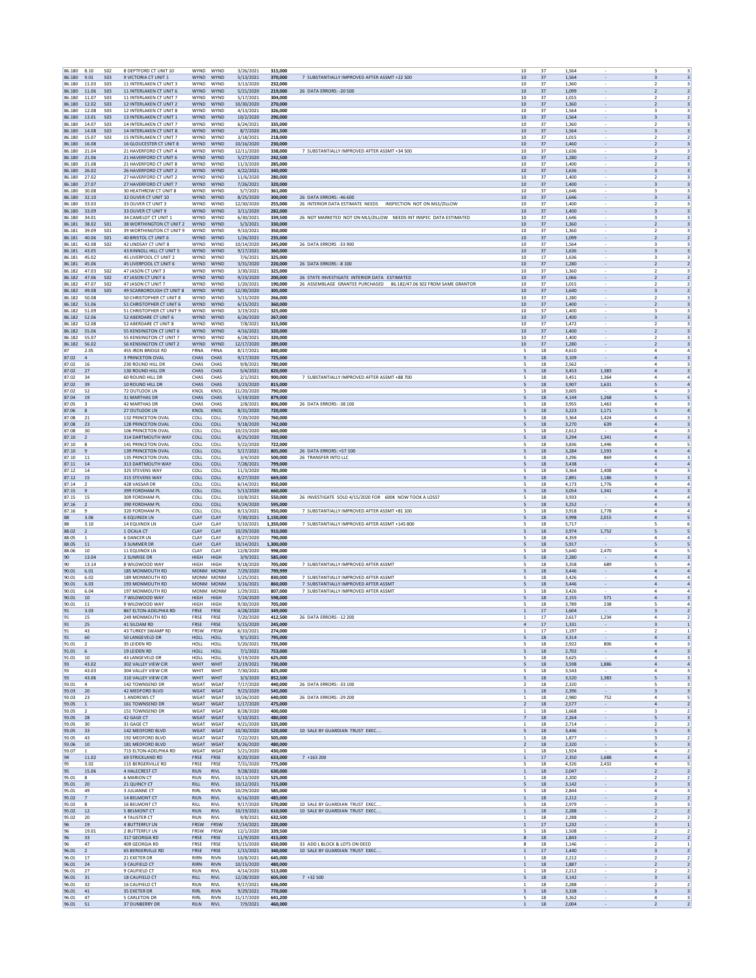| 86.180            | 8.10                    | S <sub>02</sub>               | 8 DEPTFORD CT UNIT 10                                | WYND                       | WYND                       | 3/26/2021                | 315,000              |                                                                    | 37<br>10                                  |              | 1.564          |                                                                       | $\overline{\mathbf{3}}$                                     |
|-------------------|-------------------------|-------------------------------|------------------------------------------------------|----------------------------|----------------------------|--------------------------|----------------------|--------------------------------------------------------------------|-------------------------------------------|--------------|----------------|-----------------------------------------------------------------------|-------------------------------------------------------------|
| 86.180<br>86.180  | 9.01<br>11.03           | <b>SO3</b><br>S03             | 9 VICTORIA CT UNIT 1<br>11 INTERLAKEN CT UNIT 3      | WYND WYND<br>WYND          | WYND                       | 5/13/2021<br>3/13/2020   | 370,000<br>232.000   | 7 SUBSTANTIALLY IMPROVED AFTER ASSMT +22 500                       | 10<br>37<br>10                            | 37           | 1,564<br>1.360 | $\overline{2}$                                                        | $\ensuremath{\mathsf{3}}$<br>3<br>3                         |
| 86.180            | 11.06                   | <b>SO3</b>                    | 11 INTERLAKEN CT UNIT 6                              | <b>WYND</b>                | WYND                       | 5/21/2020                | 219,000              | 26 DATA ERRORS: - 20 500                                           | $10\,$<br>37                              |              | 1,099          | $\overline{2}$                                                        | $\overline{2}$                                              |
| 86.180<br>86.180  | 11.07<br>12.02          | <b>S03</b><br>S <sub>03</sub> | 11 INTERLAKEN CT UNIT 7<br>12 INTERLAKEN CT UNIT 2   | <b>WYND</b><br>WYND WYND   | WYND                       | 5/17/2021<br>10/30/2020  | 304,000<br>270,000   |                                                                    | 10<br>37<br>10<br>37                      |              | 1.015<br>1,360 | $\overline{2}$<br>$\sim$<br>$\overline{2}$                            | $\overline{2}$<br>$\overline{\mathbf{3}}$                   |
| 86.180            | 12.08                   | S03                           | 12 INTERLAKEN CT UNIT 8                              | WYND                       | WYND                       | 4/13/2021                | 326,000              |                                                                    | 10<br>37                                  |              | 1,564          | $\overline{\phantom{a}}$<br>3                                         | 3                                                           |
| 86.180            | 13.01                   | <b>S03</b>                    | 13 INTERLAKEN CT UNIT 1                              | <b>WYND</b>                | WYND                       | 10/2/2020                | 290,000              |                                                                    | 10<br>37                                  |              | 1.564          | $\overline{\mathbf{3}}$<br>$\overline{\phantom{a}}$                   | $\overline{\mathbf{3}}$                                     |
| 86.180<br>86.180  | 14.07<br>14.08          | <b>SO3</b><br>S <sub>03</sub> | 14 INTERLAKEN CT UNIT 7<br>14 INTERLAKEN CT UNIT 8   | WYND<br><b>WYND</b>        | WYND<br>WYND               | 6/24/2021<br>8/7/2020    | 335,000<br>281,500   |                                                                    | 10<br>37<br>10<br>37                      |              | 1,360<br>1.564 | $\overline{\mathbf{2}}$                                               | 3<br>$\overline{\mathbf{3}}$                                |
| 86.180            | 15.07                   | <b>S03</b>                    | 15 INTERLAKEN CT UNIT 7                              | WYND                       | WYND                       | 3/18/2021                | 218,000              |                                                                    | 10<br>37                                  |              | 1,015          | $\overline{2}$                                                        | $\overline{2}$                                              |
| 86.180<br>86.180  | 16.08<br>21.04          |                               | 16 GLOUCESTER CT UNIT 8<br>21 HAVERFORD CT UNIT 4    | WYND<br><b>WYND</b>        | WYND<br>WYND               | 10/16/2020<br>12/11/2020 | 230,000<br>338,000   | 7 SUBSTANTIALLY IMPROVED AFTER ASSMT +34 500                       | 10<br>10<br>37                            | 37           | 1,460<br>1.636 | $\overline{\phantom{a}}$<br>-3                                        | $\overline{2}$<br>$\overline{\mathbf{3}}$<br>3              |
| 86.180            | 21.06                   |                               | 21 HAVERFORD CT UNIT 6                               | <b>WYND</b>                | WYND                       | 5/27/2020                | 242,500              |                                                                    | $10\,$<br>37                              |              | 1,280          | $\overline{2}$                                                        | $\overline{2}$                                              |
| 86.180<br>86.180  | 21.08<br>26.02          |                               | 21 HAVERFORD CT UNIT 8<br>26 HAVERFORD CT UNIT 2     | WYND<br>WYND WYND          | WYND                       | 11/3/2020<br>4/22/2021   | 285,000<br>340,000   |                                                                    | 10<br>37<br>10<br>37                      |              | 1,400<br>1,636 | $\overline{\phantom{a}}$<br>$\sim$<br>-3                              | 3<br>$\overline{\mathbf{3}}$                                |
| 86.180            | 27.02                   |                               | 27 HAVERFORD CT UNIT 2                               | WYND                       | WYND                       | 11/6/2020                | 280,000              |                                                                    | 10<br>37                                  |              | 1,400          | $\overline{\phantom{a}}$<br>$\overline{2}$                            | 3                                                           |
| 86.180<br>86.180  | 27.07<br>30.08          |                               | 27 HAVERFORD CT UNIT 7<br>30 HEATHROW CT UNIT 8      | <b>WYND</b><br>WYND        | WYND<br>WYND               | 7/26/2021<br>5/7/2021    | 320,000<br>361,000   |                                                                    | 10<br>37<br>10<br>37                      |              | 1.400<br>1,646 | $\overline{\mathbf{3}}$<br>$\overline{\phantom{a}}$<br>3              | $\overline{\mathbf{3}}$<br>3                                |
| 86.180            | 32.10                   |                               | 32 OLIVER CT UNIT 10                                 | <b>WYND</b>                | WYND                       | 8/25/2020                | 300,000              | 26 DATA ERRORS: - 46 600                                           | 10<br>37                                  |              | 1.646          |                                                                       | $\overline{\mathbf{3}}$                                     |
| 86.180            | 33.03<br>33.09          |                               | 33 OLIVER CT UNIT 3                                  | WYND<br>WYND               | WYND<br>WYND               | 12/30/2020               | 255,000<br>282,000   | 26 INTERIOR DATA ESTIMATE NEEDS INSPECTION NOT ON MLS/ZILLOW       | 10<br>10                                  | 37           | 1,400          | $\overline{2}$<br>$\overline{\phantom{a}}$                            | $\overline{\mathbf{3}}$<br>3                                |
| 86.180<br>86.180  | 34.01                   |                               | 33 OLIVER CT UNIT 9<br>34 CAMELOT CT UNIT 1          | WYND                       | WYND                       | 3/11/2020<br>6/30/2021   | 339.500              | 26 NOT MARKETED NOT ON MIS/2010W NEEDS INT INSPECTDATA ESTIMATED   | 10<br>37                                  | 37           | 1,400<br>1.646 | 3<br>-3                                                               | 3                                                           |
| 86.181            | 38.02                   | <b>SO1</b>                    | 38 WORTHINGTON CT UNIT 2                             | WYND                       | WYND                       | 5/3/2021                 | 330,000              |                                                                    | 10<br>37                                  |              | 1,360          | $\overline{2}$<br>$\overline{z}$                                      | $\overline{\mathbf{3}}$                                     |
| 86.181<br>86.181  | 39.09<br>40.06          | S01<br>S <sub>01</sub>        | 39 WORTHINGTON CT UNIT 9<br>40 BRISTOL CT UNIT 6     | WYND<br>WYND               | WYND<br>WYND               | 9/10/2021<br>1/26/2021   | 350,000<br>235,000   |                                                                    | 10<br>37<br>10                            | 37           | 1,360<br>1,099 | $\overline{2}$<br>$\overline{\phantom{a}}$                            | $\overline{\mathbf{3}}$<br>$\overline{2}$                   |
| 86.181            | 42.08                   | S <sub>02</sub>               | 42 LINDSAY CT UNIT 8                                 | WYND                       | WYND                       | 10/14/2020               | 245,000              | 26 DATA ERRORS -33 900                                             | 10<br>37                                  |              | 1,564          | 3<br>$\overline{\phantom{a}}$                                         | 3                                                           |
| 86.181<br>86.181  | 43.05<br>45.02          |                               | 43 KINNOLL HILL CT UNIT 5<br>45 LIVERPOOL CT UNIT 2  | <b>WYND</b><br>WYND        | WYND<br>WYND               | 9/17/2021<br>7/6/2021    | 360,000<br>325,000   |                                                                    | 10<br>37<br>10<br>17                      |              | 1.636<br>1,636 | $\overline{\mathbf{3}}$<br>$\overline{\phantom{a}}$<br>3              | $\overline{\mathbf{3}}$<br>3                                |
| 86.181            | 45.06                   |                               | 45 LIVERPOOL CT UNIT 6                               | <b>WYND</b>                | WYND                       | 3/31/2020                | 220,000              | 26 DATA ERRORS: - 8 100                                            | 10<br>37                                  |              | 1,280          |                                                                       | $\overline{\mathbf{2}}$                                     |
| 86.182<br>86.182  | 47.03<br>47.06          | <b>S02</b><br><b>SO2</b>      | 47 JASON CT UNIT 3<br>47 JASON CT UNIT 6             | WYND<br>WYND               | WYND<br>WYND               | 3/30/2021<br>9/23/2020   | 325,000<br>200,000   | 26 STATE INVESTIGATE INTERIOR DATA ESTIMATED                       | 10<br>10                                  | 37<br>37     | 1,360<br>1,066 | $\overline{2}$<br>$\overline{\phantom{a}}$                            | $\overline{\mathbf{3}}$<br>$\overline{2}$<br>$\overline{2}$ |
| 86.182            | 47.07                   | S <sub>02</sub>               | 47 JASON CT UNIT 7                                   | WYND                       | WYND                       | 1/20/2021                | 190,000              | 26 ASSEMBLAGE GRANTEE PURCHASED 86.182/47.06 S02 FROM SAME GRANTOR | 10<br>37                                  |              | 1.015          | -2                                                                    | $\overline{2}$                                              |
| 86.182<br>86.182  | 49.08<br>50.08          | <b>SO3</b>                    | 49 SCARBOROUGH CT UNIT 8<br>50 CHRISTOPHER CT UNIT 8 | WYND<br>WYND               | WYND<br>WYND               | 12/30/2020<br>5/15/2020  | 305,000<br>266,000   |                                                                    | 10<br>37<br>10<br>37                      |              | 1,640<br>1,280 | $\overline{\mathbf{3}}$<br>$\overline{z}$                             | $\overline{2}$<br>$\overline{\mathbf{3}}$                   |
| 86.182            | 51.06                   |                               | 51 CHRISTOPHER CT UNIT 6                             | WYND                       | WYND                       | 6/15/2021                | 360,000              |                                                                    | 10<br>37                                  |              | 1,400          | $\overline{\phantom{a}}$<br>$\overline{2}$                            | $\overline{\mathbf{3}}$                                     |
| 86.182<br>86.182  | 51.09<br>52.06          |                               | 51 CHRISTOPHER CT UNIT 9<br>52 ABERDARE CT UNIT 6    | WYND<br><b>WYND</b>        | WYND<br>WYND               | 3/19/2021<br>6/26/2020   | 325,000<br>267,000   |                                                                    | 10<br>37<br>10<br>37                      |              | 1,400<br>1.400 | 3<br>$\overline{\mathbf{3}}$<br>$\overline{\phantom{a}}$              | 3<br>$\overline{\mathbf{3}}$                                |
| 86.182            | 52.08                   |                               | 52 ABERDARE CT UNIT 8                                | WYND                       | WYND                       | 7/8/2021                 | 315,000              |                                                                    | 10<br>37                                  |              | 1,472          | $\overline{\mathbf{2}}$                                               | 3                                                           |
| 86.182<br>86.182  | 55.06<br>55.07          |                               | 55 KENSINGTON CT UNIT 6<br>55 KENSINGTON CT UNIT 7   | <b>WYND</b><br>WYND        | WYND<br>WYND               | 4/16/2021<br>6/28/2021   | 320,000<br>320,000   |                                                                    | 10<br>37<br>10                            | 37           | 1.400<br>1,400 | $\overline{2}$                                                        | $\overline{\mathbf{3}}$<br>$\overline{\mathbf{3}}$          |
| 86.182            | 56.02                   |                               | <b>56 KENSINGTON CT UNIT 2</b>                       | WYND                       | WYND                       | 12/17/2020               | 289,000              |                                                                    | 10<br>37                                  |              | 1,280          | $\overline{2}$<br>$\overline{\phantom{a}}$                            | $\overline{\mathbf{3}}$                                     |
| 87<br>87.02       | 2.05<br>$\sqrt{4}$      |                               | 455 IRON BRIDGE RD<br>3 PRINCETON OVAL               | <b>FRNA</b><br>CHAS        | FRNA<br>CHAS               | 8/17/2021<br>9/17/2020   | 840,000<br>725,000   |                                                                    | 5<br>18<br>5<br>18                        |              | 4.610<br>3,109 | $\overline{4}$<br>$\overline{a}$                                      | $\overline{4}$<br>$\overline{\mathbf{3}}$                   |
| 87.02             | 16                      |                               | 230 ROUND HILL DR                                    | CHAS                       | CHAS                       | 9/8/2021                 | 780,000              |                                                                    | $\overline{\phantom{a}}$<br>18            |              | 2.562          | $\mathbf{A}$                                                          | $\overline{\mathbf{3}}$                                     |
| 87.02<br>87.02    | $27\,$<br>34            |                               | 130 ROUND HILL DR<br>60 ROUND HILL DR                | CHAS<br>CHAS               | CHAS<br>CHAS               | 5/4/2021<br>2/1/2021     | 820,000<br>900,000   | 7 SUBSTANTIALLY IMPROVED AFTER ASSMT +88 700                       | 18<br>5<br>5<br>18                        |              | 3,453<br>3,451 | 1,383<br>$\overline{a}$<br>1,364<br>$\overline{a}$                    | $\overline{\mathbf{3}}$<br>$\overline{a}$                   |
| 87.02             | 39                      |                               | 10 ROUND HILL DR                                     | CHAS                       | CHAS                       | 3/23/2020                | 815,000              |                                                                    | 5<br>18                                   |              | 3.907          | 1.631<br>5                                                            | $\overline{a}$                                              |
| 87.02<br>87.04    | 52<br>19                |                               | 72 OUTLOOK LN<br><b>31 MARTHAS DR</b>                | KNOL<br>CHAS               | KNOL<br>CHAS               | 11/20/2020<br>5/19/2020  | 790,000<br>879,000   |                                                                    | 5<br>18<br>18<br>5                        |              | 3,605<br>4,144 | $\overline{a}$<br>1,268<br>5                                          | 3<br>5                                                      |
| 87.05             | $\overline{\mathbf{3}}$ |                               | <b>42 MARTHAS DR</b>                                 | CHAS                       | CHAS                       | 2/8/2021                 | 806,000              | 26 DATA ERRORS: - 38 100                                           | 5<br>18                                   |              | 3,955          | 1,463<br>$\overline{4}$                                               | $\overline{\mathbf{3}}$                                     |
| 87.06<br>87.08    | 8<br>21                 |                               | 27 OUTLOOK LN<br>132 PRINCETON OVAL                  | KNOL<br>COLL               | KNOL<br>COLL               | 8/31/2020<br>7/20/2020   | 720,000<br>760,000   |                                                                    | 5<br>18<br>5<br>18                        |              | 3,223<br>3.364 | 1,171<br>5<br>1.424<br>$\overline{4}$                                 | $\overline{a}$<br>3                                         |
| 87.08             | 23                      |                               | 128 PRINCETON OVAL                                   | COLL                       | COLL                       | 9/18/2020                | 742,000              |                                                                    | 5<br>18                                   |              | 3,270          | 639                                                                   | $\sqrt{4}$<br>$\overline{\mathbf{3}}$                       |
| 87.08<br>87.10    | 30<br>2                 |                               | 106 PRINCETON OVAL<br>314 DARTMOUTH WAY              | COLL<br>COLL               | COLL<br>COLL               | 10/23/2020<br>8/25/2020  | 660,000<br>720,000   |                                                                    | $\overline{\phantom{a}}$<br>18<br>18<br>5 |              | 2,612<br>3,294 | $\mathbf{A}$<br>1,341<br>$\overline{a}$                               | $\overline{\mathbf{3}}$<br>$\overline{\mathbf{3}}$          |
| 87.10             | 8                       |                               | 141 PRINCETON OVAL                                   | COLL                       | COLL                       | 5/22/2020                | 722,000              |                                                                    | 5<br>18                                   |              | 3,836          | 1,446<br>$\overline{a}$                                               | 5                                                           |
| 87.10<br>87.10    | 9<br>11                 |                               | <b>139 PRINCETON OVAL</b><br>135 PRINCETON OVAL      | COLL<br>COLI               | COLL<br>COLL               | 5/17/2021<br>3/4/2020    | 805,000<br>500,000   | 26 DATA ERRORS: +57 100<br>26 TRANSFER INTO LLC                    | 5<br>18<br>5<br>18                        |              | 3.284<br>3,296 | 1.593<br>$\overline{4}$<br>869<br>$\overline{a}$                      | $\overline{a}$<br>3                                         |
| 87.11             | 14                      |                               | 313 DARTMOUTH WAY                                    | COLL                       | COLL                       | 7/28/2021                | 799,000              |                                                                    | 18<br>5                                   |              | 3,438          | $\mathbf{A}$                                                          | $\overline{a}$                                              |
| 87.12<br>87.12    | 14<br>15                |                               | 325 STEVENS WAY<br>315 STEVENS WAY                   | COLL<br>COLL               | COLL<br>COLL               | 11/3/2020                | 785,000<br>669,000   |                                                                    | 5<br>18<br>5<br>18                        |              | 3,364<br>2,891 | 1,408<br>$\overline{4}$<br>1,186<br>$\overline{\mathbf{3}}$           | $\overline{\mathbf{3}}$<br>$\overline{\mathbf{3}}$          |
| 87.14             | $\overline{2}$          |                               | 428 VASSAR DR                                        | COLL                       | COLL                       | 8/27/2020<br>6/14/2021   | 950,000              |                                                                    | 5<br>18                                   |              | 4.173          | 1.776<br>$\overline{4}$                                               | $\overline{4}$                                              |
| 87.15<br>87.15    | $\overline{9}$<br>15    |                               | 399 FORDHAM PL<br>309 FORDHAM PL                     | COLL<br>COLL               | COLL<br>COLL               | 5/13/2020<br>10/8/2021   | 660,000<br>550,000   | 26 INVESTIGATE SOLD 4/15/2020 FOR 600K NOW TOOK A LOSS?            | 5<br>18<br>$\overline{\phantom{a}}$<br>18 |              | 3,054<br>3,933 | 1,341<br>$\mathbf{A}$                                                 | $\sqrt{4}$<br>$\overline{\mathbf{3}}$<br>$\overline{a}$     |
| 87.16             | $\overline{2}$          |                               | 390 FORDHAM PL                                       | COLL                       | COLL                       | 9/24/2020                | 595,000              |                                                                    | 5<br>18                                   |              | 3,252          | $\overline{a}$                                                        | $\overline{\mathbf{3}}$                                     |
| 87.16<br>88       | 9<br>3.06               |                               | 320 FORDHAM PL<br><b>6 EQUINOX LN</b>                | COLL<br>CLAY               | COLL<br>CLAY               | 8/13/2021<br>7/30/2021   | 950,000<br>1.150.000 | 7 SUBSTANTIALLY IMPROVED AFTER ASSMT +81 100                       | 5<br>18<br>5                              | 18           | 3,918<br>3.998 | 1,778<br>$\overline{a}$<br>2.015<br>$\overline{4}$                    | $\overline{a}$<br>5                                         |
| 88                | 3.10                    |                               | 14 EQUINOX LN                                        | CLAY                       | CLAY                       | 5/10/2021                | 1,350,000            | 7 SUBSTANTIALLY IMPROVED AFTER ASSMT +145 800                      | 5                                         | 18           | 5,717          | 5                                                                     | 6                                                           |
| 88.02<br>88.05    | $\overline{2}$<br>1     |                               | 1 OCALA CT<br><b>6 DANCER LN</b>                     | CLAY<br>CLAY               | CLAY<br>CLAY               | 10/29/2020<br>8/27/2020  | 910,000<br>790,000   |                                                                    | 5<br>18<br>5<br>18                        |              | 3,974<br>4,359 | 1,752<br>$\overline{4}$                                               | 5<br>$\overline{4}$                                         |
| 88.05             | 11                      |                               | 3 SUMMER DR                                          | CLAY                       | CLAY                       | 10/14/2021               | 1,300,000            |                                                                    | 5<br>18                                   |              | 5,917          | 5                                                                     | 5                                                           |
| 88.06<br>90       | 10<br>13.04             |                               | <b>11 EQUINOX LN</b><br>2 SUNRISE DR                 | CLAY<br>HIGH               | CLAY<br>HIGH               | 12/8/2020<br>3/9/2021    | 998,000<br>585,000   |                                                                    | 5<br>18<br>5                              | $18\,$       | 5.640<br>2,280 | 2,470<br>$\overline{4}$<br>$\overline{a}$                             | 5<br>$\overline{\mathbf{3}}$                                |
| 90                | 13.14                   |                               | 8 WILDWOOD WAY                                       | HIGH                       | HIGH                       | 9/18/2020                | 705,000              | 7 SUBSTANTIALLY IMPROVED AFTER ASSMT                               | $\overline{\phantom{a}}$<br>18            |              | 3,358          | 689<br>5                                                              | $\overline{a}$                                              |
| 90.01<br>90.01    | 6.01<br>6.02            |                               | 185 MONMOUTH RD<br>189 MONMOUTH RD                   | MONM MONM<br>MONM MONN     |                            | 7/29/2020<br>1/25/2021   | 799,999<br>830,000   | 7 SUBSTANTIALLY IMPROVED AFTER ASSMT                               | 18<br>5<br>5<br>18                        |              | 3,446<br>3,426 | $\overline{a}$<br>$\overline{a}$                                      | $\overline{a}$<br>$\overline{a}$                            |
| 90.01             | 6.03                    |                               | <b>193 MONMOUTH RD</b>                               | MONM MONM                  |                            | 3/16/2021                | 860,000              | 7 SUBSTANTIALLY IMPROVED AFTER ASSMT                               | 5<br>18                                   |              | 3.446          | $\overline{4}$<br>$\overline{\phantom{a}}$                            | $\overline{a}$                                              |
| 90.01             | 6.04<br>10              |                               | 197 MONMOUTH RD<br>7 WILDWOOD WAY                    | MONM MONM<br>HIGH          | HIGH                       | 1/29/2021                | 807.000<br>598,000   | 7 SUBSTANTIALLY IMPROVED AFTER ASSMT                               | 18<br>5                                   |              | 3,426<br>2,155 | $\overline{a}$<br>571                                                 | $\overline{a}$<br>$\overline{\mathbf{3}}$                   |
| 90.01<br>90.01    | 11                      |                               | 9 WILDWOOD WAY                                       | HIGH                       | HIGH                       | 7/24/2020<br>9/30/2020   | 705,000              |                                                                    | 5<br>18<br>5<br>18                        |              | 3,789          | 5<br>238                                                              | $\overline{a}$<br>$\overline{4}$                            |
| 91                | 3.03                    |                               | 867 ELTON-ADELPHIA RD<br>249 MONMOUTH RD             | FRSE<br>FRSE               | FRSE<br>FRSE               | 4/28/2020<br>7/20/2020   | 349,000<br>412.500   | 26 DATA ERRORS: - 12 200                                           | $\,$ 1 $\,$<br>17                         |              | 1,604          | $\overline{\mathbf{3}}$<br>1.234                                      | $\overline{2}$                                              |
| 91<br>91          | 15<br>25                |                               | 41 SILOAM RD                                         | FRSE                       | FRSE                       | 5/15/2020                | 245,000              |                                                                    | 1<br>17<br>17<br>$\overline{a}$           |              | 2,617<br>1,331 | 3                                                                     | 4<br>2                                                      |
| 91                | 43<br>60                |                               | 43 TURKEY SWAMP RD                                   | FRSW                       | FRSW                       | 6/10/2021                | 274,000              |                                                                    | 17<br>$\mathbf{1}$<br>18                  |              | 1,197          | $\overline{2}$<br>$\overline{a}$                                      | $\overline{1}$                                              |
| 91<br>91.01       | $\overline{2}$          |                               | 50 LANGEVELD DR<br>35 LEIDEN RD                      | HOLL<br>HOLL               | HOLL<br>HOLI               | 9/1/2021<br>5/20/2021    | 795,000<br>735,000   |                                                                    | 5<br>5<br>18                              |              | 3,314<br>2,922 | 806<br>$\overline{a}$                                                 | $\overline{\mathbf{3}}$<br>3                                |
| 91.01             | 6<br>10                 |                               | 19 LEIDEN RD                                         | <b>HOLL</b>                | HOLL                       | 7/1/2021                 | 753,000              |                                                                    | 5<br>18                                   |              | 2.702          | $\overline{4}$<br>$\overline{\phantom{a}}$                            | $\overline{\mathbf{3}}$                                     |
| 91.01<br>93       | 43.02                   |                               | 43 LANGEVELD DR<br>302 VALLEY VIEW CIR               | HOLL<br>WHIT               | HOLL<br>WHIT               | 3/19/2020<br>2/19/2021   | 625,000<br>730,000   |                                                                    | 5<br>5<br>18                              | $18\,$       | 3,625<br>3,598 | $\overline{4}$<br>1,886<br>$\overline{a}$                             | 3<br>$\overline{a}$                                         |
| 93                | 43.03                   |                               | 304 VALLEY VIEW CIR                                  | WHIT                       | WHIT                       | 7/30/2021                | 825,000              |                                                                    | 5<br>18                                   |              | 3,543          | $\overline{4}$                                                        | $\overline{\mathbf{3}}$                                     |
| 93<br>93.01       | 43.06<br>$\sim$         |                               | 310 VALLEY VIEW CIR<br>142 TOWNSEND DR               | WHIT<br>WGAT               | WHIT<br>WGAT               | 3/3/2020<br>7/17/2020    | 852,500<br>440,000   | 26 DATA ERRORS: -33 100                                            | 5<br>2<br>18                              | 18           | 3,520<br>2.320 | 1,383<br>5<br>5<br>$\overline{\phantom{a}}$                           | $\overline{\mathbf{3}}$<br>3                                |
| 93.03             | 20                      |                               | 42 MEDFORD BLVD                                      | WGAT                       | WGAT                       | 9/23/2020                | 545,000              | 26 DATA FRRORS: - 29 200                                           | 1<br>$\mathbf{1}$                         | $18\,$       | 2,396          | $\overline{\mathbf{3}}$<br>$\overline{4}$                             | $\overline{\mathbf{3}}$<br>5                                |
| 93.03<br>93.05    | 23<br>$\mathbf{1}$      |                               | 1 ANDREWS CT<br>161 TOWNSEND DR                      | WGAT<br>WGAT               | WGAT<br>WGAT               | 10/26/2020<br>1/17/2020  | 640,000<br>475.000   |                                                                    | 18<br>2<br>18                             |              | 2,980<br>2.577 | 752<br>$\overline{4}$                                                 | $\overline{2}$                                              |
| 93.05<br>93.05    | $\overline{2}$<br>28    |                               | 151 TOWNSEND DR<br>42 GAGE CT                        | WGAT<br>WGAT               | WGAT<br>WGAT               | 8/28/2020<br>5/10/2021   | 400,000<br>480,000   |                                                                    | $\mathbf{1}$<br>18<br>$\overline{7}$      | 18           | 1,668<br>2.264 | 3<br>5                                                                | $\overline{2}$<br>$\overline{\mathbf{3}}$                   |
| 93.05             | 30                      |                               | 31 GAGE CT                                           | WGAT                       | WGAT                       | 4/21/2020                | 535,000              |                                                                    | $\mathbf{1}$                              | $18\,$       | 2,714          | $\overline{2}$                                                        | $\overline{2}$                                              |
| 93.05             | 33                      |                               | 142 MEDFORD BLVD                                     | WGAT                       | WGAT                       | 10/30/2020               | 520,000              | 10 SALE BY GUARDIAN TRUST EXEC.                                    | 5<br>18                                   |              | 3,446          | 5                                                                     | $\overline{\mathbf{3}}$                                     |
| 93.05<br>93.06    | 43<br>10                |                               | 192 MEDFORD BLVD<br>181 MEDFORD BLVD                 | WGAT<br>WGAT               | WGAT<br>WGAT               | 7/22/2021<br>8/26/2020   | 505,000<br>480,000   |                                                                    | $\mathbf{1}$<br>18<br>$\overline{2}$      | 18           | 1.877<br>2,320 | $\overline{\mathbf{3}}$<br>5<br>$\sim$                                | $\overline{2}$<br>$\overline{\mathbf{3}}$                   |
| 93.07             | $\mathbf{1}$            |                               | 715 FLTON-ADELPHIA RD                                | WGAT                       | WGAT                       | 5/21/2020                | 430,000              |                                                                    | -1                                        | 18           | 1.924          | $\overline{4}$                                                        | $\overline{2}$                                              |
| 94<br>95          | 11.02<br>3.02           |                               | <b>69 STRICKLAND RD</b><br>115 BERGERVILLE RD        | FRSE<br>FRSE               | FRSE<br>FRSE               | 8/20/2020<br>7/31/2020   | 633,000<br>775,000   | $7 + 163200$                                                       | 1<br>$\overline{\phantom{a}}$<br>18       | $17\,$       | 2,350<br>4,326 | 1,688<br>$\overline{a}$<br>2,432<br>$\overline{4}$                    | $\overline{\mathbf{3}}$<br>5                                |
| 95                | 15.06                   |                               | <b>4 HALECREST CT</b>                                | <b>RILN</b>                | <b>RIVL</b>                | 9/28/2021                | 630,000              |                                                                    | $\mathbf{1}$<br>18                        |              | 2.047          | $\overline{2}$                                                        | $\overline{2}$                                              |
| 95.01<br>95.01    | 8<br>20                 |                               | <b>6 MARION CT</b><br>21 QUINCY CT                   | RILN<br><b>RILL</b>        | <b>RIVL</b><br><b>RIVL</b> | 10/13/2020<br>10/12/2021 | 525,000<br>715,000   |                                                                    | $\,$ 1<br>18<br>5                         | 18           | 2,200<br>3.142 | $\overline{\phantom{a}}$<br>$\overline{2}$<br>$\overline{\mathbf{3}}$ | $\overline{2}$<br>$\overline{\mathbf{3}}$                   |
| 95.01             | 49<br>$\overline{7}$    |                               | 3 JULIANNE CT                                        | RIRL<br><b>RILN</b>        | <b>RIVN</b>                | 10/29/2020               | 585,000<br>485,000   |                                                                    | 5<br>$\mathbf{1}$                         | $18\,$       | 2,844<br>2,212 | $\overline{4}$                                                        | 3<br>$\overline{2}$                                         |
| 95.02<br>95.02    | 8                       |                               | 14 BELMONT CT<br><b>16 BELMONT CT</b>                | RILL                       | <b>RIVL</b><br><b>RIVL</b> | 6/16/2020<br>9/17/2020   | 570,000              | 10 SALE BY GUARDIAN TRUST EXEC                                     | 5<br>18                                   | 18           | 2.979          | $\overline{2}$<br>$\overline{\mathbf{3}}$                             | 3                                                           |
| 95.02<br>95.02    | 12<br>20                |                               | <b>5 BELMONT CT</b><br>4 TALISTER CT                 | <b>RILN</b><br><b>RILN</b> | <b>RIVL</b><br><b>RIVL</b> | 10/19/2021<br>9/8/2021   | 610,000<br>632.500   | 10 SALE BY GUARDIAN TRUST EXEC                                     | $\,1\,$<br>-1                             | 18<br>18     | 2,288<br>2.288 | $\sim$<br>$\overline{2}$<br>$\overline{2}$                            | $\overline{2}$<br>$\overline{2}$                            |
| 96                | 19                      |                               | 4 BUTTERFLY LN                                       | FRSW                       | FRSW                       | 7/14/2021                | 220,000              |                                                                    | $\mathbf{1}$                              | $17\,$       | 1,232          | $\overline{\mathbf{3}}$                                               | $\mathbf{1}$                                                |
| 96<br>96          | 19.01<br>33             |                               | 2 BUTTERFLY LN<br>317 GEORGIA RD                     | FRSW<br><b>FRSE</b>        | FRSW<br>FRSE               | 12/1/2020                | 339,500<br>415.000   |                                                                    | 5<br>18<br>8                              | 18           | 1,508<br>1.843 | $\overline{2}$<br>$\sim$<br>$\overline{2}$                            | $\overline{2}$<br>$\overline{2}$                            |
| 96                | 47                      |                               | 409 GEORGIA RD                                       | FRSE                       | FRSE                       | 11/9/2020<br>5/15/2020   | 650,000              | 33 ADD L BLOCK & LOTS ON DEED                                      | 8<br>18                                   |              | 1,146          | $\overline{\phantom{a}}$<br>$\overline{2}$                            | $\mathbf{1}$                                                |
| 96.01<br>96.01    | $\overline{2}$<br>17    |                               | <b>65 BERGERVILLE RD</b><br>21 EXETER DR             | FRSE<br>RIRN               | FRSE<br><b>RIVN</b>        | 1/15/2021<br>10/8/2021   | 340,000<br>645,000   | 10 SALE BY GUARDIAN TRUST EXEC.,                                   | $\mathbf{1}$<br>$\mathbf{1}$              | 17<br>$18\,$ | 1.440<br>2,212 | $\overline{\mathbf{3}}$<br>$\overline{2}$                             | $\overline{2}$<br>$\overline{2}$                            |
| 96.01             | 24                      |                               | 3 CAUFIELD CT                                        | <b>RIRN</b>                | <b>RIVN</b>                | 10/15/2020               | 480,000              |                                                                    | $\mathbf{1}$                              | 18           | 1,887          | $\overline{2}$                                                        | $\overline{2}$                                              |
| 96.01<br>96.01 31 | 27                      |                               | 9 CAUFIELD CT<br>18 CAUFIELD CT                      | <b>RILN</b><br><b>RILL</b> | <b>RIVL</b><br><b>RIVL</b> | 4/14/2020<br>12/28/2020  | 513,000<br>605,000   | $7 + 32500$                                                        | $\mathbf{1}$<br>18<br>5                   | 18           | 2.212<br>3,142 | $\overline{\phantom{a}}$<br>$\overline{\mathbf{3}}$<br>$\sim$         | $\overline{2}$<br>$\overline{\mathbf{3}}$                   |
| 96.01             | 32                      |                               | 16 CAUFIELD CT                                       | <b>RIIN</b>                | <b>RIVL</b>                | 9/17/2021                | 636,000              |                                                                    | 18<br>1                                   |              | 2,288          | $\overline{\phantom{a}}$                                              | $\overline{2}$                                              |
| 96.01<br>96.01    | 41<br>47                |                               | 35 EXETER DR<br><b>5 CARLETON DR</b>                 | RIRL<br><b>RIRL</b>        | <b>RIVN</b><br><b>RIVN</b> | 9/29/2021<br>11/17/2020  | 770,000<br>641,200   |                                                                    | 5<br>5                                    | 18<br>18     | 3,338<br>3,262 | $\overline{\mathbf{3}}$<br>$\overline{\phantom{a}}$<br>$\overline{4}$ | $\overline{\mathbf{3}}$<br>3                                |
| 96.01             | 51                      |                               | 37 DUNBERRY DR                                       | <b>RILN</b>                | <b>RIVL</b>                | 7/9/2021                 | 460,000              |                                                                    | $\mathbf{1}$                              | 18           | 2,004          | $\overline{2}$                                                        | $\overline{2}$                                              |